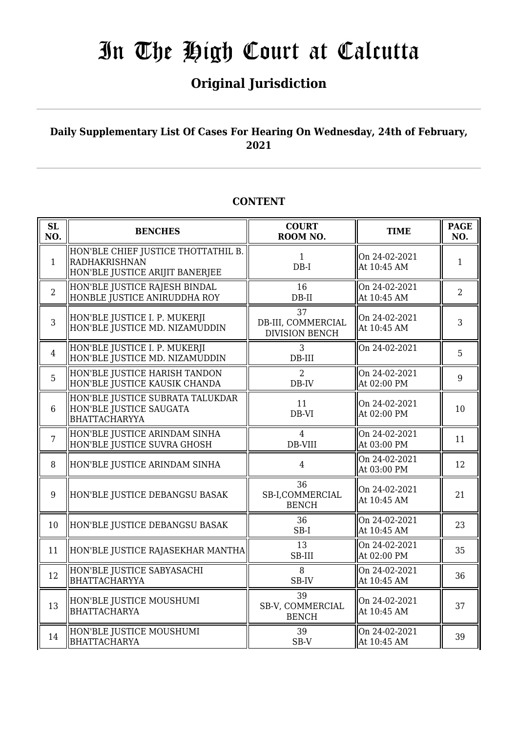## **Original Jurisdiction**

### **Daily Supplementary List Of Cases For Hearing On Wednesday, 24th of February, 2021**

### **CONTENT**

| <b>SL</b><br>NO. | <b>BENCHES</b>                                                                          | <b>COURT</b><br>ROOM NO.                          | <b>TIME</b>                  | <b>PAGE</b><br>NO. |
|------------------|-----------------------------------------------------------------------------------------|---------------------------------------------------|------------------------------|--------------------|
| $\mathbf{1}$     | HON'BLE CHIEF JUSTICE THOTTATHIL B.<br>RADHAKRISHNAN<br>HON'BLE JUSTICE ARIJIT BANERJEE | $\mathbf{1}$<br>$DB-I$                            | On 24-02-2021<br>At 10:45 AM | $\mathbf{1}$       |
| $\overline{2}$   | HON'BLE JUSTICE RAJESH BINDAL<br>HONBLE JUSTICE ANIRUDDHA ROY                           | 16<br>$DB-II$                                     | On 24-02-2021<br>At 10:45 AM | $\overline{2}$     |
| 3                | HON'BLE JUSTICE I. P. MUKERJI<br>HON'BLE JUSTICE MD. NIZAMUDDIN                         | 37<br>DB-III, COMMERCIAL<br><b>DIVISION BENCH</b> | On 24-02-2021<br>At 10:45 AM | 3                  |
| $\overline{4}$   | HON'BLE JUSTICE I. P. MUKERJI<br>HON'BLE JUSTICE MD. NIZAMUDDIN                         | 3<br>$DB-III$                                     | On 24-02-2021                | 5                  |
| 5                | HON'BLE JUSTICE HARISH TANDON<br>HON'BLE JUSTICE KAUSIK CHANDA                          | $\overline{2}$<br>DB-IV                           | On 24-02-2021<br>At 02:00 PM | 9                  |
| $6\phantom{1}6$  | HON'BLE JUSTICE SUBRATA TALUKDAR<br>HON'BLE JUSTICE SAUGATA<br>BHATTACHARYYA            | 11<br>DB-VI                                       | On 24-02-2021<br>At 02:00 PM | 10                 |
| $\overline{7}$   | HON'BLE JUSTICE ARINDAM SINHA<br>HON'BLE JUSTICE SUVRA GHOSH                            | $\overline{4}$<br>DB-VIII                         | On 24-02-2021<br>At 03:00 PM | 11                 |
| 8                | HON'BLE JUSTICE ARINDAM SINHA                                                           | $\overline{4}$                                    | On 24-02-2021<br>At 03:00 PM | 12                 |
| 9                | HON'BLE JUSTICE DEBANGSU BASAK                                                          | 36<br>SB-I,COMMERCIAL<br><b>BENCH</b>             | On 24-02-2021<br>At 10:45 AM | 21                 |
| 10               | HON'BLE JUSTICE DEBANGSU BASAK                                                          | 36<br>SB-I                                        | On 24-02-2021<br>At 10:45 AM | 23                 |
| 11               | HON'BLE JUSTICE RAJASEKHAR MANTHA                                                       | 13<br>SB-III                                      | On 24-02-2021<br>At 02:00 PM | 35                 |
| 12               | HON'BLE JUSTICE SABYASACHI<br>BHATTACHARYYA                                             | 8<br>SB-IV                                        | On 24-02-2021<br>At 10:45 AM | 36                 |
| 13               | HON'BLE JUSTICE MOUSHUMI<br><b>BHATTACHARYA</b>                                         | 39<br>SB-V, COMMERCIAL<br><b>BENCH</b>            | On 24-02-2021<br>At 10:45 AM | 37                 |
| 14               | HON'BLE JUSTICE MOUSHUMI<br><b>BHATTACHARYA</b>                                         | 39<br>SB-V                                        | On 24-02-2021<br>At 10:45 AM | 39                 |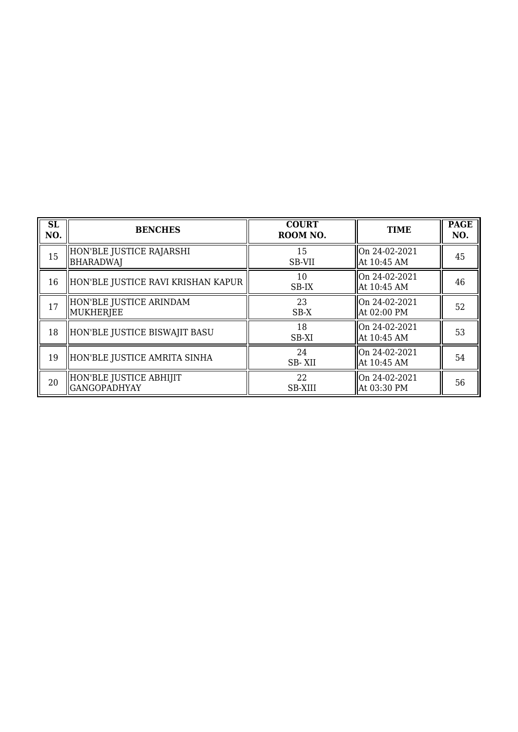| <b>SL</b><br>NO. | <b>BENCHES</b>                                 | <b>COURT</b><br>ROOM NO. | <b>TIME</b>                   | <b>PAGE</b><br>NO. |
|------------------|------------------------------------------------|--------------------------|-------------------------------|--------------------|
| 15               | HON'BLE JUSTICE RAJARSHI<br>BHARADWAJ          | 15<br>SB-VII             | On 24-02-2021<br>At 10:45 AM  | 45                 |
| 16               | HON'BLE JUSTICE RAVI KRISHAN KAPUR             | 10<br>SB-IX              | On 24-02-2021<br>At 10:45 AM  | 46                 |
| 17               | HON'BLE JUSTICE ARINDAM<br>MUKHERJEE           | 23<br>$SB-X$             | On 24-02-2021<br>At 02:00 PM  | 52                 |
| 18               | HON'BLE JUSTICE BISWAJIT BASU                  | 18<br>SB-XI              | On 24-02-2021<br>At 10:45 AM  | 53                 |
| 19               | HON'BLE JUSTICE AMRITA SINHA                   | 24<br>SB-XII             | lOn 24-02-2021<br>At 10:45 AM | 54                 |
| 20               | HON'BLE JUSTICE ABHIJIT<br><b>GANGOPADHYAY</b> | 22<br><b>SB-XIII</b>     | On 24-02-2021<br>At 03:30 PM  | 56                 |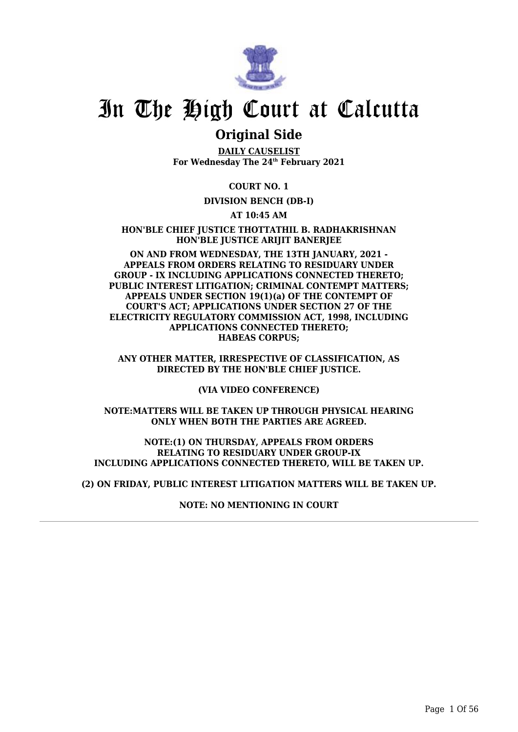

## **Original Side**

**DAILY CAUSELIST For Wednesday The 24th February 2021**

**COURT NO. 1**

#### **DIVISION BENCH (DB-I)**

**AT 10:45 AM**

**HON'BLE CHIEF JUSTICE THOTTATHIL B. RADHAKRISHNAN HON'BLE JUSTICE ARIJIT BANERJEE**

**ON AND FROM WEDNESDAY, THE 13TH JANUARY, 2021 - APPEALS FROM ORDERS RELATING TO RESIDUARY UNDER GROUP - IX INCLUDING APPLICATIONS CONNECTED THERETO; PUBLIC INTEREST LITIGATION; CRIMINAL CONTEMPT MATTERS; APPEALS UNDER SECTION 19(1)(a) OF THE CONTEMPT OF COURT'S ACT; APPLICATIONS UNDER SECTION 27 OF THE ELECTRICITY REGULATORY COMMISSION ACT, 1998, INCLUDING APPLICATIONS CONNECTED THERETO; HABEAS CORPUS;**

**ANY OTHER MATTER, IRRESPECTIVE OF CLASSIFICATION, AS DIRECTED BY THE HON'BLE CHIEF JUSTICE.**

**(VIA VIDEO CONFERENCE)**

**NOTE:MATTERS WILL BE TAKEN UP THROUGH PHYSICAL HEARING ONLY WHEN BOTH THE PARTIES ARE AGREED.**

**NOTE:(1) ON THURSDAY, APPEALS FROM ORDERS RELATING TO RESIDUARY UNDER GROUP-IX INCLUDING APPLICATIONS CONNECTED THERETO, WILL BE TAKEN UP.**

**(2) ON FRIDAY, PUBLIC INTEREST LITIGATION MATTERS WILL BE TAKEN UP.**

**NOTE: NO MENTIONING IN COURT**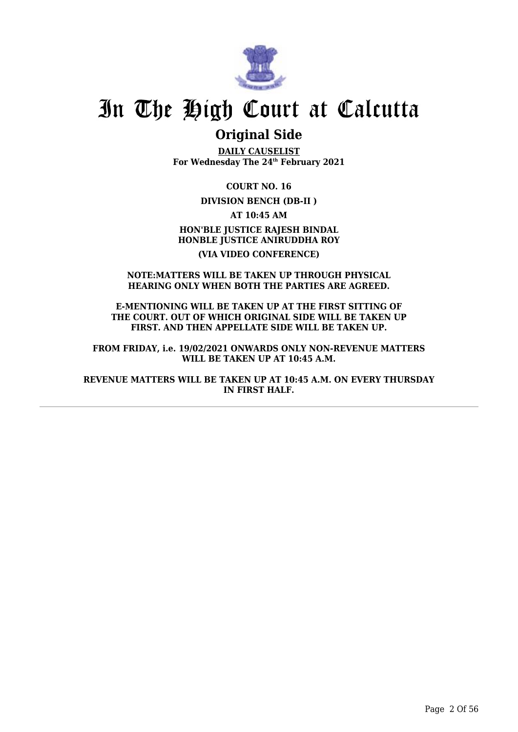

## **Original Side**

**DAILY CAUSELIST For Wednesday The 24th February 2021**

**COURT NO. 16**

**DIVISION BENCH (DB-II )**

**AT 10:45 AM HON'BLE JUSTICE RAJESH BINDAL HONBLE JUSTICE ANIRUDDHA ROY (VIA VIDEO CONFERENCE)**

#### **NOTE:MATTERS WILL BE TAKEN UP THROUGH PHYSICAL HEARING ONLY WHEN BOTH THE PARTIES ARE AGREED.**

**E-MENTIONING WILL BE TAKEN UP AT THE FIRST SITTING OF THE COURT. OUT OF WHICH ORIGINAL SIDE WILL BE TAKEN UP FIRST. AND THEN APPELLATE SIDE WILL BE TAKEN UP.**

**FROM FRIDAY, i.e. 19/02/2021 ONWARDS ONLY NON-REVENUE MATTERS WILL BE TAKEN UP AT 10:45 A.M.**

**REVENUE MATTERS WILL BE TAKEN UP AT 10:45 A.M. ON EVERY THURSDAY IN FIRST HALF.**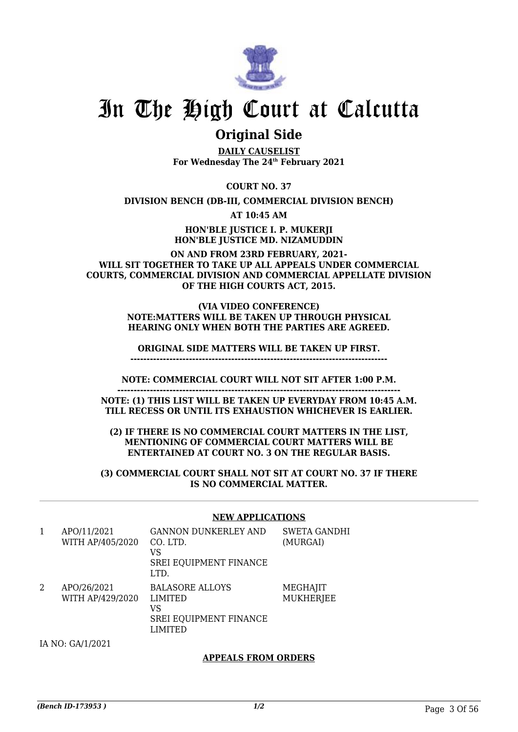

## **Original Side**

**DAILY CAUSELIST For Wednesday The 24th February 2021**

**COURT NO. 37**

**DIVISION BENCH (DB-III, COMMERCIAL DIVISION BENCH)**

**AT 10:45 AM**

**HON'BLE JUSTICE I. P. MUKERJI HON'BLE JUSTICE MD. NIZAMUDDIN**

**ON AND FROM 23RD FEBRUARY, 2021- WILL SIT TOGETHER TO TAKE UP ALL APPEALS UNDER COMMERCIAL COURTS, COMMERCIAL DIVISION AND COMMERCIAL APPELLATE DIVISION OF THE HIGH COURTS ACT, 2015.**

#### **(VIA VIDEO CONFERENCE) NOTE:MATTERS WILL BE TAKEN UP THROUGH PHYSICAL HEARING ONLY WHEN BOTH THE PARTIES ARE AGREED.**

**ORIGINAL SIDE MATTERS WILL BE TAKEN UP FIRST.**

**-------------------------------------------------------------------------------**

**NOTE: COMMERCIAL COURT WILL NOT SIT AFTER 1:00 P.M.**

**---------------------------------------------------------------------------------------**

**NOTE: (1) THIS LIST WILL BE TAKEN UP EVERYDAY FROM 10:45 A.M. TILL RECESS OR UNTIL ITS EXHAUSTION WHICHEVER IS EARLIER.**

**(2) IF THERE IS NO COMMERCIAL COURT MATTERS IN THE LIST, MENTIONING OF COMMERCIAL COURT MATTERS WILL BE ENTERTAINED AT COURT NO. 3 ON THE REGULAR BASIS.**

**(3) COMMERCIAL COURT SHALL NOT SIT AT COURT NO. 37 IF THERE IS NO COMMERCIAL MATTER.**

#### **NEW APPLICATIONS**

| 1 | APO/11/2021<br>WITH AP/405/2020 | <b>GANNON DUNKERLEY AND</b><br>CO. LTD.<br>VS<br>SREI EQUIPMENT FINANCE<br>LTD.     | <b>SWETA GANDHI</b><br>(MURGAI) |
|---|---------------------------------|-------------------------------------------------------------------------------------|---------------------------------|
| 2 | APO/26/2021<br>WITH AP/429/2020 | <b>BALASORE ALLOYS</b><br><b>LIMITED</b><br>VS<br>SREI EQUIPMENT FINANCE<br>LIMITED | MEGHAJIT<br><b>MUKHERJEE</b>    |

IA NO: GA/1/2021

#### **APPEALS FROM ORDERS**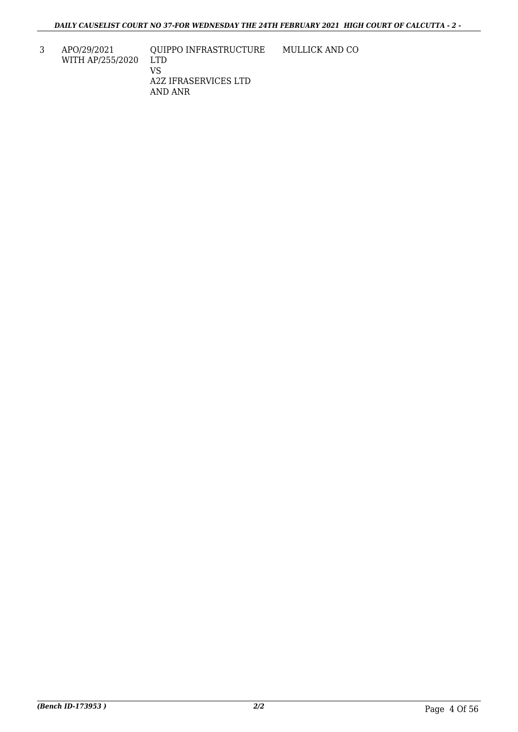3 APO/29/2021 WITH AP/255/2020

QUIPPO INFRASTRUCTURE LTD VS A2Z IFRASERVICES LTD AND ANR MULLICK AND CO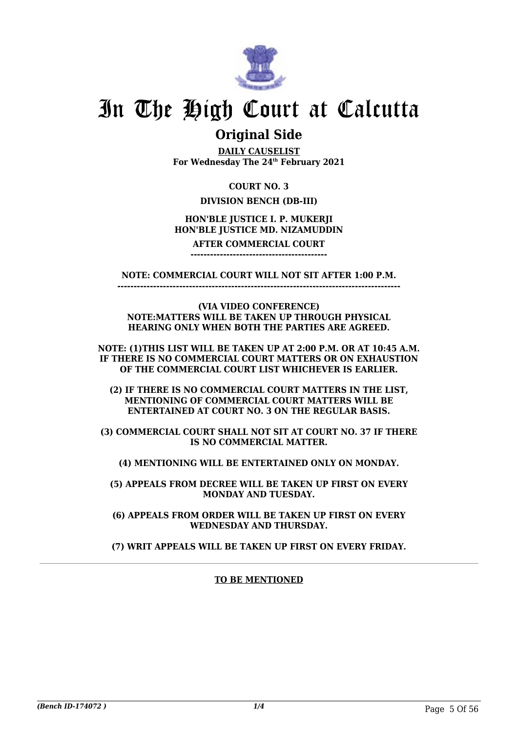

## **Original Side**

**DAILY CAUSELIST For Wednesday The 24th February 2021**

### **COURT NO. 3**

### **DIVISION BENCH (DB-III)**

### **HON'BLE JUSTICE I. P. MUKERJI HON'BLE JUSTICE MD. NIZAMUDDIN**

#### **AFTER COMMERCIAL COURT ------------------------------------------**

**NOTE: COMMERCIAL COURT WILL NOT SIT AFTER 1:00 P.M. ---------------------------------------------------------------------------------------**

**(VIA VIDEO CONFERENCE)**

**NOTE:MATTERS WILL BE TAKEN UP THROUGH PHYSICAL HEARING ONLY WHEN BOTH THE PARTIES ARE AGREED.**

**NOTE: (1)THIS LIST WILL BE TAKEN UP AT 2:00 P.M. OR AT 10:45 A.M. IF THERE IS NO COMMERCIAL COURT MATTERS OR ON EXHAUSTION OF THE COMMERCIAL COURT LIST WHICHEVER IS EARLIER.**

**(2) IF THERE IS NO COMMERCIAL COURT MATTERS IN THE LIST, MENTIONING OF COMMERCIAL COURT MATTERS WILL BE ENTERTAINED AT COURT NO. 3 ON THE REGULAR BASIS.**

**(3) COMMERCIAL COURT SHALL NOT SIT AT COURT NO. 37 IF THERE IS NO COMMERCIAL MATTER.**

**(4) MENTIONING WILL BE ENTERTAINED ONLY ON MONDAY.**

**(5) APPEALS FROM DECREE WILL BE TAKEN UP FIRST ON EVERY MONDAY AND TUESDAY.**

**(6) APPEALS FROM ORDER WILL BE TAKEN UP FIRST ON EVERY WEDNESDAY AND THURSDAY.**

**(7) WRIT APPEALS WILL BE TAKEN UP FIRST ON EVERY FRIDAY.**

### **TO BE MENTIONED**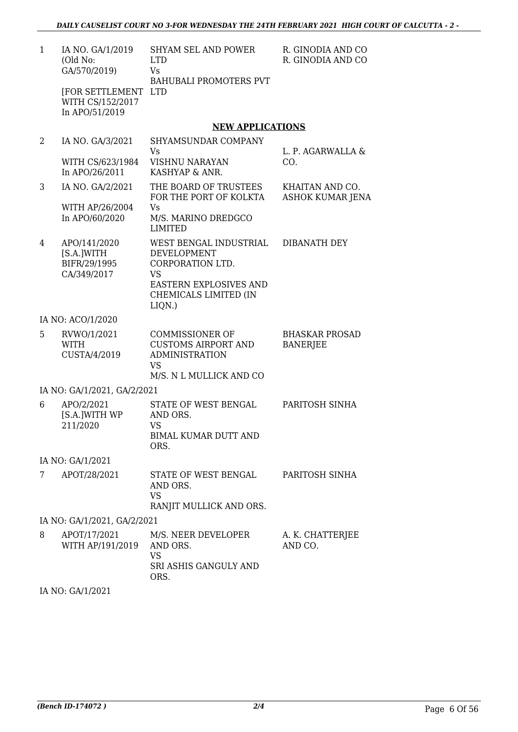| $\mathbf{1}$ | IA NO. GA/1/2019<br>(Old No:<br>GA/570/2019)              | <b>SHYAM SEL AND POWER</b><br><b>LTD</b><br>Vs                                                                        | R. GINODIA AND CO<br>R. GINODIA AND CO     |
|--------------|-----------------------------------------------------------|-----------------------------------------------------------------------------------------------------------------------|--------------------------------------------|
|              | [FOR SETTLEMENT LTD<br>WITH CS/152/2017                   | <b>BAHUBALI PROMOTERS PVT</b>                                                                                         |                                            |
|              | In APO/51/2019                                            |                                                                                                                       |                                            |
|              |                                                           | <b>NEW APPLICATIONS</b>                                                                                               |                                            |
| 2            | IA NO. GA/3/2021                                          | SHYAMSUNDAR COMPANY<br>Vs                                                                                             | L. P. AGARWALLA &                          |
|              | WITH CS/623/1984<br>In APO/26/2011                        | <b>VISHNU NARAYAN</b><br>KASHYAP & ANR.                                                                               | CO.                                        |
| 3            | IA NO. GA/2/2021                                          | THE BOARD OF TRUSTEES<br>FOR THE PORT OF KOLKTA                                                                       | KHAITAN AND CO.<br><b>ASHOK KUMAR JENA</b> |
|              | WITH AP/26/2004<br>In APO/60/2020                         | <b>Vs</b><br>M/S. MARINO DREDGCO<br><b>LIMITED</b>                                                                    |                                            |
| 4            | APO/141/2020<br>[S.A.]WITH<br>BIFR/29/1995<br>CA/349/2017 | WEST BENGAL INDUSTRIAL<br>DEVELOPMENT<br>CORPORATION LTD.<br><b>VS</b>                                                | <b>DIBANATH DEY</b>                        |
|              |                                                           | <b>EASTERN EXPLOSIVES AND</b><br>CHEMICALS LIMITED (IN<br>$LIQN.$ )                                                   |                                            |
|              | IA NO: ACO/1/2020                                         |                                                                                                                       |                                            |
| 5            | RVWO/1/2021<br>WITH<br>CUSTA/4/2019                       | <b>COMMISSIONER OF</b><br><b>CUSTOMS AIRPORT AND</b><br><b>ADMINISTRATION</b><br><b>VS</b><br>M/S. N L MULLICK AND CO | <b>BHASKAR PROSAD</b><br><b>BANERJEE</b>   |
|              | IA NO: GA/1/2021, GA/2/2021                               |                                                                                                                       |                                            |
| 6            | APO/2/2021                                                | STATE OF WEST BENGAL                                                                                                  | PARITOSH SINHA                             |
|              | [S.A.]WITH WP<br>211/2020                                 | AND ORS.<br><b>VS</b><br><b>BIMAL KUMAR DUTT AND</b><br>ORS.                                                          |                                            |
|              | IA NO: GA/1/2021                                          |                                                                                                                       |                                            |
| 7            | APOT/28/2021                                              | STATE OF WEST BENGAL<br>AND ORS.<br><b>VS</b><br>RANJIT MULLICK AND ORS.                                              | PARITOSH SINHA                             |
|              | IA NO: GA/1/2021, GA/2/2021                               |                                                                                                                       |                                            |
| 8            | APOT/17/2021<br>WITH AP/191/2019                          | M/S. NEER DEVELOPER<br>AND ORS.<br><b>VS</b><br>SRI ASHIS GANGULY AND<br>ORS.                                         | A. K. CHATTERJEE<br>AND CO.                |

IA NO: GA/1/2021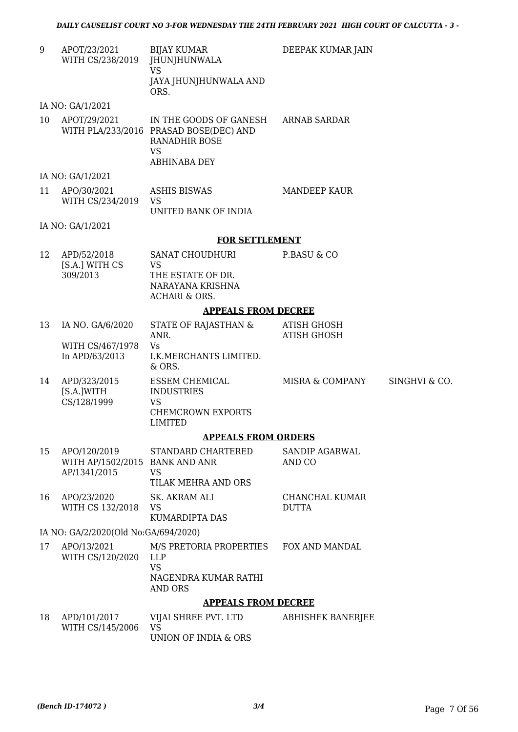DEEPAK KUMAR JAIN

9 APOT/23/2021 WITH CS/238/2019 BIJAY KUMAR JHUNJHUNWALA VS JAYA JHUNJHUNWALA AND ORS.

IA NO: GA/1/2021

10 APOT/29/2021 WITH PLA/233/2016 PRASAD BOSE(DEC) AND IN THE GOODS OF GANESH RANADHIR BOSE VS ABHINABA DEY ARNAB SARDAR

IA NO: GA/1/2021

11 APO/30/2021 WITH CS/234/2019 ASHIS BISWAS VS UNITED BANK OF INDIA MANDEEP KAUR

IA NO: GA/1/2021

#### **FOR SETTLEMENT**

| 12 | APD/52/2018    | SANAT CHOUDHURI   | P.BASU & CO |
|----|----------------|-------------------|-------------|
|    | [S.A.] WITH CS | VS                |             |
|    | 309/2013       | THE ESTATE OF DR. |             |
|    |                | NARAYANA KRISHNA  |             |
|    |                | ACHARI & ORS.     |             |

#### **APPEALS FROM DECREE**

13 IA NO. GA/6/2020 WITH CS/467/1978 In APD/63/2013 STATE OF RAJASTHAN & ANR. Vs I.K.MERCHANTS LIMITED. & ORS. ATISH GHOSH ATISH GHOSH 14 APD/323/2015 [S.A.]WITH CS/128/1999 ESSEM CHEMICAL INDUSTRIES VS CHEMCROWN EXPORTS LIMITED MISRA & COMPANY SINGHVI & CO.

#### **APPEALS FROM ORDERS**

| 15 | APO/120/2019<br>WITH AP/1502/2015 BANK AND ANR<br>AP/1341/2015 | STANDARD CHARTERED<br>VS<br>TILAK MEHRA AND ORS | SANDIP AGARWAL<br>AND CO       |
|----|----------------------------------------------------------------|-------------------------------------------------|--------------------------------|
| 16 | APO/23/2020<br>WITH CS 132/2018                                | SK. AKRAM ALI<br>VS<br>KUMARDIPTA DAS           | CHANCHAL KUMAR<br><b>DUTTA</b> |

IA NO: GA/2/2020(Old No:GA/694/2020)

17 APO/13/2021 WITH CS/120/2020 M/S PRETORIA PROPERTIES LLP VS NAGENDRA KUMAR RATHI AND ORS FOX AND MANDAL

#### **APPEALS FROM DECREE**

| 18 APD/101/2017     | VIJAI SHREE PVT. LTD | ABHISHEK BANERJEE |
|---------------------|----------------------|-------------------|
| WITH CS/145/2006 VS |                      |                   |
|                     | UNION OF INDIA & ORS |                   |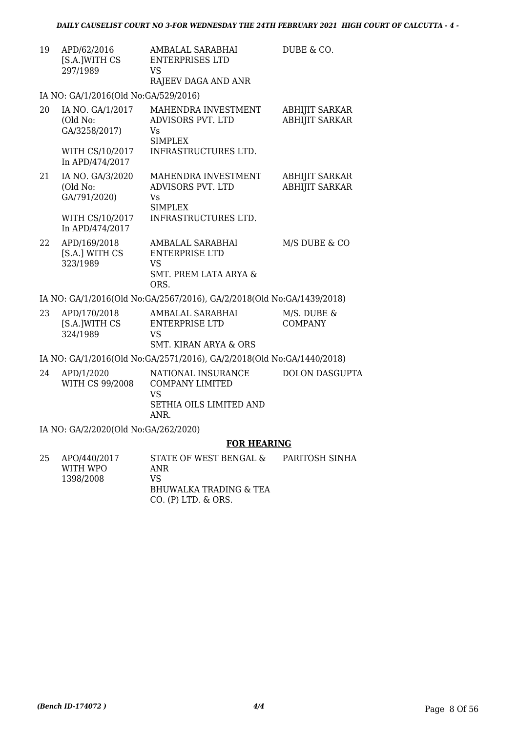| 19 | APD/62/2016<br>[S.A.]WITH CS<br>297/1989      | AMBALAL SARABHAI<br><b>ENTERPRISES LTD</b><br>VS<br>RAJEEV DAGA AND ANR                            | DUBE & CO.                                     |
|----|-----------------------------------------------|----------------------------------------------------------------------------------------------------|------------------------------------------------|
|    | IA NO: GA/1/2016(Old No:GA/529/2016)          |                                                                                                    |                                                |
| 20 | IA NO. GA/1/2017<br>(Old No:<br>GA/3258/2017) | MAHENDRA INVESTMENT<br>ADVISORS PVT. LTD<br>Vs<br><b>SIMPLEX</b>                                   | <b>ABHIJIT SARKAR</b><br><b>ABHIJIT SARKAR</b> |
|    | WITH CS/10/2017<br>In APD/474/2017            | INFRASTRUCTURES LTD.                                                                               |                                                |
| 21 | IA NO. GA/3/2020<br>(Old No:<br>GA/791/2020)  | MAHENDRA INVESTMENT<br>ADVISORS PVT. LTD<br>Vs<br><b>SIMPLEX</b>                                   | <b>ABHIJIT SARKAR</b><br><b>ABHIJIT SARKAR</b> |
|    | WITH CS/10/2017<br>In APD/474/2017            | INFRASTRUCTURES LTD.                                                                               |                                                |
| 22 | APD/169/2018<br>[S.A.] WITH CS<br>323/1989    | AMBALAL SARABHAI<br><b>ENTERPRISE LTD</b><br><b>VS</b><br><b>SMT. PREM LATA ARYA &amp;</b><br>ORS. | M/S DUBE & CO                                  |
|    |                                               | IA NO: GA/1/2016(Old No:GA/2567/2016), GA/2/2018(Old No:GA/1439/2018)                              |                                                |
| 23 | APD/170/2018<br>[S.A.]WITH CS<br>324/1989     | AMBALAL SARABHAI<br>ENTERPRISE LTD<br>VS                                                           | M/S. DUBE &<br><b>COMPANY</b>                  |

SMT. KIRAN ARYA & ORS

IA NO: GA/1/2016(Old No:GA/2571/2016), GA/2/2018(Old No:GA/1440/2018)

| 24 | APD/1/2020<br>WITH CS 99/2008 | NATIONAL INSURANCE<br>COMPANY LIMITED | DOLON DASGUPTA |
|----|-------------------------------|---------------------------------------|----------------|
|    |                               | VS                                    |                |
|    |                               | SETHIA OILS LIMITED AND               |                |
|    |                               | ANR.                                  |                |

IA NO: GA/2/2020(Old No:GA/262/2020)

### **FOR HEARING**

| 25 | APO/440/2017 | STATE OF WEST BENGAL &  | PARITOSH SINHA |
|----|--------------|-------------------------|----------------|
|    | WITH WPO     | ANR                     |                |
|    | 1398/2008    | VS.                     |                |
|    |              | BHUWALKA TRADING & TEA  |                |
|    |              | $CO.$ (P) LTD. $&$ ORS. |                |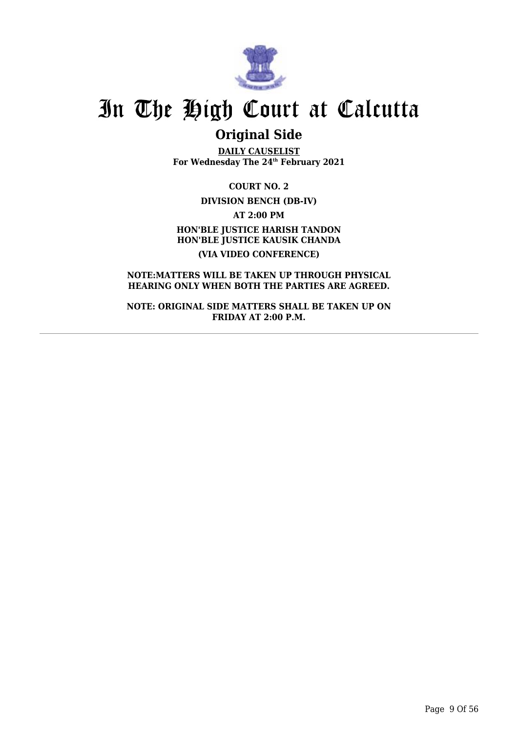

## **Original Side**

**DAILY CAUSELIST For Wednesday The 24th February 2021**

**COURT NO. 2 DIVISION BENCH (DB-IV) AT 2:00 PM HON'BLE JUSTICE HARISH TANDON HON'BLE JUSTICE KAUSIK CHANDA (VIA VIDEO CONFERENCE)**

**NOTE:MATTERS WILL BE TAKEN UP THROUGH PHYSICAL HEARING ONLY WHEN BOTH THE PARTIES ARE AGREED.**

**NOTE: ORIGINAL SIDE MATTERS SHALL BE TAKEN UP ON FRIDAY AT 2:00 P.M.**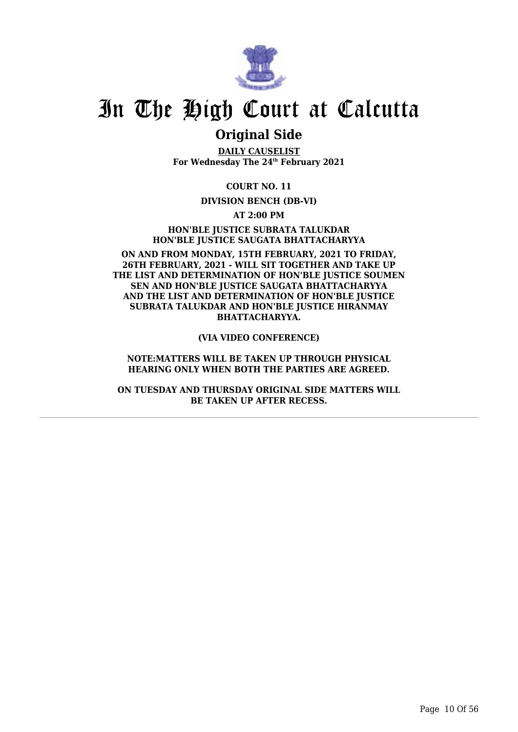

## **Original Side**

**DAILY CAUSELIST For Wednesday The 24th February 2021**

**COURT NO. 11**

#### **DIVISION BENCH (DB-VI)**

**AT 2:00 PM**

**HON'BLE JUSTICE SUBRATA TALUKDAR HON'BLE JUSTICE SAUGATA BHATTACHARYYA**

**ON AND FROM MONDAY, 15TH FEBRUARY, 2021 TO FRIDAY, 26TH FEBRUARY, 2021 - WILL SIT TOGETHER AND TAKE UP THE LIST AND DETERMINATION OF HON'BLE JUSTICE SOUMEN SEN AND HON'BLE JUSTICE SAUGATA BHATTACHARYYA AND THE LIST AND DETERMINATION OF HON'BLE JUSTICE SUBRATA TALUKDAR AND HON'BLE JUSTICE HIRANMAY BHATTACHARYYA.**

**(VIA VIDEO CONFERENCE)**

**NOTE:MATTERS WILL BE TAKEN UP THROUGH PHYSICAL HEARING ONLY WHEN BOTH THE PARTIES ARE AGREED.**

**ON TUESDAY AND THURSDAY ORIGINAL SIDE MATTERS WILL BE TAKEN UP AFTER RECESS.**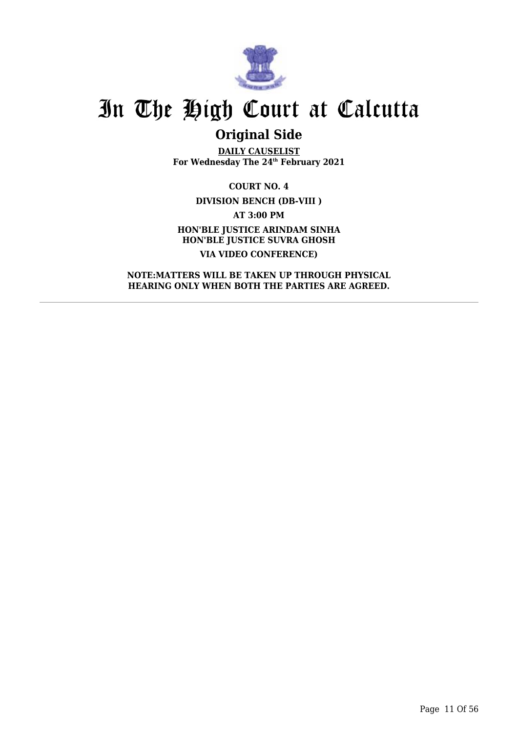

## **Original Side**

**DAILY CAUSELIST For Wednesday The 24th February 2021**

**COURT NO. 4 DIVISION BENCH (DB-VIII ) AT 3:00 PM HON'BLE JUSTICE ARINDAM SINHA HON'BLE JUSTICE SUVRA GHOSH VIA VIDEO CONFERENCE)**

**NOTE:MATTERS WILL BE TAKEN UP THROUGH PHYSICAL HEARING ONLY WHEN BOTH THE PARTIES ARE AGREED.**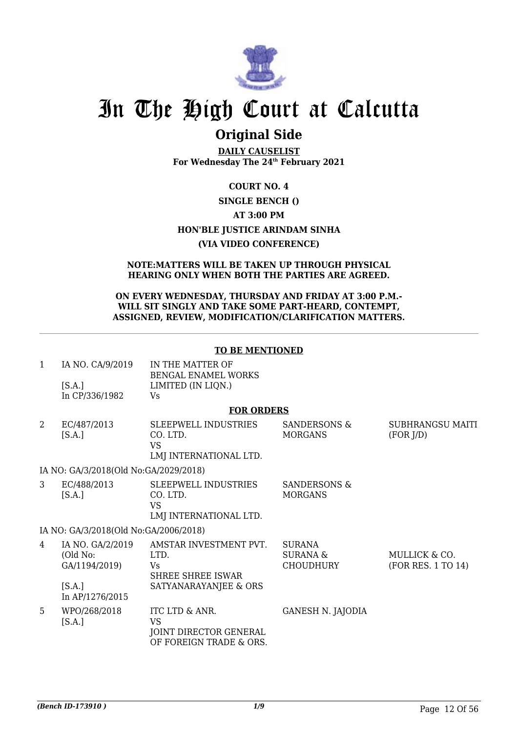

## **Original Side**

**DAILY CAUSELIST For Wednesday The 24th February 2021**

### **COURT NO. 4 SINGLE BENCH () AT 3:00 PM HON'BLE JUSTICE ARINDAM SINHA (VIA VIDEO CONFERENCE)**

#### **NOTE:MATTERS WILL BE TAKEN UP THROUGH PHYSICAL HEARING ONLY WHEN BOTH THE PARTIES ARE AGREED.**

#### **ON EVERY WEDNESDAY, THURSDAY AND FRIDAY AT 3:00 P.M.- WILL SIT SINGLY AND TAKE SOME PART-HEARD, CONTEMPT, ASSIGNED, REVIEW, MODIFICATION/CLARIFICATION MATTERS.**

#### **TO BE MENTIONED**

| IA NO. CA/9/2019 | IN THE MATTER OF    |
|------------------|---------------------|
|                  | BENGAL ENAMEL WORKS |
| [ <b>S.A.</b> ]  | LIMITED (IN LIQN.)  |
| In CP/336/1982   | Vs.                 |

#### **FOR ORDERS**

| 2 | EC/487/2013<br>[S.A.]                         | <b>SLEEPWELL INDUSTRIES</b><br>CO. LTD.<br>VS<br>LMJ INTERNATIONAL LTD.   | SANDERSONS &<br><b>MORGANS</b>            | SUBHRANGSU MAITI<br>(FOR J/D)       |
|---|-----------------------------------------------|---------------------------------------------------------------------------|-------------------------------------------|-------------------------------------|
|   | IA NO: GA/3/2018(Old No:GA/2029/2018)         |                                                                           |                                           |                                     |
| 3 | EC/488/2013<br>[S.A.]                         | <b>SLEEPWELL INDUSTRIES</b><br>CO. LTD.<br>VS<br>LMJ INTERNATIONAL LTD.   | <b>SANDERSONS &amp;</b><br><b>MORGANS</b> |                                     |
|   | IA NO: GA/3/2018(Old No:GA/2006/2018)         |                                                                           |                                           |                                     |
| 4 | IA NO. GA/2/2019<br>(Old No:<br>GA/1194/2019) | AMSTAR INVESTMENT PVT.<br>LTD.<br>Vs<br>SHREE SHREE ISWAR                 | <b>SURANA</b><br>SURANA &<br>CHOUDHURY    | MULLICK & CO.<br>(FOR RES. 1 TO 14) |
|   | [S.A.]<br>In AP/1276/2015                     | SATYANARAYANJEE & ORS                                                     |                                           |                                     |
| 5 | WPO/268/2018<br>[S.A.]                        | ITC LTD & ANR.<br>VS<br>JOINT DIRECTOR GENERAL<br>OF FOREIGN TRADE & ORS. | <b>GANESH N. JAJODIA</b>                  |                                     |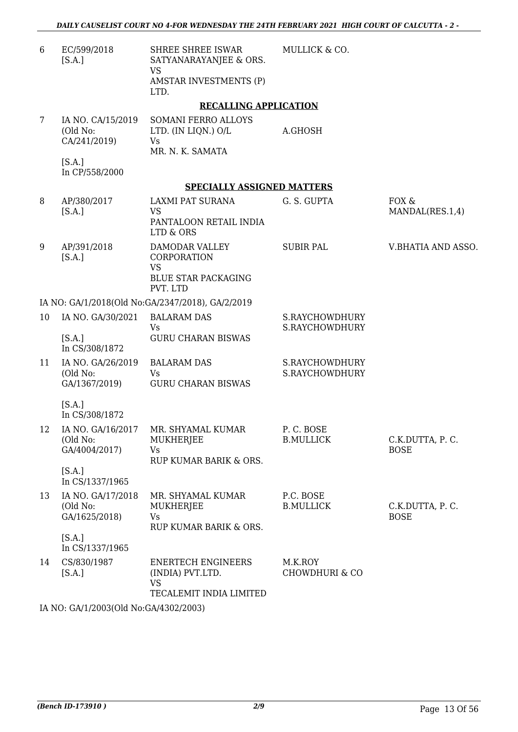MULLICK & CO.

6 EC/599/2018 [S.A.] SHREE SHREE ISWAR SATYANARAYANJEE & ORS. VS AMSTAR INVESTMENTS (P) LTD.

#### **RECALLING APPLICATION**

| IA NO. CA/15/2019 | SOMANI FERRO ALLOYS |         |
|-------------------|---------------------|---------|
| (Old No:          | LTD. (IN LIQN.) O/L | A.GHOSH |
| CA/241/2019)      | Vs                  |         |
|                   | MR. N. K. SAMATA    |         |

[S.A.] In CP/558/2000

#### **SPECIALLY ASSIGNED MATTERS**

| 8  | AP/380/2017<br>[S.A.]                                   | <b>LAXMI PAT SURANA</b><br>VS<br>PANTALOON RETAIL INDIA<br><b>LTD &amp; ORS</b>       | G. S. GUPTA                          | FOX &<br>MANDAL(RES.1,4)       |
|----|---------------------------------------------------------|---------------------------------------------------------------------------------------|--------------------------------------|--------------------------------|
| 9  | AP/391/2018<br>[S.A.]                                   | DAMODAR VALLEY<br>CORPORATION<br><b>VS</b><br>BLUE STAR PACKAGING<br>PVT. LTD         | <b>SUBIR PAL</b>                     | V.BHATIA AND ASSO.             |
|    |                                                         | IA NO: GA/1/2018(Old No:GA/2347/2018), GA/2/2019                                      |                                      |                                |
| 10 | IA NO. GA/30/2021<br>[S.A.]                             | <b>BALARAM DAS</b><br>Vs<br><b>GURU CHARAN BISWAS</b>                                 | S.RAYCHOWDHURY<br>S.RAYCHOWDHURY     |                                |
|    | In CS/308/1872                                          |                                                                                       |                                      |                                |
| 11 | IA NO. GA/26/2019<br>(Old No:<br>GA/1367/2019)          | <b>BALARAM DAS</b><br><b>Vs</b><br><b>GURU CHARAN BISWAS</b>                          | S.RAYCHOWDHURY<br>S.RAYCHOWDHURY     |                                |
|    | [S.A.]<br>In CS/308/1872                                |                                                                                       |                                      |                                |
| 12 | IA NO. GA/16/2017<br>(Old No:<br>GA/4004/2017)          | MR. SHYAMAL KUMAR<br><b>MUKHERJEE</b><br>Vs<br>RUP KUMAR BARIK & ORS.                 | P.C. BOSE<br><b>B.MULLICK</b>        | C.K.DUTTA, P.C.<br><b>BOSE</b> |
|    | [S.A.]<br>In CS/1337/1965                               |                                                                                       |                                      |                                |
| 13 | IA NO. GA/17/2018<br>(Old No:<br>GA/1625/2018)          | MR. SHYAMAL KUMAR<br>MUKHERJEE<br>Vs<br>RUP KUMAR BARIK & ORS.                        | P.C. BOSE<br><b>B.MULLICK</b>        | C.K.DUTTA, P.C.<br><b>BOSE</b> |
|    | [S.A.]<br>In CS/1337/1965                               |                                                                                       |                                      |                                |
| 14 | CS/830/1987<br>[S.A.]                                   | <b>ENERTECH ENGINEERS</b><br>(INDIA) PVT.LTD.<br><b>VS</b><br>TECALEMIT INDIA LIMITED | M.K.ROY<br><b>CHOWDHURI &amp; CO</b> |                                |
|    | IA NO. $C$ A/1/2002(Old N <sub>o</sub> $C$ A/1202/2002) |                                                                                       |                                      |                                |

IA NO: GA/1/2003(Old No:GA/4302/2003)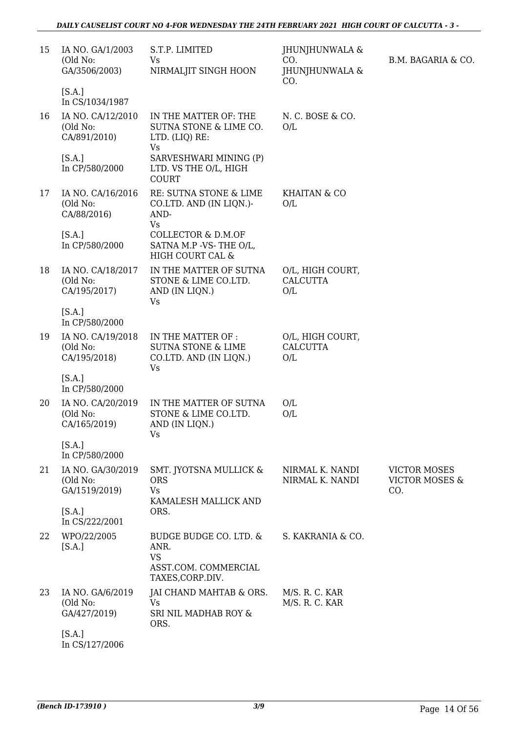| 15 | IA NO. GA/1/2003<br>(Old No:<br>GA/3506/2003)  | S.T.P. LIMITED<br>Vs<br>NIRMALJIT SINGH HOON                                            | JHUNJHUNWALA &<br>CO.<br>JHUNJHUNWALA &    | B.M. BAGARIA & CO.                                      |
|----|------------------------------------------------|-----------------------------------------------------------------------------------------|--------------------------------------------|---------------------------------------------------------|
|    | [S.A.]<br>In CS/1034/1987                      |                                                                                         | CO.                                        |                                                         |
| 16 | IA NO. CA/12/2010<br>(Old No:<br>CA/891/2010)  | IN THE MATTER OF: THE<br>SUTNA STONE & LIME CO.<br>LTD. (LIQ) RE:<br><b>Vs</b>          | N.C. BOSE & CO.<br>O/L                     |                                                         |
|    | [S.A.]<br>In CP/580/2000                       | SARVESHWARI MINING (P)<br>LTD. VS THE O/L, HIGH<br><b>COURT</b>                         |                                            |                                                         |
| 17 | IA NO. CA/16/2016<br>(Old No:<br>CA/88/2016)   | RE: SUTNA STONE & LIME<br>CO.LTD. AND (IN LIQN.)-<br>AND-<br>Vs                         | KHAITAN & CO<br>O/L                        |                                                         |
|    | [S.A.]<br>In CP/580/2000                       | COLLECTOR & D.M.OF<br>SATNA M.P -VS-THE O/L,<br>HIGH COURT CAL &                        |                                            |                                                         |
| 18 | IA NO. CA/18/2017<br>(Old No:<br>CA/195/2017)  | IN THE MATTER OF SUTNA<br>STONE & LIME CO.LTD.<br>AND (IN LIQN.)<br><b>Vs</b>           | O/L, HIGH COURT,<br><b>CALCUTTA</b><br>O/L |                                                         |
|    | [S.A.]<br>In CP/580/2000                       |                                                                                         |                                            |                                                         |
| 19 | IA NO. CA/19/2018<br>(Old No:<br>CA/195/2018)  | IN THE MATTER OF :<br><b>SUTNA STONE &amp; LIME</b><br>CO.LTD. AND (IN LIQN.)<br>Vs     | O/L, HIGH COURT,<br><b>CALCUTTA</b><br>O/L |                                                         |
|    | [S.A.]<br>In CP/580/2000                       |                                                                                         |                                            |                                                         |
| 20 | IA NO. CA/20/2019<br>(Old No:<br>CA/165/2019)  | IN THE MATTER OF SUTNA<br>STONE & LIME CO.LTD.<br>AND (IN LIQN.)<br>Vs                  | O/L<br>O/L                                 |                                                         |
|    | [S.A.]<br>In CP/580/2000                       |                                                                                         |                                            |                                                         |
| 21 | IA NO. GA/30/2019<br>(Old No:<br>GA/1519/2019) | SMT. JYOTSNA MULLICK &<br><b>ORS</b><br><b>Vs</b><br>KAMALESH MALLICK AND               | NIRMAL K. NANDI<br>NIRMAL K. NANDI         | <b>VICTOR MOSES</b><br><b>VICTOR MOSES &amp;</b><br>CO. |
|    | [S.A.]<br>In CS/222/2001                       | ORS.                                                                                    |                                            |                                                         |
| 22 | WPO/22/2005<br>[S.A.]                          | BUDGE BUDGE CO. LTD. &<br>ANR.<br><b>VS</b><br>ASST.COM. COMMERCIAL<br>TAXES, CORP.DIV. | S. KAKRANIA & CO.                          |                                                         |
| 23 | IA NO. GA/6/2019<br>(Old No:<br>GA/427/2019)   | JAI CHAND MAHTAB & ORS.<br><b>Vs</b><br>SRI NIL MADHAB ROY &<br>ORS.                    | M/S. R. C. KAR<br>M/S. R. C. KAR           |                                                         |
|    | [S.A.]<br>In CS/127/2006                       |                                                                                         |                                            |                                                         |

*(Bench ID-173910 ) 3/9* Page 14 Of 56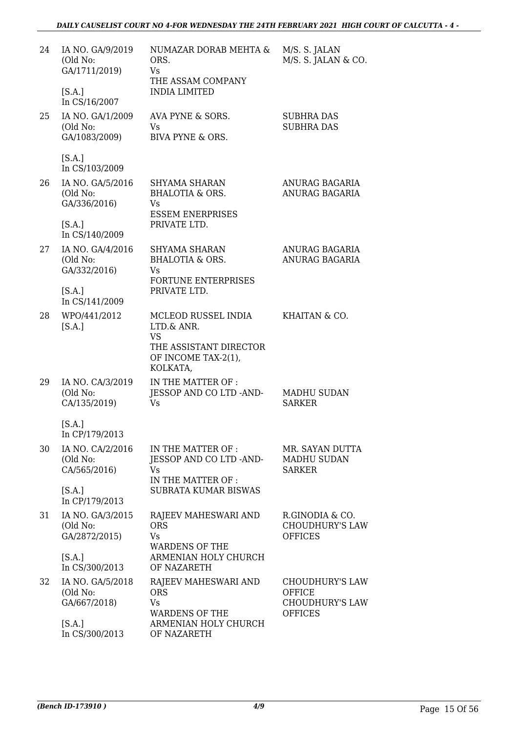| 24 | IA NO. GA/9/2019<br>(Old No:<br>GA/1711/2019)<br>[S.A.]        | NUMAZAR DORAB MEHTA &<br>ORS.<br>Vs.<br>THE ASSAM COMPANY<br><b>INDIA LIMITED</b>                 | M/S. S. JALAN<br>M/S. S. JALAN & CO.                                                |
|----|----------------------------------------------------------------|---------------------------------------------------------------------------------------------------|-------------------------------------------------------------------------------------|
| 25 | In CS/16/2007<br>IA NO. GA/1/2009<br>(Old No:<br>GA/1083/2009) | AVA PYNE & SORS.<br>Vs<br><b>BIVA PYNE &amp; ORS.</b>                                             | <b>SUBHRA DAS</b><br><b>SUBHRA DAS</b>                                              |
|    | [S.A.]<br>In CS/103/2009                                       |                                                                                                   |                                                                                     |
| 26 | IA NO. GA/5/2016<br>(Old No:<br>GA/336/2016)                   | SHYAMA SHARAN<br><b>BHALOTIA &amp; ORS.</b><br>Vs.<br><b>ESSEM ENERPRISES</b>                     | ANURAG BAGARIA<br>ANURAG BAGARIA                                                    |
|    | [S.A.]<br>In CS/140/2009                                       | PRIVATE LTD.                                                                                      |                                                                                     |
| 27 | IA NO. GA/4/2016<br>(Old No:<br>GA/332/2016)                   | <b>SHYAMA SHARAN</b><br><b>BHALOTIA &amp; ORS.</b><br>Vs<br><b>FORTUNE ENTERPRISES</b>            | ANURAG BAGARIA<br>ANURAG BAGARIA                                                    |
|    | [S.A.]<br>In CS/141/2009                                       | PRIVATE LTD.                                                                                      |                                                                                     |
| 28 | WPO/441/2012<br>[S.A.]                                         | MCLEOD RUSSEL INDIA<br>LTD.& ANR.<br><b>VS</b><br>THE ASSISTANT DIRECTOR<br>OF INCOME TAX-2(1),   | KHAITAN & CO.                                                                       |
| 29 | IA NO. CA/3/2019<br>(Old No:<br>CA/135/2019)                   | KOLKATA,<br>IN THE MATTER OF:<br>JESSOP AND CO LTD -AND-<br>Vs                                    | MADHU SUDAN<br><b>SARKER</b>                                                        |
|    | [S.A.]<br>In CP/179/2013                                       |                                                                                                   |                                                                                     |
| 30 | IA NO. CA/2/2016<br>(Old No:<br>CA/565/2016)<br>[S.A.]         | IN THE MATTER OF :<br>JESSOP AND CO LTD -AND-<br>Vs<br>IN THE MATTER OF :<br>SUBRATA KUMAR BISWAS | MR. SAYAN DUTTA<br><b>MADHU SUDAN</b><br>SARKER                                     |
| 31 | In CP/179/2013<br>IA NO. GA/3/2015                             | RAJEEV MAHESWARI AND                                                                              | R.GINODIA & CO.                                                                     |
|    | (Old No:<br>GA/2872/2015)                                      | <b>ORS</b><br>Vs<br><b>WARDENS OF THE</b>                                                         | <b>CHOUDHURY'S LAW</b><br><b>OFFICES</b>                                            |
|    | [S.A.]<br>In CS/300/2013                                       | ARMENIAN HOLY CHURCH<br>OF NAZARETH                                                               |                                                                                     |
| 32 | IA NO. GA/5/2018<br>(Old No:<br>GA/667/2018)                   | RAJEEV MAHESWARI AND<br><b>ORS</b><br><b>Vs</b><br><b>WARDENS OF THE</b>                          | <b>CHOUDHURY'S LAW</b><br><b>OFFICE</b><br><b>CHOUDHURY'S LAW</b><br><b>OFFICES</b> |
|    | [S.A.]<br>In CS/300/2013                                       | ARMENIAN HOLY CHURCH<br>OF NAZARETH                                                               |                                                                                     |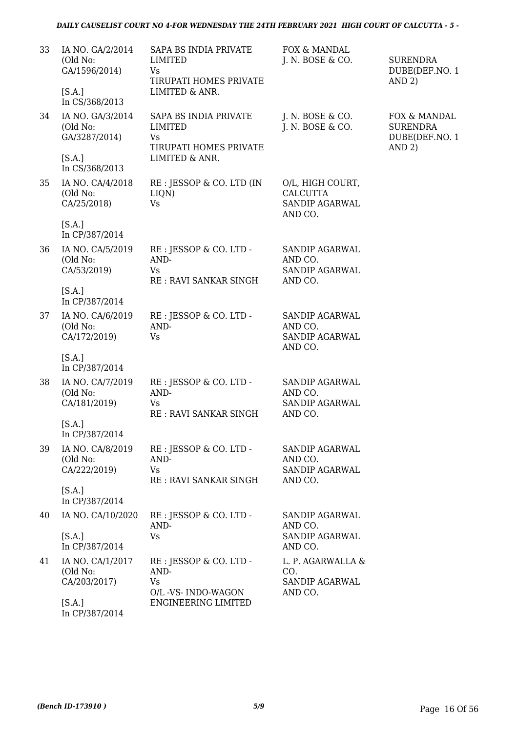| 33 | IA NO. GA/2/2014<br>(Old No:<br>GA/1596/2014)<br>[S.A.] | SAPA BS INDIA PRIVATE<br>LIMITED<br>Vs<br>TIRUPATI HOMES PRIVATE<br>LIMITED & ANR.               | FOX & MANDAL<br>J. N. BOSE & CO.                                     | <b>SURENDRA</b><br>DUBE(DEF.NO. 1<br>AND 2)                 |
|----|---------------------------------------------------------|--------------------------------------------------------------------------------------------------|----------------------------------------------------------------------|-------------------------------------------------------------|
|    | In CS/368/2013                                          |                                                                                                  |                                                                      |                                                             |
| 34 | IA NO. GA/3/2014<br>(Old No:<br>GA/3287/2014)<br>[S.A.] | SAPA BS INDIA PRIVATE<br><b>LIMITED</b><br><b>Vs</b><br>TIRUPATI HOMES PRIVATE<br>LIMITED & ANR. | J. N. BOSE & CO.<br>J. N. BOSE & CO.                                 | FOX & MANDAL<br><b>SURENDRA</b><br>DUBE(DEF.NO. 1<br>AND 2) |
|    | In CS/368/2013                                          |                                                                                                  |                                                                      |                                                             |
| 35 | IA NO. CA/4/2018<br>(Old No:<br>CA/25/2018)             | RE : JESSOP & CO. LTD (IN<br>LIQN)<br><b>Vs</b>                                                  | O/L, HIGH COURT,<br><b>CALCUTTA</b><br>SANDIP AGARWAL<br>AND CO.     |                                                             |
|    | [S.A.]<br>In CP/387/2014                                |                                                                                                  |                                                                      |                                                             |
| 36 | IA NO. CA/5/2019<br>(Old No:<br>CA/53/2019)             | RE : JESSOP & CO. LTD -<br>AND-<br><b>Vs</b><br>RE: RAVI SANKAR SINGH                            | <b>SANDIP AGARWAL</b><br>AND CO.<br>SANDIP AGARWAL<br>AND CO.        |                                                             |
|    | [S.A.]<br>In CP/387/2014                                |                                                                                                  |                                                                      |                                                             |
| 37 | IA NO. CA/6/2019<br>(Old No:<br>CA/172/2019)            | RE : JESSOP & CO. LTD -<br>AND-<br><b>Vs</b>                                                     | <b>SANDIP AGARWAL</b><br>AND CO.<br><b>SANDIP AGARWAL</b><br>AND CO. |                                                             |
|    | [S.A.]<br>In CP/387/2014                                |                                                                                                  |                                                                      |                                                             |
| 38 | IA NO. CA/7/2019<br>(Old No:<br>CA/181/2019)            | RE : JESSOP & CO. LTD -<br>AND-<br>Vs<br>RE: RAVI SANKAR SINGH                                   | SANDIP AGARWAL<br>AND CO.<br>SANDIP AGARWAL<br>AND CO.               |                                                             |
|    | [S.A.]<br>In CP/387/2014                                |                                                                                                  |                                                                      |                                                             |
| 39 | IA NO. CA/8/2019<br>(Old No:<br>CA/222/2019)            | RE : JESSOP & CO. LTD -<br>AND-<br>Vs<br><b>RE: RAVI SANKAR SINGH</b>                            | SANDIP AGARWAL<br>AND CO.<br><b>SANDIP AGARWAL</b><br>AND CO.        |                                                             |
|    | [S.A.]<br>In CP/387/2014                                |                                                                                                  |                                                                      |                                                             |
| 40 | IA NO. CA/10/2020                                       | RE : JESSOP & CO. LTD -<br>AND-                                                                  | SANDIP AGARWAL<br>AND CO.                                            |                                                             |
|    | [S.A.]<br>In CP/387/2014                                | <b>Vs</b>                                                                                        | <b>SANDIP AGARWAL</b><br>AND CO.                                     |                                                             |
| 41 | IA NO. CA/1/2017<br>(Old No:<br>CA/203/2017)            | RE : JESSOP & CO. LTD -<br>AND-<br><b>Vs</b><br>O/L -VS- INDO-WAGON                              | L. P. AGARWALLA &<br>CO.<br><b>SANDIP AGARWAL</b><br>AND CO.         |                                                             |
|    | [S.A.]                                                  | ENGINEERING LIMITED                                                                              |                                                                      |                                                             |

In CP/387/2014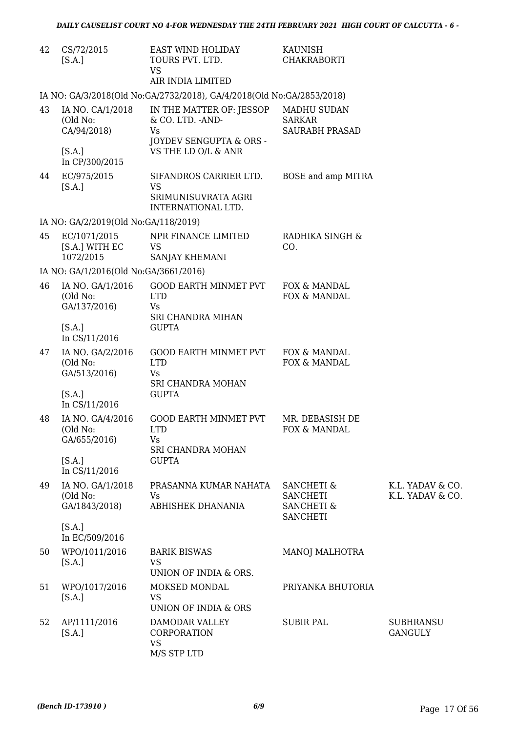| 42 | CS/72/2015<br>[S.A.]                          | EAST WIND HOLIDAY<br>TOURS PVT. LTD.<br><b>VS</b><br>AIR INDIA LIMITED         | KAUNISH<br><b>CHAKRABORTI</b>                                                        |                                      |
|----|-----------------------------------------------|--------------------------------------------------------------------------------|--------------------------------------------------------------------------------------|--------------------------------------|
|    |                                               | IA NO: GA/3/2018(Old No:GA/2732/2018), GA/4/2018(Old No:GA/2853/2018)          |                                                                                      |                                      |
| 43 | IA NO. CA/1/2018<br>(Old No:<br>CA/94/2018)   | IN THE MATTER OF: JESSOP<br>& CO. LTD. - AND-<br>Vs<br>JOYDEV SENGUPTA & ORS - | <b>MADHU SUDAN</b><br><b>SARKAR</b><br><b>SAURABH PRASAD</b>                         |                                      |
|    | [S.A.]<br>In CP/300/2015                      | VS THE LD O/L & ANR                                                            |                                                                                      |                                      |
| 44 | EC/975/2015<br>[S.A.]                         | SIFANDROS CARRIER LTD.<br>VS<br>SRIMUNISUVRATA AGRI<br>INTERNATIONAL LTD.      | BOSE and amp MITRA                                                                   |                                      |
|    | IA NO: GA/2/2019(Old No:GA/118/2019)          |                                                                                |                                                                                      |                                      |
| 45 | EC/1071/2015<br>[S.A.] WITH EC<br>1072/2015   | NPR FINANCE LIMITED<br><b>VS</b><br>SANJAY KHEMANI                             | RADHIKA SINGH &<br>CO.                                                               |                                      |
|    | IA NO: GA/1/2016(Old No:GA/3661/2016)         |                                                                                |                                                                                      |                                      |
| 46 | IA NO. GA/1/2016<br>(Old No:<br>GA/137/2016)  | <b>GOOD EARTH MINMET PVT</b><br><b>LTD</b><br>Vs                               | FOX & MANDAL<br>FOX & MANDAL                                                         |                                      |
|    | [S.A.]<br>In CS/11/2016                       | SRI CHANDRA MIHAN<br><b>GUPTA</b>                                              |                                                                                      |                                      |
| 47 | IA NO. GA/2/2016<br>(Old No:<br>GA/513/2016)  | GOOD EARTH MINMET PVT<br><b>LTD</b><br>Vs<br>SRI CHANDRA MOHAN                 | FOX & MANDAL<br>FOX & MANDAL                                                         |                                      |
|    | [S.A.]<br>In CS/11/2016                       | <b>GUPTA</b>                                                                   |                                                                                      |                                      |
| 48 | IA NO. GA/4/2016<br>(Old No:<br>GA/655/2016)  | <b>GOOD EARTH MINMET PVT</b><br><b>LTD</b><br><b>Vs</b>                        | MR. DEBASISH DE<br><b>FOX &amp; MANDAL</b>                                           |                                      |
|    | [S.A.]<br>In CS/11/2016                       | SRI CHANDRA MOHAN<br><b>GUPTA</b>                                              |                                                                                      |                                      |
| 49 | IA NO. GA/1/2018<br>(Old No:<br>GA/1843/2018) | PRASANNA KUMAR NAHATA<br>Vs<br>ABHISHEK DHANANIA                               | <b>SANCHETI &amp;</b><br><b>SANCHETI</b><br><b>SANCHETI &amp;</b><br><b>SANCHETI</b> | K.L. YADAV & CO.<br>K.L. YADAV & CO. |
|    | [S.A.]<br>In EC/509/2016                      |                                                                                |                                                                                      |                                      |
| 50 | WPO/1011/2016<br>[S.A.]                       | <b>BARIK BISWAS</b><br><b>VS</b><br>UNION OF INDIA & ORS.                      | <b>MANOJ MALHOTRA</b>                                                                |                                      |
| 51 | WPO/1017/2016<br>[S.A.]                       | MOKSED MONDAL<br><b>VS</b><br>UNION OF INDIA & ORS                             | PRIYANKA BHUTORIA                                                                    |                                      |
| 52 | AP/1111/2016<br>[S.A.]                        | DAMODAR VALLEY<br>CORPORATION<br><b>VS</b><br>M/S STP LTD                      | <b>SUBIR PAL</b>                                                                     | <b>SUBHRANSU</b><br><b>GANGULY</b>   |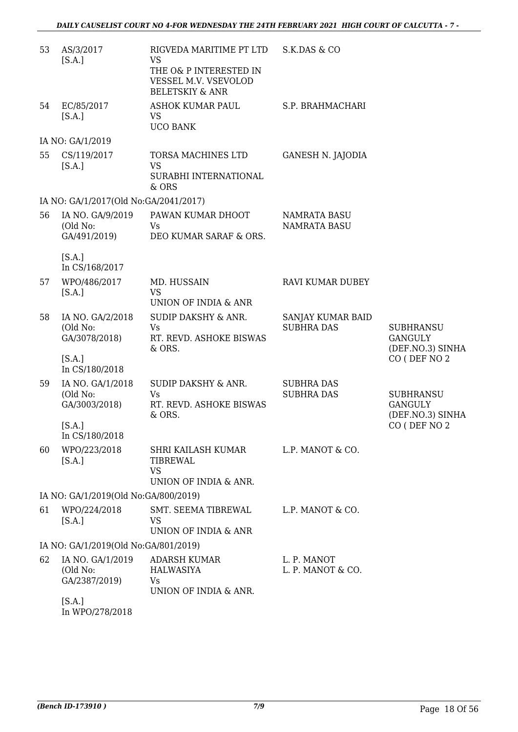| 53 | AS/3/2017<br>[S.A.]                           | RIGVEDA MARITIME PT LTD<br><b>VS</b><br>THE O& P INTERESTED IN<br>VESSEL M.V. VSEVOLOD<br><b>BELETSKIY &amp; ANR</b> | S.K.DAS & CO                               |                                                        |
|----|-----------------------------------------------|----------------------------------------------------------------------------------------------------------------------|--------------------------------------------|--------------------------------------------------------|
| 54 | EC/85/2017<br>[S.A.]                          | <b>ASHOK KUMAR PAUL</b><br><b>VS</b><br><b>UCO BANK</b>                                                              | S.P. BRAHMACHARI                           |                                                        |
|    | IA NO: GA/1/2019                              |                                                                                                                      |                                            |                                                        |
| 55 | CS/119/2017<br>[S.A.]                         | <b>TORSA MACHINES LTD</b><br><b>VS</b><br>SURABHI INTERNATIONAL<br>& ORS                                             | <b>GANESH N. JAJODIA</b>                   |                                                        |
|    | IA NO: GA/1/2017(Old No:GA/2041/2017)         |                                                                                                                      |                                            |                                                        |
| 56 | IA NO. GA/9/2019<br>(Old No:<br>GA/491/2019)  | PAWAN KUMAR DHOOT<br>Vs<br>DEO KUMAR SARAF & ORS.                                                                    | <b>NAMRATA BASU</b><br><b>NAMRATA BASU</b> |                                                        |
|    | [S.A.]<br>In CS/168/2017                      |                                                                                                                      |                                            |                                                        |
| 57 | WPO/486/2017<br>[S.A.]                        | MD. HUSSAIN<br><b>VS</b><br>UNION OF INDIA & ANR                                                                     | <b>RAVI KUMAR DUBEY</b>                    |                                                        |
| 58 | IA NO. GA/2/2018<br>(Old No:<br>GA/3078/2018) | SUDIP DAKSHY & ANR.<br>Vs<br>RT. REVD. ASHOKE BISWAS<br>& ORS.                                                       | SANJAY KUMAR BAID<br><b>SUBHRA DAS</b>     | <b>SUBHRANSU</b><br><b>GANGULY</b><br>(DEF.NO.3) SINHA |
|    | [S.A.]<br>In CS/180/2018                      |                                                                                                                      |                                            | CO (DEF NO 2                                           |
| 59 | IA NO. GA/1/2018<br>(Old No:<br>GA/3003/2018) | <b>SUDIP DAKSHY &amp; ANR.</b><br><b>Vs</b><br>RT. REVD. ASHOKE BISWAS<br>& ORS.                                     | <b>SUBHRA DAS</b><br><b>SUBHRA DAS</b>     | <b>SUBHRANSU</b><br><b>GANGULY</b><br>(DEF.NO.3) SINHA |
|    | [S.A.]<br>In CS/180/2018                      |                                                                                                                      |                                            | CO (DEF NO 2                                           |
| 60 | WPO/223/2018<br>[S.A.]                        | SHRI KAILASH KUMAR<br><b>TIBREWAL</b><br><b>VS</b><br>UNION OF INDIA & ANR.                                          | L.P. MANOT & CO.                           |                                                        |
|    | IA NO: GA/1/2019(Old No:GA/800/2019)          |                                                                                                                      |                                            |                                                        |
| 61 | WPO/224/2018<br>[S.A.]                        | SMT. SEEMA TIBREWAL<br>VS<br>UNION OF INDIA & ANR                                                                    | L.P. MANOT & CO.                           |                                                        |
|    | IA NO: GA/1/2019(Old No:GA/801/2019)          |                                                                                                                      |                                            |                                                        |
| 62 | IA NO. GA/1/2019                              | <b>ADARSH KUMAR</b>                                                                                                  | L. P. MANOT                                |                                                        |
|    | (Old No:<br>GA/2387/2019)                     | <b>HALWASIYA</b><br>Vs<br>UNION OF INDIA & ANR.                                                                      | L. P. MANOT & CO.                          |                                                        |
|    | [S.A.]<br><u>ם נממים קרמי</u> ם               |                                                                                                                      |                                            |                                                        |

In WPO/278/2018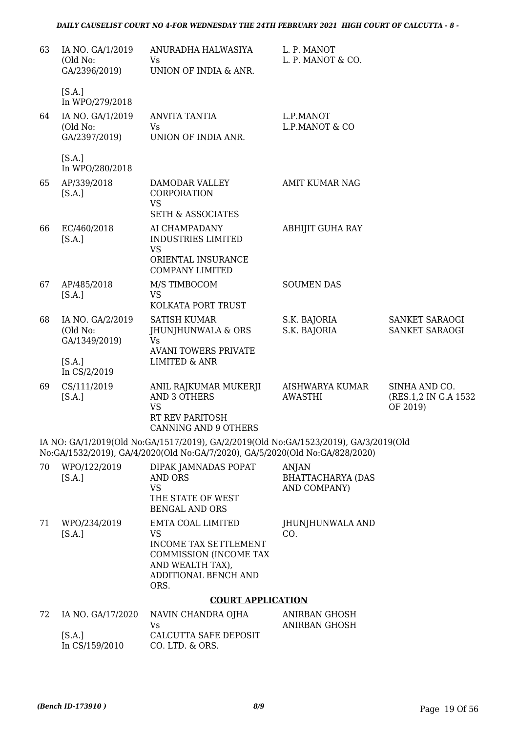| 63 | IA NO. GA/1/2019<br>(Old No:<br>GA/2396/2019)                              | ANURADHA HALWASIYA<br><b>Vs</b><br>UNION OF INDIA & ANR.                                                                                                             | L. P. MANOT<br>L. P. MANOT & CO.                  |                                                    |
|----|----------------------------------------------------------------------------|----------------------------------------------------------------------------------------------------------------------------------------------------------------------|---------------------------------------------------|----------------------------------------------------|
| 64 | [S.A.]<br>In WPO/279/2018<br>IA NO. GA/1/2019<br>(Old No:<br>GA/2397/2019) | <b>ANVITA TANTIA</b><br>Vs<br>UNION OF INDIA ANR.                                                                                                                    | L.P.MANOT<br>L.P.MANOT & CO                       |                                                    |
|    | [S.A.]<br>In WPO/280/2018                                                  |                                                                                                                                                                      |                                                   |                                                    |
| 65 | AP/339/2018<br>[S.A.]                                                      | DAMODAR VALLEY<br><b>CORPORATION</b><br><b>VS</b>                                                                                                                    | <b>AMIT KUMAR NAG</b>                             |                                                    |
| 66 | EC/460/2018<br>[S.A.]                                                      | <b>SETH &amp; ASSOCIATES</b><br>AI CHAMPADANY<br><b>INDUSTRIES LIMITED</b><br><b>VS</b>                                                                              | ABHIJIT GUHA RAY                                  |                                                    |
|    |                                                                            | ORIENTAL INSURANCE<br><b>COMPANY LIMITED</b>                                                                                                                         |                                                   |                                                    |
| 67 | AP/485/2018<br>[S.A.]                                                      | M/S TIMBOCOM<br><b>VS</b><br>KOLKATA PORT TRUST                                                                                                                      | <b>SOUMEN DAS</b>                                 |                                                    |
| 68 | IA NO. GA/2/2019<br>(Old No:<br>GA/1349/2019)                              | <b>SATISH KUMAR</b><br>JHUNJHUNWALA & ORS<br><b>Vs</b>                                                                                                               | S.K. BAJORIA<br>S.K. BAJORIA                      | SANKET SARAOGI<br>SANKET SARAOGI                   |
|    | [S.A.]<br>In CS/2/2019                                                     | <b>AVANI TOWERS PRIVATE</b><br><b>LIMITED &amp; ANR</b>                                                                                                              |                                                   |                                                    |
| 69 | CS/111/2019<br>[S.A.]                                                      | ANIL RAJKUMAR MUKERJI<br><b>AND 3 OTHERS</b><br><b>VS</b><br>RT REV PARITOSH<br><b>CANNING AND 9 OTHERS</b>                                                          | AISHWARYA KUMAR<br><b>AWASTHI</b>                 | SINHA AND CO.<br>(RES.1,2 IN G.A 1532)<br>OF 2019) |
|    |                                                                            | IA NO: GA/1/2019(Old No:GA/1517/2019), GA/2/2019(Old No:GA/1523/2019), GA/3/2019(Old<br>No:GA/1532/2019), GA/4/2020(Old No:GA/7/2020), GA/5/2020(Old No:GA/828/2020) |                                                   |                                                    |
| 70 | WPO/122/2019<br>[S.A.]                                                     | DIPAK JAMNADAS POPAT<br>AND ORS<br><b>VS</b><br>THE STATE OF WEST<br><b>BENGAL AND ORS</b>                                                                           | ANJAN<br><b>BHATTACHARYA (DAS</b><br>AND COMPANY) |                                                    |
| 71 | WPO/234/2019<br>[S.A.]                                                     | EMTA COAL LIMITED<br><b>VS</b><br><b>INCOME TAX SETTLEMENT</b><br>COMMISSION (INCOME TAX<br>AND WEALTH TAX),<br>ADDITIONAL BENCH AND<br>ORS.                         | JHUNJHUNWALA AND<br>CO.                           |                                                    |
|    |                                                                            | <b>COURT APPLICATION</b>                                                                                                                                             |                                                   |                                                    |
| 72 | IA NO. GA/17/2020<br>[S.A.]                                                | NAVIN CHANDRA OJHA<br>Vs<br>CALCUTTA SAFE DEPOSIT                                                                                                                    | ANIRBAN GHOSH<br><b>ANIRBAN GHOSH</b>             |                                                    |
|    |                                                                            |                                                                                                                                                                      |                                                   |                                                    |

In CS/159/2010 CO. LTD. & ORS.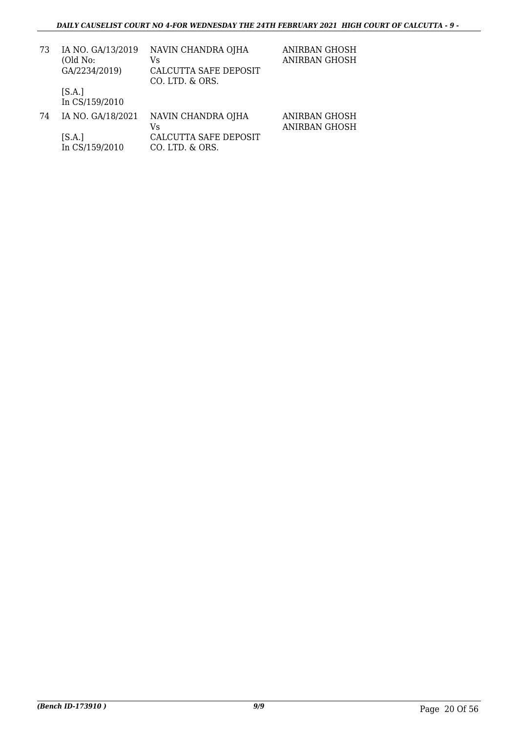| 73 | IA NO. GA/13/2019<br>(Old No:<br>GA/2234/2019) | NAVIN CHANDRA OJHA<br>Vs<br>CALCUTTA SAFE DEPOSIT<br>CO. LTD. & ORS. | ANIRBAN GHOSH<br>ANIRBAN GHOSH |
|----|------------------------------------------------|----------------------------------------------------------------------|--------------------------------|
|    | [S.A.]<br>In CS/159/2010                       |                                                                      |                                |
| 74 | IA NO. GA/18/2021                              | NAVIN CHANDRA OJHA<br>Vs                                             | ANIRBAN GHOSH<br>ANIRBAN GHOSH |
|    | [S.A.]<br>In CS/159/2010                       | CALCUTTA SAFE DEPOSIT<br>CO. LTD. & ORS.                             |                                |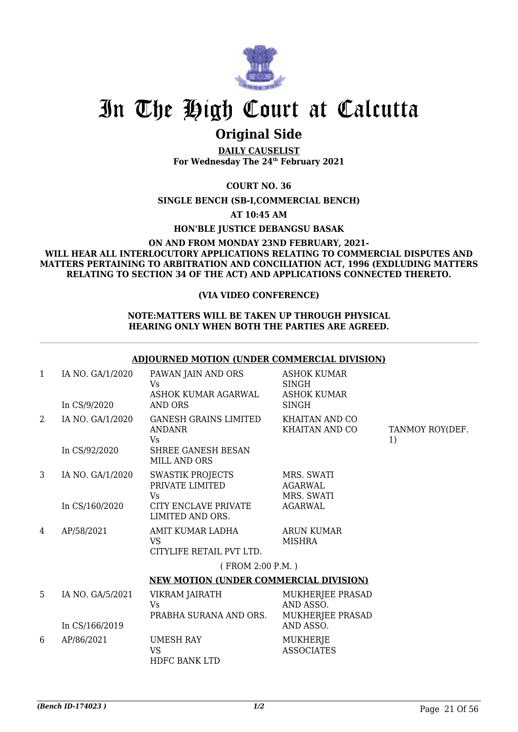![](_page_22_Picture_0.jpeg)

## **Original Side**

**DAILY CAUSELIST For Wednesday The 24th February 2021**

**COURT NO. 36**

**SINGLE BENCH (SB-I,COMMERCIAL BENCH)**

**AT 10:45 AM**

**HON'BLE JUSTICE DEBANGSU BASAK**

#### **ON AND FROM MONDAY 23ND FEBRUARY, 2021- WILL HEAR ALL INTERLOCUTORY APPLICATIONS RELATING TO COMMERCIAL DISPUTES AND MATTERS PERTAINING TO ARBITRATION AND CONCILIATION ACT, 1996 (EXDLUDING MATTERS RELATING TO SECTION 34 OF THE ACT) AND APPLICATIONS CONNECTED THERETO.**

#### **(VIA VIDEO CONFERENCE)**

#### **NOTE:MATTERS WILL BE TAKEN UP THROUGH PHYSICAL HEARING ONLY WHEN BOTH THE PARTIES ARE AGREED.**

#### **ADJOURNED MOTION (UNDER COMMERCIAL DIVISION)**

| $\mathbf{1}$   | IA NO. GA/1/2020 | PAWAN JAIN AND ORS<br>Vs<br>ASHOK KUMAR AGARWAL           | <b>ASHOK KUMAR</b><br><b>SINGH</b><br><b>ASHOK KUMAR</b> |                       |
|----------------|------------------|-----------------------------------------------------------|----------------------------------------------------------|-----------------------|
|                | In CS/9/2020     | AND ORS                                                   | <b>SINGH</b>                                             |                       |
| 2              | IA NO. GA/1/2020 | <b>GANESH GRAINS LIMITED</b><br><b>ANDANR</b><br>Vs       | <b>KHAITAN AND CO</b><br>KHAITAN AND CO                  | TANMOY ROY(DEF.<br>1) |
|                | In CS/92/2020    | SHREE GANESH BESAN<br><b>MILL AND ORS</b>                 |                                                          |                       |
| 3              | IA NO. GA/1/2020 | SWASTIK PROJECTS<br>PRIVATE LIMITED<br>Vs                 | MRS. SWATI<br><b>AGARWAL</b><br>MRS. SWATI               |                       |
|                | In CS/160/2020   | CITY ENCLAVE PRIVATE<br>LIMITED AND ORS.                  | <b>AGARWAL</b>                                           |                       |
| $\overline{4}$ | AP/58/2021       | AMIT KUMAR LADHA<br><b>VS</b><br>CITYLIFE RETAIL PVT LTD. | <b>ARUN KUMAR</b><br><b>MISHRA</b>                       |                       |
|                |                  | (FROM 2:00 P.M.)                                          |                                                          |                       |
|                |                  | <b>NEW MOTION (UNDER COMMERCIAL DIVISION)</b>             |                                                          |                       |
| 5              | IA NO. GA/5/2021 | VIKRAM JAIRATH<br>Vs<br>PRABHA SURANA AND ORS.            | MUKHERJEE PRASAD<br>AND ASSO.<br>MUKHERJEE PRASAD        |                       |
|                | In CS/166/2019   |                                                           | AND ASSO.                                                |                       |
| 6              | AP/86/2021       | <b>UMESH RAY</b><br><b>VS</b><br><b>HDFC BANK LTD</b>     | MUKHERJE<br><b>ASSOCIATES</b>                            |                       |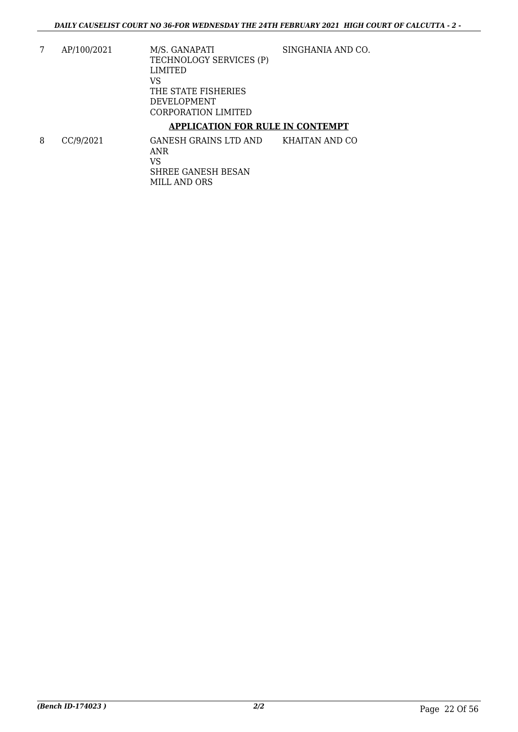7 AP/100/2021 M/S. GANAPATI TECHNOLOGY SERVICES (P) LIMITED VS THE STATE FISHERIES DEVELOPMENT CORPORATION LIMITED SINGHANIA AND CO.

### **APPLICATION FOR RULE IN CONTEMPT**

8 CC/9/2021 GANESH GRAINS LTD AND ANR VS SHREE GANESH BESAN MILL AND ORS KHAITAN AND CO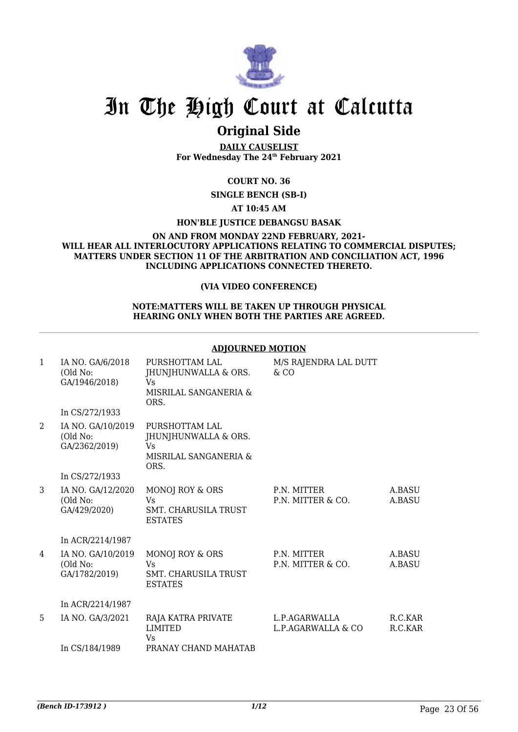![](_page_24_Picture_0.jpeg)

### **Original Side**

**DAILY CAUSELIST For Wednesday The 24th February 2021**

#### **COURT NO. 36**

#### **SINGLE BENCH (SB-I)**

#### **AT 10:45 AM**

#### **HON'BLE JUSTICE DEBANGSU BASAK**

#### **ON AND FROM MONDAY 22ND FEBRUARY, 2021- WILL HEAR ALL INTERLOCUTORY APPLICATIONS RELATING TO COMMERCIAL DISPUTES; MATTERS UNDER SECTION 11 OF THE ARBITRATION AND CONCILIATION ACT, 1996 INCLUDING APPLICATIONS CONNECTED THERETO.**

#### **(VIA VIDEO CONFERENCE)**

#### **NOTE:MATTERS WILL BE TAKEN UP THROUGH PHYSICAL HEARING ONLY WHEN BOTH THE PARTIES ARE AGREED.**

#### **ADJOURNED MOTION**

| $\mathbf{1}$ | IA NO. GA/6/2018<br>(Old No:<br>GA/1946/2018)  | PURSHOTTAM LAL<br>JHUNJHUNWALLA & ORS.<br>Vs<br>MISRILAL SANGANERIA &<br>ORS.        | M/S RAJENDRA LAL DUTT<br>$&$ CO     |                    |
|--------------|------------------------------------------------|--------------------------------------------------------------------------------------|-------------------------------------|--------------------|
|              | In CS/272/1933                                 |                                                                                      |                                     |                    |
| 2            | IA NO. GA/10/2019<br>(Old No:<br>GA/2362/2019) | PURSHOTTAM LAL<br>JHUNJHUNWALLA & ORS.<br><b>Vs</b><br>MISRILAL SANGANERIA &<br>ORS. |                                     |                    |
|              | In CS/272/1933                                 |                                                                                      |                                     |                    |
| 3            | IA NO. GA/12/2020<br>(Old No:<br>GA/429/2020)  | MONOJ ROY & ORS<br>Vs<br><b>SMT. CHARUSILA TRUST</b><br><b>ESTATES</b>               | P.N. MITTER<br>P.N. MITTER & CO.    | A.BASU<br>A.BASU   |
|              | In ACR/2214/1987                               |                                                                                      |                                     |                    |
| 4            | IA NO. GA/10/2019<br>(Old No:<br>GA/1782/2019) | MONOJ ROY & ORS<br>Vs<br><b>SMT. CHARUSILA TRUST</b><br><b>ESTATES</b>               | P.N. MITTER<br>P.N. MITTER & CO.    | A.BASU<br>A.BASU   |
|              | In ACR/2214/1987                               |                                                                                      |                                     |                    |
| 5            | IA NO. GA/3/2021                               | RAJA KATRA PRIVATE<br><b>LIMITED</b><br>Vs                                           | L.P.AGARWALLA<br>L.P.AGARWALLA & CO | R.C.KAR<br>R.C.KAR |
|              | In CS/184/1989                                 | PRANAY CHAND MAHATAB                                                                 |                                     |                    |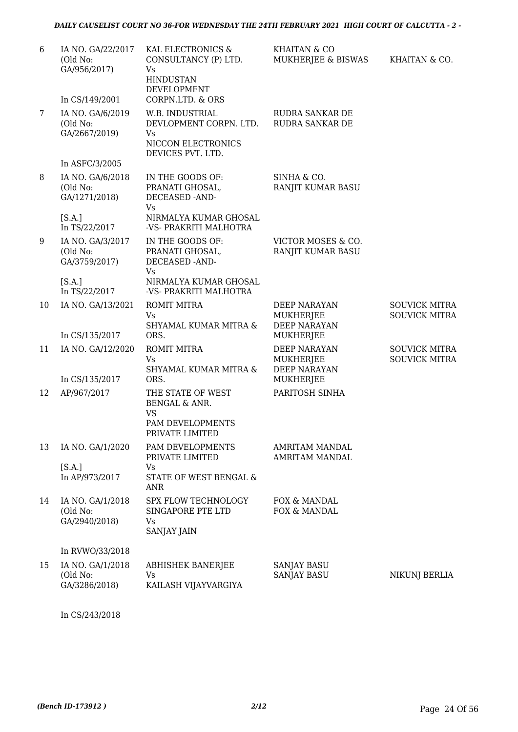### *DAILY CAUSELIST COURT NO 36-FOR WEDNESDAY THE 24TH FEBRUARY 2021 HIGH COURT OF CALCUTTA - 2 -*

| 6  | IA NO. GA/22/2017<br>(Old No:<br>GA/956/2017)<br>In CS/149/2001 | KAL ELECTRONICS &<br>CONSULTANCY (P) LTD.<br>Vs.<br><b>HINDUSTAN</b><br>DEVELOPMENT<br>CORPN.LTD. & ORS | KHAITAN & CO<br>MUKHERJEE & BISWAS                                          | KHAITAN & CO.                                |
|----|-----------------------------------------------------------------|---------------------------------------------------------------------------------------------------------|-----------------------------------------------------------------------------|----------------------------------------------|
| 7  | IA NO. GA/6/2019<br>(Old No:<br>GA/2667/2019)                   | W.B. INDUSTRIAL<br>DEVLOPMENT CORPN. LTD.<br>Vs.<br>NICCON ELECTRONICS<br>DEVICES PVT. LTD.             | RUDRA SANKAR DE<br>RUDRA SANKAR DE                                          |                                              |
|    | In ASFC/3/2005                                                  |                                                                                                         |                                                                             |                                              |
| 8  | IA NO. GA/6/2018<br>(Old No:<br>GA/1271/2018)                   | IN THE GOODS OF:<br>PRANATI GHOSAL,<br>DECEASED -AND-<br>Vs                                             | SINHA & CO.<br>RANJIT KUMAR BASU                                            |                                              |
|    | [S.A.]<br>In TS/22/2017                                         | NIRMALYA KUMAR GHOSAL<br>-VS- PRAKRITI MALHOTRA                                                         |                                                                             |                                              |
| 9  | IA NO. GA/3/2017<br>(Old No:<br>GA/3759/2017)                   | IN THE GOODS OF:<br>PRANATI GHOSAL,<br>DECEASED -AND-<br><b>Vs</b>                                      | VICTOR MOSES & CO.<br>RANJIT KUMAR BASU                                     |                                              |
|    | [S.A.]<br>In TS/22/2017                                         | NIRMALYA KUMAR GHOSAL<br>-VS- PRAKRITI MALHOTRA                                                         |                                                                             |                                              |
| 10 | IA NO. GA/13/2021<br>In CS/135/2017                             | <b>ROMIT MITRA</b><br><b>Vs</b><br>SHYAMAL KUMAR MITRA &<br>ORS.                                        | <b>DEEP NARAYAN</b><br><b>MUKHERJEE</b><br><b>DEEP NARAYAN</b><br>MUKHERJEE | <b>SOUVICK MITRA</b><br><b>SOUVICK MITRA</b> |
| 11 | IA NO. GA/12/2020<br>In CS/135/2017                             | <b>ROMIT MITRA</b><br>Vs.<br>SHYAMAL KUMAR MITRA &<br>ORS.                                              | <b>DEEP NARAYAN</b><br>MUKHERJEE<br><b>DEEP NARAYAN</b><br>MUKHERJEE        | <b>SOUVICK MITRA</b><br><b>SOUVICK MITRA</b> |
| 12 | AP/967/2017                                                     | THE STATE OF WEST<br>BENGAL & ANR.<br>VS                                                                | PARITOSH SINHA                                                              |                                              |
|    |                                                                 | PAM DEVELOPMENTS<br>PRIVATE LIMITED                                                                     |                                                                             |                                              |
| 13 | IA NO. GA/1/2020                                                | PAM DEVELOPMENTS<br>PRIVATE LIMITED                                                                     | <b>AMRITAM MANDAL</b><br>AMRITAM MANDAL                                     |                                              |
|    | [S.A.]<br>In AP/973/2017                                        | Vs<br>STATE OF WEST BENGAL &<br><b>ANR</b>                                                              |                                                                             |                                              |
| 14 | IA NO. GA/1/2018<br>(Old No:<br>GA/2940/2018)                   | <b>SPX FLOW TECHNOLOGY</b><br>SINGAPORE PTE LTD<br>Vs<br><b>SANJAY JAIN</b>                             | FOX & MANDAL<br>FOX & MANDAL                                                |                                              |
|    | In RVWO/33/2018                                                 |                                                                                                         |                                                                             |                                              |
| 15 | IA NO. GA/1/2018<br>(Old No:<br>GA/3286/2018)                   | <b>ABHISHEK BANERJEE</b><br>Vs<br>KAILASH VIJAYVARGIYA                                                  | <b>SANJAY BASU</b><br><b>SANJAY BASU</b>                                    | NIKUNJ BERLIA                                |

In CS/243/2018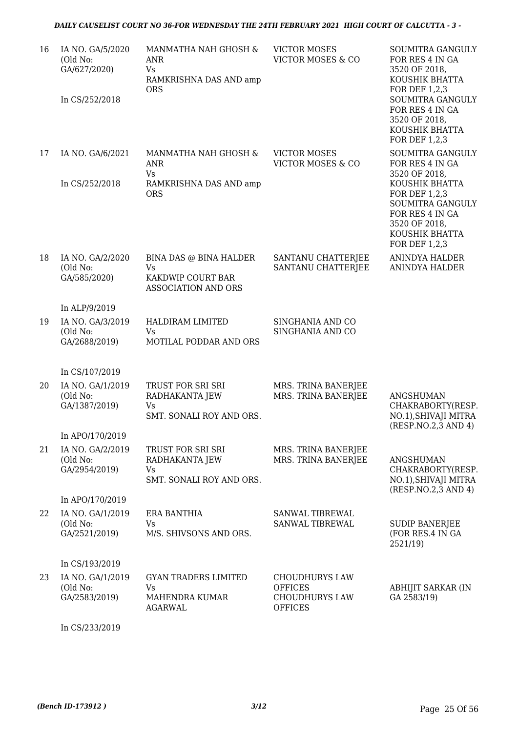| 16 | IA NO. GA/5/2020<br>(Old No:<br>GA/627/2020)<br>In CS/252/2018 | MANMATHA NAH GHOSH &<br><b>ANR</b><br>Vs.<br>RAMKRISHNA DAS AND amp<br><b>ORS</b>      | <b>VICTOR MOSES</b><br><b>VICTOR MOSES &amp; CO</b>                                | SOUMITRA GANGULY<br>FOR RES 4 IN GA<br>3520 OF 2018,<br>KOUSHIK BHATTA<br>FOR DEF 1,2,3<br>SOUMITRA GANGULY<br>FOR RES 4 IN GA<br>3520 OF 2018,<br>KOUSHIK BHATTA<br>FOR DEF 1,2,3 |
|----|----------------------------------------------------------------|----------------------------------------------------------------------------------------|------------------------------------------------------------------------------------|------------------------------------------------------------------------------------------------------------------------------------------------------------------------------------|
| 17 | IA NO. GA/6/2021<br>In CS/252/2018                             | MANMATHA NAH GHOSH &<br><b>ANR</b><br>Vs<br>RAMKRISHNA DAS AND amp                     | <b>VICTOR MOSES</b><br><b>VICTOR MOSES &amp; CO</b>                                | <b>SOUMITRA GANGULY</b><br>FOR RES 4 IN GA<br>3520 OF 2018,<br>KOUSHIK BHATTA                                                                                                      |
|    |                                                                | <b>ORS</b>                                                                             |                                                                                    | FOR DEF 1,2,3<br>SOUMITRA GANGULY<br>FOR RES 4 IN GA<br>3520 OF 2018,<br>KOUSHIK BHATTA<br>FOR DEF 1,2,3                                                                           |
| 18 | IA NO. GA/2/2020<br>(Old No:<br>GA/585/2020)                   | BINA DAS @ BINA HALDER<br><b>Vs</b><br>KAKDWIP COURT BAR<br><b>ASSOCIATION AND ORS</b> | SANTANU CHATTERJEE<br>SANTANU CHATTERJEE                                           | <b>ANINDYA HALDER</b><br>ANINDYA HALDER                                                                                                                                            |
|    | In ALP/9/2019                                                  |                                                                                        |                                                                                    |                                                                                                                                                                                    |
| 19 | IA NO. GA/3/2019<br>(Old No:<br>GA/2688/2019)                  | HALDIRAM LIMITED<br><b>Vs</b><br>MOTILAL PODDAR AND ORS                                | SINGHANIA AND CO<br>SINGHANIA AND CO                                               |                                                                                                                                                                                    |
|    | In CS/107/2019                                                 |                                                                                        |                                                                                    |                                                                                                                                                                                    |
| 20 | IA NO. GA/1/2019<br>(Old No:<br>GA/1387/2019)                  | TRUST FOR SRI SRI<br>RADHAKANTA JEW<br>Vs<br>SMT. SONALI ROY AND ORS.                  | MRS. TRINA BANERJEE<br>MRS. TRINA BANERJEE                                         | <b>ANGSHUMAN</b><br>CHAKRABORTY(RESP.<br>NO.1), SHIVAJI MITRA<br>(RESP.NO.2,3 AND 4)                                                                                               |
|    | In APO/170/2019                                                |                                                                                        |                                                                                    |                                                                                                                                                                                    |
| 21 | IA NO. GA/2/2019<br>(Old No:<br>GA/2954/2019)                  | TRUST FOR SRI SRI<br>RADHAKANTA JEW<br>Vs<br>SMT. SONALI ROY AND ORS.                  | MRS. TRINA BANERJEE<br>MRS. TRINA BANERJEE                                         | <b>ANGSHUMAN</b><br>CHAKRABORTY(RESP.<br>NO.1), SHIVAJI MITRA<br>(RESP.NO.2,3 AND 4)                                                                                               |
|    | In APO/170/2019                                                |                                                                                        |                                                                                    |                                                                                                                                                                                    |
| 22 | IA NO. GA/1/2019<br>(Old No:<br>GA/2521/2019)                  | <b>ERA BANTHIA</b><br><b>Vs</b><br>M/S. SHIVSONS AND ORS.                              | SANWAL TIBREWAL<br>SANWAL TIBREWAL                                                 | <b>SUDIP BANERJEE</b><br>(FOR RES.4 IN GA<br>2521/19)                                                                                                                              |
|    | In CS/193/2019                                                 |                                                                                        |                                                                                    |                                                                                                                                                                                    |
| 23 | IA NO. GA/1/2019<br>(Old No:<br>GA/2583/2019)                  | <b>GYAN TRADERS LIMITED</b><br>Vs<br>MAHENDRA KUMAR<br><b>AGARWAL</b>                  | <b>CHOUDHURYS LAW</b><br><b>OFFICES</b><br><b>CHOUDHURYS LAW</b><br><b>OFFICES</b> | ABHIJIT SARKAR (IN<br>GA 2583/19)                                                                                                                                                  |

In CS/233/2019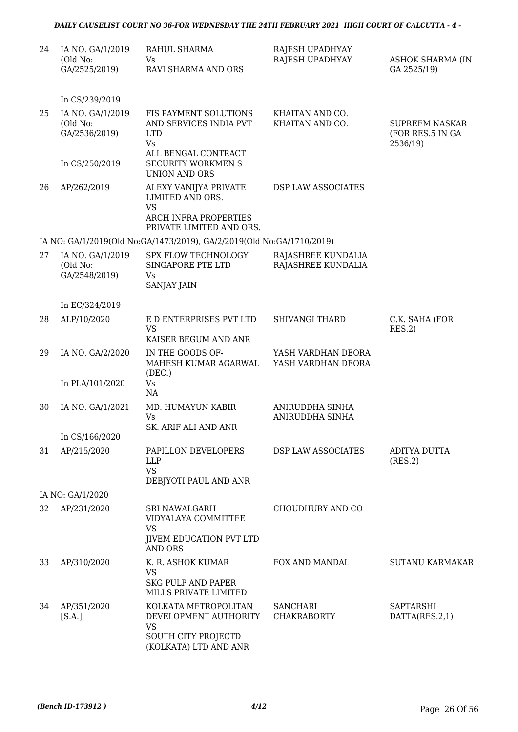| 24 | IA NO. GA/1/2019<br>(Old No:<br>GA/2525/2019) | RAHUL SHARMA<br>Vs.<br>RAVI SHARMA AND ORS                                                                   | RAJESH UPADHYAY<br>RAJESH UPADHYAY       | <b>ASHOK SHARMA (IN</b><br>GA 2525/19)                |
|----|-----------------------------------------------|--------------------------------------------------------------------------------------------------------------|------------------------------------------|-------------------------------------------------------|
|    | In CS/239/2019                                |                                                                                                              |                                          |                                                       |
| 25 | IA NO. GA/1/2019<br>(Old No:<br>GA/2536/2019) | FIS PAYMENT SOLUTIONS<br>AND SERVICES INDIA PVT<br><b>LTD</b><br>Vs<br>ALL BENGAL CONTRACT                   | KHAITAN AND CO.<br>KHAITAN AND CO.       | <b>SUPREEM NASKAR</b><br>(FOR RES.5 IN GA<br>2536/19) |
|    | In CS/250/2019                                | <b>SECURITY WORKMEN S</b><br><b>UNION AND ORS</b>                                                            |                                          |                                                       |
| 26 | AP/262/2019                                   | ALEXY VANIJYA PRIVATE<br>LIMITED AND ORS.<br><b>VS</b><br>ARCH INFRA PROPERTIES<br>PRIVATE LIMITED AND ORS.  | DSP LAW ASSOCIATES                       |                                                       |
|    |                                               | IA NO: GA/1/2019(Old No:GA/1473/2019), GA/2/2019(Old No:GA/1710/2019)                                        |                                          |                                                       |
| 27 | IA NO. GA/1/2019<br>(Old No:<br>GA/2548/2019) | SPX FLOW TECHNOLOGY<br>SINGAPORE PTE LTD<br>Vs.<br><b>SANJAY JAIN</b>                                        | RAJASHREE KUNDALIA<br>RAJASHREE KUNDALIA |                                                       |
|    | In EC/324/2019                                |                                                                                                              |                                          |                                                       |
| 28 | ALP/10/2020                                   | E D ENTERPRISES PVT LTD<br><b>VS</b><br>KAISER BEGUM AND ANR                                                 | <b>SHIVANGI THARD</b>                    | C.K. SAHA (FOR<br>RES.2)                              |
| 29 | IA NO. GA/2/2020                              | IN THE GOODS OF-<br>MAHESH KUMAR AGARWAL<br>(DEC.)                                                           | YASH VARDHAN DEORA<br>YASH VARDHAN DEORA |                                                       |
|    | In PLA/101/2020                               | Vs<br>NA                                                                                                     |                                          |                                                       |
| 30 | IA NO. GA/1/2021                              | MD. HUMAYUN KABIR<br>Vs<br>SK. ARIF ALI AND ANR                                                              | ANIRUDDHA SINHA<br>ANIRUDDHA SINHA       |                                                       |
|    | In CS/166/2020                                |                                                                                                              |                                          |                                                       |
| 31 | AP/215/2020                                   | PAPILLON DEVELOPERS<br><b>LLP</b><br><b>VS</b><br>DEBJYOTI PAUL AND ANR                                      | DSP LAW ASSOCIATES                       | ADITYA DUTTA<br>(RES.2)                               |
|    | IA NO: GA/1/2020                              |                                                                                                              |                                          |                                                       |
| 32 | AP/231/2020                                   | <b>SRI NAWALGARH</b><br>VIDYALAYA COMMITTEE<br><b>VS</b><br><b>JIVEM EDUCATION PVT LTD</b><br><b>AND ORS</b> | CHOUDHURY AND CO                         |                                                       |
| 33 | AP/310/2020                                   | K. R. ASHOK KUMAR<br>VS<br><b>SKG PULP AND PAPER</b><br>MILLS PRIVATE LIMITED                                | FOX AND MANDAL                           | <b>SUTANU KARMAKAR</b>                                |
| 34 | AP/351/2020<br>[S.A.]                         | KOLKATA METROPOLITAN<br>DEVELOPMENT AUTHORITY<br>VS<br>SOUTH CITY PROJECTD<br>(KOLKATA) LTD AND ANR          | <b>SANCHARI</b><br><b>CHAKRABORTY</b>    | SAPTARSHI<br>DATTA(RES.2,1)                           |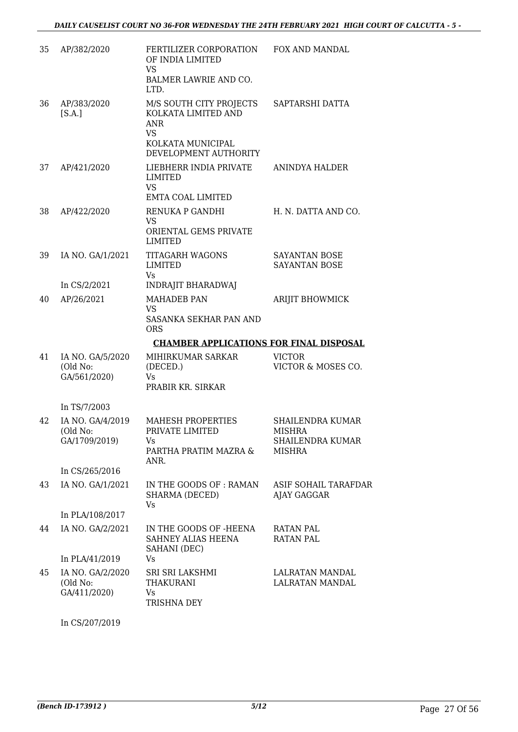| 35 | AP/382/2020                                   | FERTILIZER CORPORATION<br>OF INDIA LIMITED<br><b>VS</b><br>BALMER LAWRIE AND CO.<br>LTD. | <b>FOX AND MANDAL</b>                                                  |
|----|-----------------------------------------------|------------------------------------------------------------------------------------------|------------------------------------------------------------------------|
| 36 | AP/383/2020<br>[S.A.]                         | M/S SOUTH CITY PROJECTS<br>KOLKATA LIMITED AND<br><b>ANR</b><br><b>VS</b>                | SAPTARSHI DATTA                                                        |
|    |                                               | KOLKATA MUNICIPAL<br>DEVELOPMENT AUTHORITY                                               |                                                                        |
| 37 | AP/421/2020                                   | LIEBHERR INDIA PRIVATE<br>LIMITED<br>VS<br>EMTA COAL LIMITED                             | ANINDYA HALDER                                                         |
| 38 | AP/422/2020                                   | RENUKA P GANDHI<br>VS<br>ORIENTAL GEMS PRIVATE<br>LIMITED                                | H. N. DATTA AND CO.                                                    |
| 39 | IA NO. GA/1/2021                              | <b>TITAGARH WAGONS</b><br>LIMITED<br>Vs                                                  | <b>SAYANTAN BOSE</b><br>SAYANTAN BOSE                                  |
|    | In CS/2/2021                                  | <b>INDRAJIT BHARADWAJ</b>                                                                |                                                                        |
| 40 | AP/26/2021                                    | <b>MAHADEB PAN</b><br>VS.<br>SASANKA SEKHAR PAN AND<br><b>ORS</b>                        | ARIJIT BHOWMICK                                                        |
|    |                                               | <b>CHAMBER APPLICATIONS FOR FINAL DISPOSAL</b>                                           |                                                                        |
| 41 | IA NO. GA/5/2020<br>(Old No:<br>GA/561/2020)  | MIHIRKUMAR SARKAR<br>(DECED.)<br>Vs<br>PRABIR KR. SIRKAR                                 | <b>VICTOR</b><br>VICTOR & MOSES CO.                                    |
|    | In TS/7/2003                                  |                                                                                          |                                                                        |
| 42 | IA NO. GA/4/2019<br>(Old No:<br>GA/1709/2019) | <b>MAHESH PROPERTIES</b><br>PRIVATE LIMITED<br>Vs.<br>PARTHA PRATIM MAZRA &<br>ANR.      | <b>SHAILENDRA KUMAR</b><br>MISHRA<br>SHAILENDRA KUMAR<br><b>MISHRA</b> |
|    | In CS/265/2016                                |                                                                                          |                                                                        |
| 43 | IA NO. GA/1/2021                              | IN THE GOODS OF : RAMAN<br>SHARMA (DECED)<br>Vs                                          | ASIF SOHAIL TARAFDAR<br>AJAY GAGGAR                                    |
|    | In PLA/108/2017                               |                                                                                          |                                                                        |
| 44 | IA NO. GA/2/2021                              | IN THE GOODS OF -HEENA<br>SAHNEY ALIAS HEENA<br>SAHANI (DEC)                             | <b>RATAN PAL</b><br><b>RATAN PAL</b>                                   |
|    | In PLA/41/2019                                | Vs                                                                                       |                                                                        |
| 45 | IA NO. GA/2/2020<br>(Old No:<br>GA/411/2020)  | SRI SRI LAKSHMI<br><b>THAKURANI</b><br>Vs<br>TRISHNA DEY                                 | LALRATAN MANDAL<br>LALRATAN MANDAL                                     |

In CS/207/2019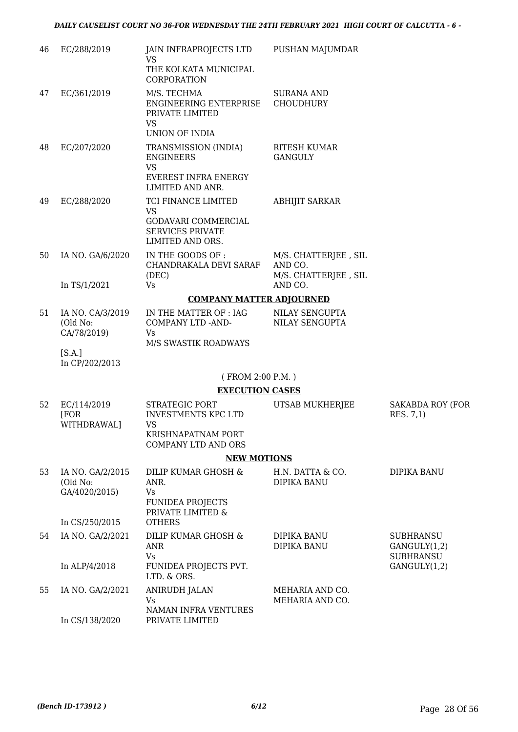| 46 | EC/288/2019                                   | JAIN INFRAPROJECTS LTD<br><b>VS</b>                                                  | PUSHAN MAJUMDAR                         |                                                      |
|----|-----------------------------------------------|--------------------------------------------------------------------------------------|-----------------------------------------|------------------------------------------------------|
|    |                                               | THE KOLKATA MUNICIPAL<br>CORPORATION                                                 |                                         |                                                      |
| 47 | EC/361/2019                                   | M/S. TECHMA<br>ENGINEERING ENTERPRISE<br>PRIVATE LIMITED<br>VS                       | <b>SURANA AND</b><br><b>CHOUDHURY</b>   |                                                      |
|    |                                               | UNION OF INDIA                                                                       |                                         |                                                      |
| 48 | EC/207/2020                                   | TRANSMISSION (INDIA)<br><b>ENGINEERS</b><br><b>VS</b><br><b>EVEREST INFRA ENERGY</b> | <b>RITESH KUMAR</b><br><b>GANGULY</b>   |                                                      |
|    |                                               | LIMITED AND ANR.                                                                     |                                         |                                                      |
| 49 | EC/288/2020                                   | TCI FINANCE LIMITED<br><b>VS</b><br>GODAVARI COMMERCIAL                              | <b>ABHIJIT SARKAR</b>                   |                                                      |
|    |                                               | <b>SERVICES PRIVATE</b><br>LIMITED AND ORS.                                          |                                         |                                                      |
| 50 | IA NO. GA/6/2020                              | IN THE GOODS OF :<br>CHANDRAKALA DEVI SARAF                                          | M/S. CHATTERJEE, SIL<br>AND CO.         |                                                      |
|    | In TS/1/2021                                  | (DEC)<br>Vs                                                                          | M/S. CHATTERJEE, SIL<br>AND CO.         |                                                      |
|    |                                               | <b>COMPANY MATTER ADJOURNED</b>                                                      |                                         |                                                      |
| 51 | IA NO. CA/3/2019<br>(Old No:<br>CA/78/2019)   | IN THE MATTER OF : IAG<br>COMPANY LTD -AND-<br>Vs                                    | NILAY SENGUPTA<br><b>NILAY SENGUPTA</b> |                                                      |
|    | [S.A.]<br>In CP/202/2013                      | M/S SWASTIK ROADWAYS                                                                 |                                         |                                                      |
|    |                                               | (FROM 2:00 P.M.)                                                                     |                                         |                                                      |
|    |                                               | <b>EXECUTION CASES</b>                                                               |                                         |                                                      |
| 52 | EC/114/2019<br>[FOR<br>WITHDRAWAL]            | STRATEGIC PORT<br><b>INVESTMENTS KPC LTD</b><br><b>VS</b><br>KRISHNAPATNAM PORT      | UTSAB MUKHERJEE                         | <b>SAKABDA ROY (FOR</b><br>RES. 7,1)                 |
|    |                                               | <b>COMPANY LTD AND ORS</b>                                                           |                                         |                                                      |
|    |                                               | <b>NEW MOTIONS</b>                                                                   |                                         |                                                      |
| 53 | IA NO. GA/2/2015<br>(Old No:<br>GA/4020/2015) | DILIP KUMAR GHOSH &<br>ANR.<br>Vs<br><b>FUNIDEA PROJECTS</b><br>PRIVATE LIMITED &    | H.N. DATTA & CO.<br>DIPIKA BANU         | DIPIKA BANU                                          |
|    | In CS/250/2015                                | <b>OTHERS</b>                                                                        |                                         |                                                      |
| 54 | IA NO. GA/2/2021                              | DILIP KUMAR GHOSH &<br><b>ANR</b><br>Vs                                              | DIPIKA BANU<br>DIPIKA BANU              | <b>SUBHRANSU</b><br>GANGULY(1,2)<br><b>SUBHRANSU</b> |
|    | In ALP/4/2018                                 | FUNIDEA PROJECTS PVT.<br>LTD. & ORS.                                                 |                                         | GANGULY(1,2)                                         |
| 55 | IA NO. GA/2/2021                              | <b>ANIRUDH JALAN</b><br>Vs<br>NAMAN INFRA VENTURES                                   | MEHARIA AND CO.<br>MEHARIA AND CO.      |                                                      |
|    | In CS/138/2020                                | PRIVATE LIMITED                                                                      |                                         |                                                      |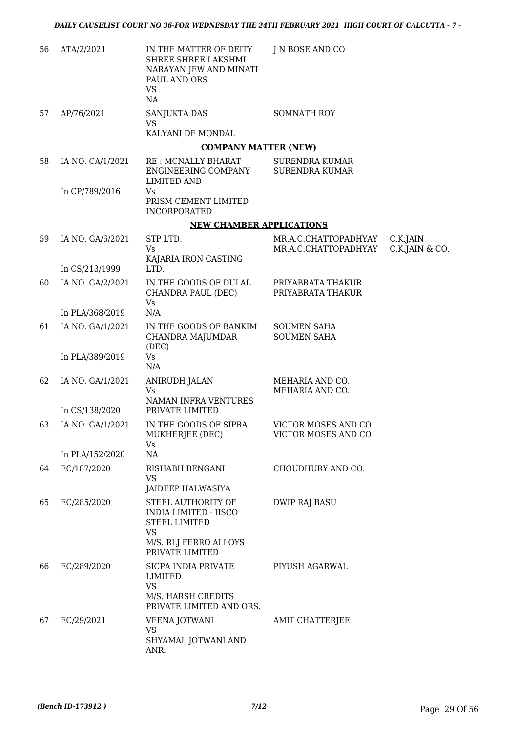| 56 | ATA/2/2021                         | IN THE MATTER OF DEITY<br>SHREE SHREE LAKSHMI<br>NARAYAN JEW AND MINATI<br>PAUL AND ORS<br><b>VS</b><br>NA | J N BOSE AND CO                          |                |
|----|------------------------------------|------------------------------------------------------------------------------------------------------------|------------------------------------------|----------------|
| 57 | AP/76/2021                         | SANJUKTA DAS<br><b>VS</b><br>KALYANI DE MONDAL                                                             | SOMNATH ROY                              |                |
|    |                                    | <b>COMPANY MATTER (NEW)</b>                                                                                |                                          |                |
| 58 | IA NO. CA/1/2021                   | RE: MCNALLY BHARAT                                                                                         | <b>SURENDRA KUMAR</b>                    |                |
|    |                                    | ENGINEERING COMPANY<br><b>LIMITED AND</b>                                                                  | <b>SURENDRA KUMAR</b>                    |                |
|    | In CP/789/2016                     | Vs<br>PRISM CEMENT LIMITED<br><b>INCORPORATED</b>                                                          |                                          |                |
|    |                                    | <b>NEW CHAMBER APPLICATIONS</b>                                                                            |                                          |                |
| 59 | IA NO. GA/6/2021                   | STP LTD.                                                                                                   | MR.A.C.CHATTOPADHYAY                     | C.K.JAIN       |
|    | In CS/213/1999                     | <b>Vs</b><br>KAJARIA IRON CASTING<br>LTD.                                                                  | MR.A.C.CHATTOPADHYAY                     | C.K.JAIN & CO. |
| 60 | IA NO. GA/2/2021                   | IN THE GOODS OF DULAL<br>CHANDRA PAUL (DEC)                                                                | PRIYABRATA THAKUR<br>PRIYABRATA THAKUR   |                |
|    | In PLA/368/2019                    | Vs<br>N/A                                                                                                  |                                          |                |
| 61 | IA NO. GA/1/2021                   | IN THE GOODS OF BANKIM<br>CHANDRA MAJUMDAR<br>(DEC)                                                        | <b>SOUMEN SAHA</b><br><b>SOUMEN SAHA</b> |                |
|    | In PLA/389/2019                    | Vs<br>N/A                                                                                                  |                                          |                |
| 62 | IA NO. GA/1/2021<br>In CS/138/2020 | <b>ANIRUDH JALAN</b><br>Vs<br>NAMAN INFRA VENTURES<br>PRIVATE LIMITED                                      | MEHARIA AND CO.<br>MEHARIA AND CO.       |                |
| 63 | IA NO. GA/1/2021                   | IN THE GOODS OF SIPRA                                                                                      | VICTOR MOSES AND CO                      |                |
|    |                                    | MUKHERJEE (DEC)<br>Vs                                                                                      | VICTOR MOSES AND CO                      |                |
|    | In PLA/152/2020                    | NA                                                                                                         |                                          |                |
| 64 | EC/187/2020                        | RISHABH BENGANI<br>VS<br>JAIDEEP HALWASIYA                                                                 | CHOUDHURY AND CO.                        |                |
| 65 | EC/285/2020                        | STEEL AUTHORITY OF<br><b>INDIA LIMITED - IISCO</b><br><b>STEEL LIMITED</b><br>VS<br>M/S. RLJ FERRO ALLOYS  | DWIP RAJ BASU                            |                |
| 66 | EC/289/2020                        | PRIVATE LIMITED<br>SICPA INDIA PRIVATE<br><b>LIMITED</b>                                                   | PIYUSH AGARWAL                           |                |
|    |                                    | <b>VS</b><br>M/S. HARSH CREDITS<br>PRIVATE LIMITED AND ORS.                                                |                                          |                |
| 67 | EC/29/2021                         | <b>VEENA JOTWANI</b><br><b>VS</b>                                                                          | AMIT CHATTERJEE                          |                |
|    |                                    | SHYAMAL JOTWANI AND<br>ANR.                                                                                |                                          |                |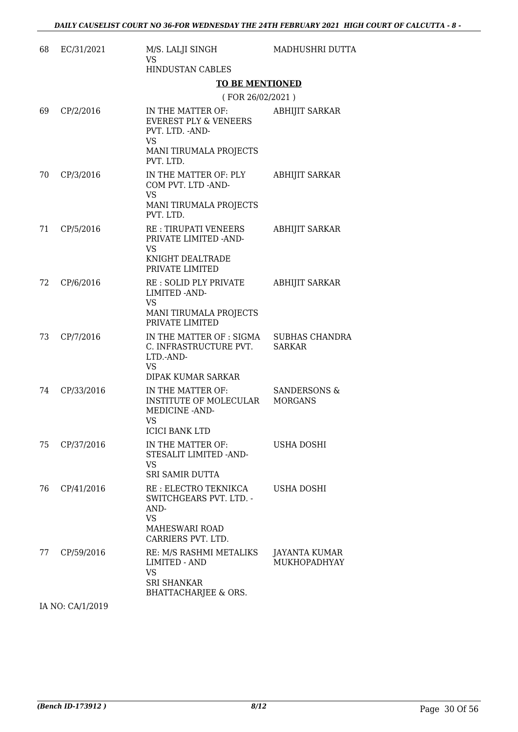| 68 | EC/31/2021 | M/S. LALJI SINGH<br><b>VS</b>                                                                                          | MADHUSHRI DUTTA                        |  |
|----|------------|------------------------------------------------------------------------------------------------------------------------|----------------------------------------|--|
|    |            | <b>HINDUSTAN CABLES</b>                                                                                                |                                        |  |
|    |            | <b>TO BE MENTIONED</b>                                                                                                 |                                        |  |
|    |            | (FOR 26/02/2021)                                                                                                       |                                        |  |
| 69 | CP/2/2016  | IN THE MATTER OF:<br><b>EVEREST PLY &amp; VENEERS</b><br>PVT. LTD. - AND-<br>VS<br>MANI TIRUMALA PROJECTS<br>PVT. LTD. | <b>ABHIJIT SARKAR</b>                  |  |
| 70 | CP/3/2016  | IN THE MATTER OF: PLY<br>COM PVT. LTD -AND-<br><b>VS</b><br>MANI TIRUMALA PROJECTS<br>PVT. LTD.                        | <b>ABHIJIT SARKAR</b>                  |  |
| 71 | CP/5/2016  | <b>RE: TIRUPATI VENEERS</b><br>PRIVATE LIMITED - AND-<br><b>VS</b><br>KNIGHT DEALTRADE<br>PRIVATE LIMITED              | <b>ABHIJIT SARKAR</b>                  |  |
| 72 | CP/6/2016  | RE: SOLID PLY PRIVATE<br>LIMITED - AND-<br>VS<br>MANI TIRUMALA PROJECTS<br>PRIVATE LIMITED                             | <b>ABHIJIT SARKAR</b>                  |  |
| 73 | CP/7/2016  | IN THE MATTER OF : SIGMA<br>C. INFRASTRUCTURE PVT.<br>LTD.-AND-<br>VS<br>DIPAK KUMAR SARKAR                            | <b>SUBHAS CHANDRA</b><br><b>SARKAR</b> |  |
| 74 | CP/33/2016 | IN THE MATTER OF:<br>INSTITUTE OF MOLECULAR<br>MEDICINE - AND-<br>VS<br><b>ICICI BANK LTD</b>                          | SANDERSONS &<br><b>MORGANS</b>         |  |
| 75 | CP/37/2016 | IN THE MATTER OF:<br>STESALIT LIMITED -AND-<br>VS<br><b>SRI SAMIR DUTTA</b>                                            | USHA DOSHI                             |  |
| 76 | CP/41/2016 | RE : ELECTRO TEKNIKCA<br>SWITCHGEARS PVT. LTD. -<br>AND-<br><b>VS</b><br><b>MAHESWARI ROAD</b><br>CARRIERS PVT. LTD.   | USHA DOSHI                             |  |
| 77 | CP/59/2016 | RE: M/S RASHMI METALIKS<br><b>LIMITED - AND</b><br><b>VS</b><br>SRI SHANKAR<br><b>BHATTACHARJEE &amp; ORS.</b>         | JAYANTA KUMAR<br>MUKHOPADHYAY          |  |

IA NO: CA/1/2019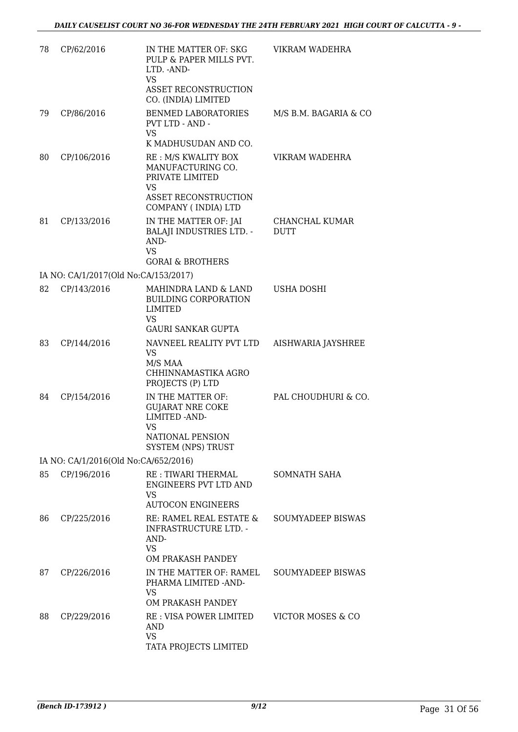| 78 | CP/62/2016                           | IN THE MATTER OF: SKG<br>PULP & PAPER MILLS PVT.<br>LTD. - AND-<br><b>VS</b>                                            | VIKRAM WADEHRA                |
|----|--------------------------------------|-------------------------------------------------------------------------------------------------------------------------|-------------------------------|
|    |                                      | <b>ASSET RECONSTRUCTION</b><br>CO. (INDIA) LIMITED                                                                      |                               |
| 79 | CP/86/2016                           | BENMED LABORATORIES<br>PVT LTD - AND -<br>VS.                                                                           | M/S B.M. BAGARIA & CO         |
|    |                                      | K MADHUSUDAN AND CO.                                                                                                    |                               |
| 80 | CP/106/2016                          | RE: M/S KWALITY BOX<br>MANUFACTURING CO.<br>PRIVATE LIMITED<br>VS<br><b>ASSET RECONSTRUCTION</b><br>COMPANY (INDIA) LTD | VIKRAM WADEHRA                |
| 81 | CP/133/2016                          | IN THE MATTER OF: JAI<br><b>BALAJI INDUSTRIES LTD. -</b><br>AND-<br><b>VS</b><br><b>GORAI &amp; BROTHERS</b>            | CHANCHAL KUMAR<br><b>DUTT</b> |
|    | IA NO: CA/1/2017(Old No:CA/153/2017) |                                                                                                                         |                               |
| 82 | CP/143/2016                          | MAHINDRA LAND & LAND<br><b>BUILDING CORPORATION</b><br><b>LIMITED</b><br>VS.                                            | USHA DOSHI                    |
|    |                                      | <b>GAURI SANKAR GUPTA</b>                                                                                               |                               |
| 83 | CP/144/2016                          | NAVNEEL REALITY PVT LTD<br>VS.<br>M/S MAA<br>CHHINNAMASTIKA AGRO<br>PROJECTS (P) LTD                                    | AISHWARIA JAYSHREE            |
| 84 | CP/154/2016                          | IN THE MATTER OF:<br><b>GUJARAT NRE COKE</b><br>LIMITED - AND-<br>VS<br>NATIONAL PENSION<br><b>SYSTEM (NPS) TRUST</b>   | PAL CHOUDHURI & CO.           |
|    | IA NO: CA/1/2016(Old No:CA/652/2016) |                                                                                                                         |                               |
| 85 | CP/196/2016                          | RE : TIWARI THERMAL<br><b>ENGINEERS PVT LTD AND</b><br>VS.<br><b>AUTOCON ENGINEERS</b>                                  | SOMNATH SAHA                  |
| 86 | CP/225/2016                          | RE: RAMEL REAL ESTATE &<br><b>INFRASTRUCTURE LTD. -</b><br>AND-<br>VS<br>OM PRAKASH PANDEY                              | <b>SOUMYADEEP BISWAS</b>      |
| 87 | CP/226/2016                          | IN THE MATTER OF: RAMEL<br>PHARMA LIMITED -AND-<br>VS.<br>OM PRAKASH PANDEY                                             | <b>SOUMYADEEP BISWAS</b>      |
| 88 | CP/229/2016                          | RE: VISA POWER LIMITED<br><b>AND</b><br>VS<br>TATA PROJECTS LIMITED                                                     | VICTOR MOSES & CO             |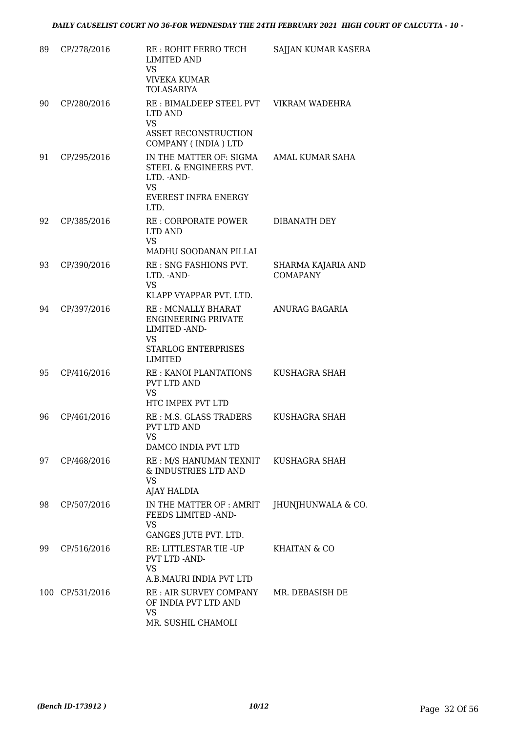| 89 | CP/278/2016     | RE: ROHIT FERRO TECH<br><b>LIMITED AND</b><br>VS.<br><b>VIVEKA KUMAR</b><br><b>TOLASARIYA</b>                                    | <b>SAJJAN KUMAR KASERA</b>            |
|----|-----------------|----------------------------------------------------------------------------------------------------------------------------------|---------------------------------------|
| 90 | CP/280/2016     | RE : BIMALDEEP STEEL PVT VIKRAM WADEHRA<br>LTD AND<br><b>VS</b><br>ASSET RECONSTRUCTION<br>COMPANY (INDIA) LTD                   |                                       |
| 91 | CP/295/2016     | IN THE MATTER OF: SIGMA<br>STEEL & ENGINEERS PVT.<br>LTD. - AND-<br><b>VS</b><br>EVEREST INFRA ENERGY<br>LTD.                    | AMAL KUMAR SAHA                       |
| 92 | CP/385/2016     | RE: CORPORATE POWER<br>LTD AND<br><b>VS</b><br>MADHU SOODANAN PILLAI                                                             | DIBANATH DEY                          |
| 93 | CP/390/2016     | RE : SNG FASHIONS PVT.<br>LTD. - AND-<br><b>VS</b><br>KLAPP VYAPPAR PVT. LTD.                                                    | SHARMA KAJARIA AND<br><b>COMAPANY</b> |
| 94 | CP/397/2016     | RE : MCNALLY BHARAT<br><b>ENGINEERING PRIVATE</b><br>LIMITED - AND-<br><b>VS</b><br><b>STARLOG ENTERPRISES</b><br><b>LIMITED</b> | ANURAG BAGARIA                        |
| 95 | CP/416/2016     | <b>RE: KANOI PLANTATIONS</b><br>PVT LTD AND<br>VS<br>HTC IMPEX PVT LTD                                                           | KUSHAGRA SHAH                         |
| 96 | CP/461/2016     | RE : M.S. GLASS TRADERS<br><b>PVT LTD AND</b><br>VS<br>DAMCO INDIA PVT LTD                                                       | KUSHAGRA SHAH                         |
| 97 | CP/468/2016     | RE : M/S HANUMAN TEXNIT<br>& INDUSTRIES LTD AND<br><b>VS</b><br>AJAY HALDIA                                                      | KUSHAGRA SHAH                         |
| 98 | CP/507/2016     | IN THE MATTER OF : AMRIT<br>FEEDS LIMITED -AND-<br>VS<br>GANGES JUTE PVT. LTD.                                                   | JHUNJHUNWALA & CO.                    |
| 99 | CP/516/2016     | RE: LITTLESTAR TIE -UP<br>PVT LTD -AND-<br>VS<br>A.B.MAURI INDIA PVT LTD                                                         | KHAITAN & CO                          |
|    | 100 CP/531/2016 | RE : AIR SURVEY COMPANY<br>OF INDIA PVT LTD AND<br>VS<br>MR. SUSHIL CHAMOLI                                                      | MR. DEBASISH DE                       |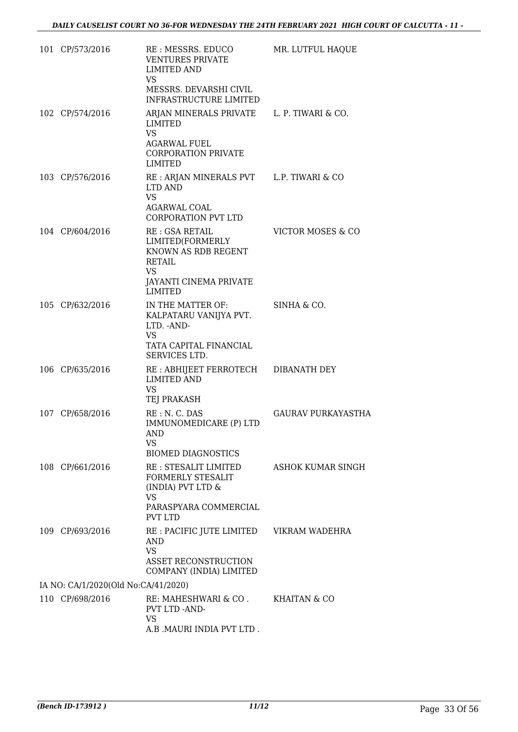| 101 CP/573/2016                     | RE : MESSRS. EDUCO<br><b>VENTURES PRIVATE</b><br><b>LIMITED AND</b><br>VS<br>MESSRS. DEVARSHI CIVIL                                                         | MR. LUTFUL HAQUE          |
|-------------------------------------|-------------------------------------------------------------------------------------------------------------------------------------------------------------|---------------------------|
| 102 CP/574/2016                     | INFRASTRUCTURE LIMITED<br>ARJAN MINERALS PRIVATE L. P. TIWARI & CO.<br>LIMITED<br><b>VS</b><br><b>AGARWAL FUEL</b><br><b>CORPORATION PRIVATE</b><br>LIMITED |                           |
| 103 CP/576/2016                     | RE : ARJAN MINERALS PVT L.P. TIWARI & CO<br>LTD AND<br>VS<br>AGARWAL COAL<br><b>CORPORATION PVT LTD</b>                                                     |                           |
| 104 CP/604/2016                     | RE: GSA RETAIL<br>LIMITED(FORMERLY<br>KNOWN AS RDB REGENT<br><b>RETAIL</b><br><b>VS</b><br><b>JAYANTI CINEMA PRIVATE</b><br>LIMITED                         | VICTOR MOSES & CO         |
| 105 CP/632/2016                     | IN THE MATTER OF:<br>KALPATARU VANIJYA PVT.<br>LTD. - AND-<br>VS.<br>TATA CAPITAL FINANCIAL<br>SERVICES LTD.                                                | SINHA & CO.               |
| 106 CP/635/2016                     | RE : ABHIJEET FERROTECH DIBANATH DEY<br><b>LIMITED AND</b><br><b>VS</b><br>TEJ PRAKASH                                                                      |                           |
| 107 CP/658/2016                     | RE: N. C. DAS<br>IMMUNOMEDICARE (P) LTD<br>AND<br>VS<br><b>BIOMED DIAGNOSTICS</b>                                                                           | <b>GAURAV PURKAYASTHA</b> |
| 108 CP/661/2016                     | RE : STESALIT LIMITED<br><b>FORMERLY STESALIT</b><br>(INDIA) PVT LTD &<br>VS.<br>PARASPYARA COMMERCIAL<br><b>PVT LTD</b>                                    | <b>ASHOK KUMAR SINGH</b>  |
| 109 CP/693/2016                     | RE : PACIFIC JUTE LIMITED<br><b>AND</b><br><b>VS</b><br>ASSET RECONSTRUCTION<br>COMPANY (INDIA) LIMITED                                                     | VIKRAM WADEHRA            |
| IA NO: CA/1/2020(Old No:CA/41/2020) |                                                                                                                                                             |                           |
| 110 CP/698/2016                     | RE: MAHESHWARI & CO.<br>PVT LTD -AND-<br><b>VS</b><br>A.B .MAURI INDIA PVT LTD .                                                                            | KHAITAN & CO              |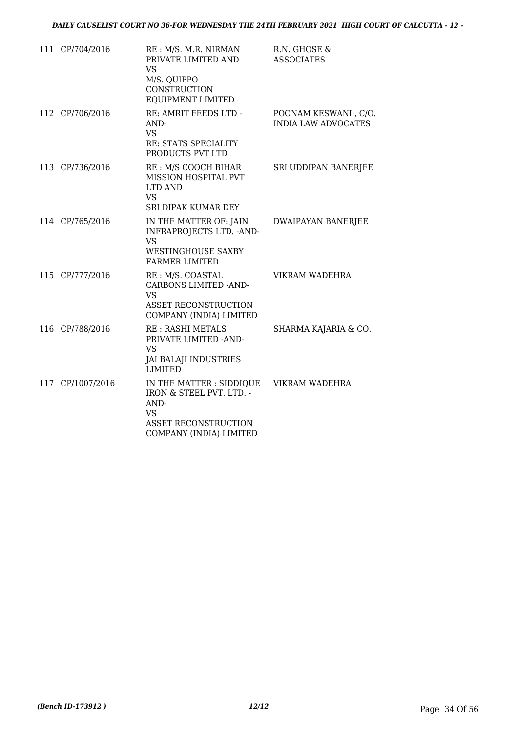| 111 CP/704/2016  | RE : M/S. M.R. NIRMAN<br>PRIVATE LIMITED AND<br><b>VS</b><br>M/S. QUIPPO<br>CONSTRUCTION<br>EQUIPMENT LIMITED                       | R.N. GHOSE &<br><b>ASSOCIATES</b>                  |
|------------------|-------------------------------------------------------------------------------------------------------------------------------------|----------------------------------------------------|
| 112 CP/706/2016  | RE: AMRIT FEEDS LTD -<br>AND-<br><b>VS</b><br>RE: STATS SPECIALITY<br>PRODUCTS PVT LTD                                              | POONAM KESWANI, C/O.<br><b>INDIA LAW ADVOCATES</b> |
| 113 CP/736/2016  | RE : M/S COOCH BIHAR<br>MISSION HOSPITAL PVT<br>LTD AND<br><b>VS</b><br>SRI DIPAK KUMAR DEY                                         | SRI UDDIPAN BANERJEE                               |
| 114 CP/765/2016  | IN THE MATTER OF: JAIN<br>INFRAPROJECTS LTD. - AND-<br><b>VS</b><br><b>WESTINGHOUSE SAXBY</b><br><b>FARMER LIMITED</b>              | <b>DWAIPAYAN BANERJEE</b>                          |
| 115 CP/777/2016  | RE: M/S. COASTAL<br><b>CARBONS LIMITED -AND-</b><br><b>VS</b><br>ASSET RECONSTRUCTION<br>COMPANY (INDIA) LIMITED                    | VIKRAM WADEHRA                                     |
| 116 CP/788/2016  | <b>RE: RASHI METALS</b><br>PRIVATE LIMITED -AND-<br>VS.<br><b>JAI BALAJI INDUSTRIES</b><br><b>LIMITED</b>                           | SHARMA KAJARIA & CO.                               |
| 117 CP/1007/2016 | IN THE MATTER : SIDDIQUE<br>IRON & STEEL PVT. LTD. -<br>AND-<br><b>VS</b><br><b>ASSET RECONSTRUCTION</b><br>COMPANY (INDIA) LIMITED | VIKRAM WADEHRA                                     |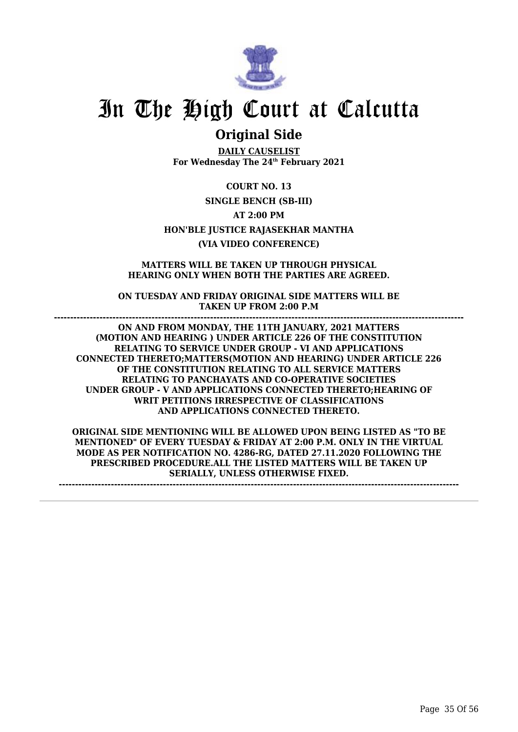![](_page_36_Picture_0.jpeg)

## **Original Side**

**DAILY CAUSELIST For Wednesday The 24th February 2021**

**COURT NO. 13 SINGLE BENCH (SB-III) AT 2:00 PM HON'BLE JUSTICE RAJASEKHAR MANTHA (VIA VIDEO CONFERENCE)**

**MATTERS WILL BE TAKEN UP THROUGH PHYSICAL HEARING ONLY WHEN BOTH THE PARTIES ARE AGREED.**

**ON TUESDAY AND FRIDAY ORIGINAL SIDE MATTERS WILL BE TAKEN UP FROM 2:00 P.M**

**------------------------------------------------------------------------------------------------------------------------------**

**ON AND FROM MONDAY, THE 11TH JANUARY, 2021 MATTERS (MOTION AND HEARING ) UNDER ARTICLE 226 OF THE CONSTITUTION RELATING TO SERVICE UNDER GROUP - VI AND APPLICATIONS CONNECTED THERETO;MATTERS(MOTION AND HEARING) UNDER ARTICLE 226 OF THE CONSTITUTION RELATING TO ALL SERVICE MATTERS RELATING TO PANCHAYATS AND CO-OPERATIVE SOCIETIES UNDER GROUP - V AND APPLICATIONS CONNECTED THERETO;HEARING OF WRIT PETITIONS IRRESPECTIVE OF CLASSIFICATIONS AND APPLICATIONS CONNECTED THERETO.**

**ORIGINAL SIDE MENTIONING WILL BE ALLOWED UPON BEING LISTED AS "TO BE MENTIONED" OF EVERY TUESDAY & FRIDAY AT 2:00 P.M. ONLY IN THE VIRTUAL MODE AS PER NOTIFICATION NO. 4286-RG, DATED 27.11.2020 FOLLOWING THE PRESCRIBED PROCEDURE.ALL THE LISTED MATTERS WILL BE TAKEN UP SERIALLY, UNLESS OTHERWISE FIXED.**

**---------------------------------------------------------------------------------------------------------------------------**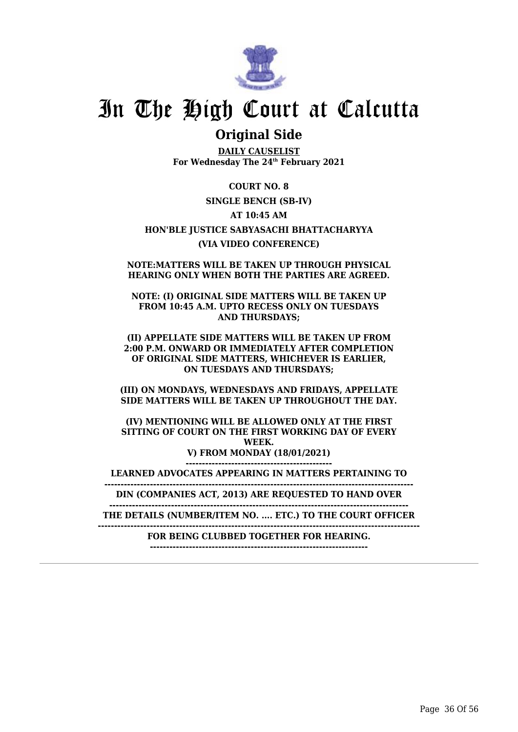![](_page_37_Picture_0.jpeg)

## **Original Side**

**DAILY CAUSELIST For Wednesday The 24th February 2021**

**COURT NO. 8 SINGLE BENCH (SB-IV) AT 10:45 AM HON'BLE JUSTICE SABYASACHI BHATTACHARYYA (VIA VIDEO CONFERENCE)**

**NOTE:MATTERS WILL BE TAKEN UP THROUGH PHYSICAL HEARING ONLY WHEN BOTH THE PARTIES ARE AGREED.**

**NOTE: (I) ORIGINAL SIDE MATTERS WILL BE TAKEN UP FROM 10:45 A.M. UPTO RECESS ONLY ON TUESDAYS AND THURSDAYS;**

**(II) APPELLATE SIDE MATTERS WILL BE TAKEN UP FROM 2:00 P.M. ONWARD OR IMMEDIATELY AFTER COMPLETION OF ORIGINAL SIDE MATTERS, WHICHEVER IS EARLIER, ON TUESDAYS AND THURSDAYS;**

**(III) ON MONDAYS, WEDNESDAYS AND FRIDAYS, APPELLATE SIDE MATTERS WILL BE TAKEN UP THROUGHOUT THE DAY.**

**(IV) MENTIONING WILL BE ALLOWED ONLY AT THE FIRST SITTING OF COURT ON THE FIRST WORKING DAY OF EVERY WEEK. V) FROM MONDAY (18/01/2021) ---------------------------------------------**

**LEARNED ADVOCATES APPEARING IN MATTERS PERTAINING TO**

**----------------------------------------------------------------------------------------------- DIN (COMPANIES ACT, 2013) ARE REQUESTED TO HAND OVER**

**--------------------------------------------------------------------------------------------**

**THE DETAILS (NUMBER/ITEM NO. .... ETC.) TO THE COURT OFFICER**

**---------------------------------------------------------------------------------------------------**

**FOR BEING CLUBBED TOGETHER FOR HEARING. -------------------------------------------------------------------**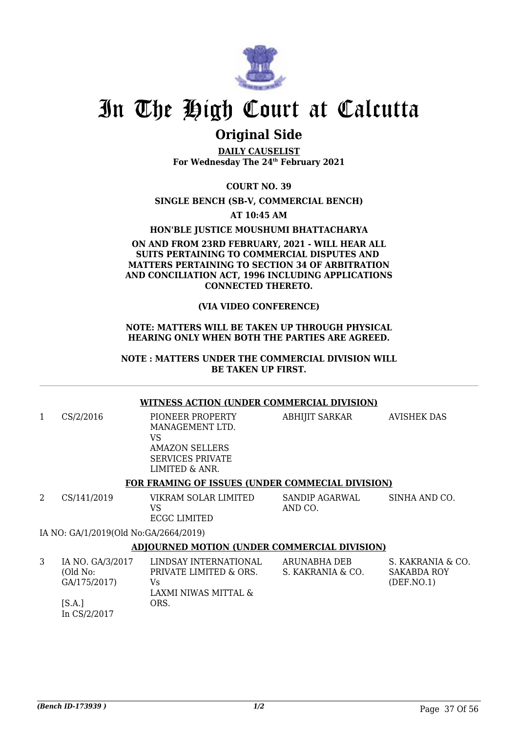![](_page_38_Picture_0.jpeg)

## **Original Side**

**DAILY CAUSELIST For Wednesday The 24th February 2021**

**COURT NO. 39**

#### **SINGLE BENCH (SB-V, COMMERCIAL BENCH)**

**AT 10:45 AM**

#### **HON'BLE JUSTICE MOUSHUMI BHATTACHARYA**

#### **ON AND FROM 23RD FEBRUARY, 2021 - WILL HEAR ALL SUITS PERTAINING TO COMMERCIAL DISPUTES AND MATTERS PERTAINING TO SECTION 34 OF ARBITRATION AND CONCILIATION ACT, 1996 INCLUDING APPLICATIONS CONNECTED THERETO.**

#### **(VIA VIDEO CONFERENCE)**

#### **NOTE: MATTERS WILL BE TAKEN UP THROUGH PHYSICAL HEARING ONLY WHEN BOTH THE PARTIES ARE AGREED.**

#### **NOTE : MATTERS UNDER THE COMMERCIAL DIVISION WILL BE TAKEN UP FIRST.**

#### **WITNESS ACTION (UNDER COMMERCIAL DIVISION)**

| 1 | CS/2/2016                             | PIONEER PROPERTY<br>MANAGEMENT LTD.<br>VS<br>AMAZON SELLERS<br><b>SERVICES PRIVATE</b><br>LIMITED & ANR. | <b>ABHIJIT SARKAR</b>     | <b>AVISHEK DAS</b> |
|---|---------------------------------------|----------------------------------------------------------------------------------------------------------|---------------------------|--------------------|
|   |                                       | FOR FRAMING OF ISSUES (UNDER COMMECIAL DIVISION)                                                         |                           |                    |
| 2 | CS/141/2019                           | VIKRAM SOLAR LIMITED<br>VS<br>ECGC LIMITED                                                               | SANDIP AGARWAL<br>AND CO. | SINHA AND CO.      |
|   | IA NO: GA/1/2019(Old No:GA/2664/2019) |                                                                                                          |                           |                    |
|   |                                       | <b>ADJOURNED MOTION (UNDER COMMERCIAL DIVISION)</b>                                                      |                           |                    |
| 3 | IA NO. GA/3/2017                      | LINDSAY INTERNATIONAL                                                                                    | ARUNABHA DEB              | S. KAKRANIA & 0    |

| IA NO. GA/3/2017 | LINDSAY INTERNATIONAL  | ARUNABHA DEB      | S. KAKRANIA & CO. |
|------------------|------------------------|-------------------|-------------------|
| (Old No:         | PRIVATE LIMITED & ORS. | S. KAKRANIA & CO. | SAKABDA ROY       |
| GA/175/2017)     | Vs                     |                   | (DEF. NO. 1)      |
|                  | LAXMI NIWAS MITTAL &   |                   |                   |
| [S.A.]           | ORS.                   |                   |                   |
| In CS/2/2017     |                        |                   |                   |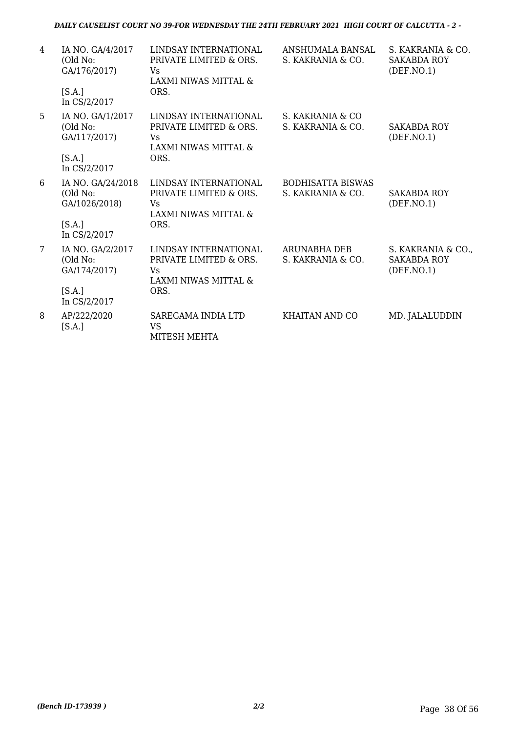| 4               | IA NO. GA/4/2017<br>(Old No:<br>GA/176/2017)<br>[S.A.]<br>In CS/2/2017   | LINDSAY INTERNATIONAL<br>PRIVATE LIMITED & ORS.<br>Vs.<br>LAXMI NIWAS MITTAL &<br>ORS. | ANSHUMALA BANSAL<br>S. KAKRANIA & CO.         | S. KAKRANIA & CO.<br><b>SAKABDA ROY</b><br>(DEF. NO.1)  |
|-----------------|--------------------------------------------------------------------------|----------------------------------------------------------------------------------------|-----------------------------------------------|---------------------------------------------------------|
| 5               | IA NO. GA/1/2017<br>(Old No:<br>GA/117/2017)<br>[S.A.]<br>In CS/2/2017   | LINDSAY INTERNATIONAL<br>PRIVATE LIMITED & ORS.<br>Vs<br>LAXMI NIWAS MITTAL &<br>ORS.  | S. KAKRANIA & CO<br>S. KAKRANIA & CO.         | <b>SAKABDA ROY</b><br>(DEF. NO. 1)                      |
| 6               | IA NO. GA/24/2018<br>(Old No:<br>GA/1026/2018)<br>[S.A.]<br>In CS/2/2017 | LINDSAY INTERNATIONAL<br>PRIVATE LIMITED & ORS.<br>Vs<br>LAXMI NIWAS MITTAL &<br>ORS.  | <b>BODHISATTA BISWAS</b><br>S. KAKRANIA & CO. | <b>SAKABDA ROY</b><br>(DEF. NO. 1)                      |
| $7\overline{ }$ | IA NO. GA/2/2017<br>(Old No:<br>GA/174/2017)<br>[S.A.]<br>In CS/2/2017   | LINDSAY INTERNATIONAL<br>PRIVATE LIMITED & ORS.<br>Vs<br>LAXMI NIWAS MITTAL &<br>ORS.  | ARUNABHA DEB<br>S. KAKRANIA & CO.             | S. KAKRANIA & CO.,<br><b>SAKABDA ROY</b><br>(DEF. NO.1) |
| 8               | AP/222/2020<br>[S.A.]                                                    | SAREGAMA INDIA LTD<br><b>VS</b><br>MITESH MEHTA                                        | KHAITAN AND CO                                | MD. JALALUDDIN                                          |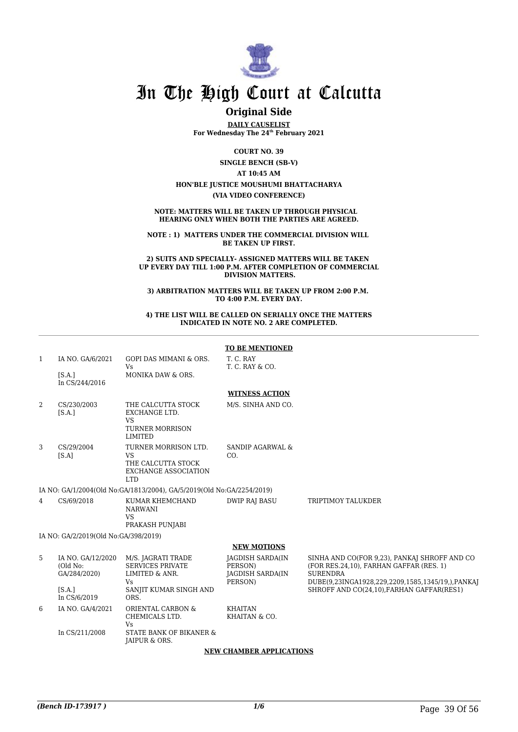![](_page_40_Picture_0.jpeg)

### **Original Side**

**DAILY CAUSELIST For Wednesday The 24th February 2021**

**COURT NO. 39**

**SINGLE BENCH (SB-V)**

**AT 10:45 AM**

**HON'BLE JUSTICE MOUSHUMI BHATTACHARYA**

**(VIA VIDEO CONFERENCE)**

**NOTE: MATTERS WILL BE TAKEN UP THROUGH PHYSICAL HEARING ONLY WHEN BOTH THE PARTIES ARE AGREED.**

**NOTE : 1) MATTERS UNDER THE COMMERCIAL DIVISION WILL BE TAKEN UP FIRST.**

**2) SUITS AND SPECIALLY- ASSIGNED MATTERS WILL BE TAKEN UP EVERY DAY TILL 1:00 P.M. AFTER COMPLETION OF COMMERCIAL DIVISION MATTERS.**

**3) ARBITRATION MATTERS WILL BE TAKEN UP FROM 2:00 P.M. TO 4:00 P.M. EVERY DAY.**

**4) THE LIST WILL BE CALLED ON SERIALLY ONCE THE MATTERS INDICATED IN NOTE NO. 2 ARE COMPLETED.**

|                |                                               |                                                                                                      | <b>TO BE MENTIONED</b>                                                   |                                                                                                                                                                |  |  |
|----------------|-----------------------------------------------|------------------------------------------------------------------------------------------------------|--------------------------------------------------------------------------|----------------------------------------------------------------------------------------------------------------------------------------------------------------|--|--|
| 1              | IA NO. GA/6/2021                              | <b>GOPI DAS MIMANI &amp; ORS.</b><br><b>Vs</b>                                                       | T. C. RAY<br>T. C. RAY & CO.                                             |                                                                                                                                                                |  |  |
|                | [SA.]<br>In CS/244/2016                       | MONIKA DAW & ORS.                                                                                    |                                                                          |                                                                                                                                                                |  |  |
|                |                                               |                                                                                                      | <b>WITNESS ACTION</b>                                                    |                                                                                                                                                                |  |  |
| 2              | CS/230/2003<br>[S.A.]                         | THE CALCUTTA STOCK<br>EXCHANGE LTD.<br><b>VS</b><br><b>TURNER MORRISON</b><br><b>LIMITED</b>         | M/S. SINHA AND CO.                                                       |                                                                                                                                                                |  |  |
| 3              | CS/29/2004<br>[SA]                            | TURNER MORRISON LTD.<br><b>VS</b><br>THE CALCUTTA STOCK<br><b>EXCHANGE ASSOCIATION</b><br><b>LTD</b> | <b>SANDIP AGARWAL &amp;</b><br>CO.                                       |                                                                                                                                                                |  |  |
|                |                                               | IA NO: GA/1/2004(Old No:GA/1813/2004), GA/5/2019(Old No:GA/2254/2019)                                |                                                                          |                                                                                                                                                                |  |  |
| $\overline{4}$ | CS/69/2018                                    | KUMAR KHEMCHAND<br><b>NARWANI</b><br><b>VS</b><br>PRAKASH PUNJABI                                    | <b>DWIP RAJ BASU</b>                                                     | <b>TRIPTIMOY TALUKDER</b>                                                                                                                                      |  |  |
|                | IA NO: GA/2/2019(Old No:GA/398/2019)          |                                                                                                      |                                                                          |                                                                                                                                                                |  |  |
|                |                                               |                                                                                                      | <b>NEW MOTIONS</b>                                                       |                                                                                                                                                                |  |  |
| 5              | IA NO. GA/12/2020<br>(Old No:<br>GA/284/2020) | M/S. JAGRATI TRADE<br><b>SERVICES PRIVATE</b><br>LIMITED & ANR.<br>Vs.                               | <b>JAGDISH SARDA(IN</b><br>PERSON)<br><b>JAGDISH SARDA(IN</b><br>PERSON) | SINHA AND CO(FOR 9.23), PANKAJ SHROFF AND CO<br>(FOR RES.24,10), FARHAN GAFFAR (RES. 1)<br><b>SURENDRA</b><br>DUBE(9,23INGA1928,229,2209,1585,1345/19,),PANKAJ |  |  |
|                | [S.A.]<br>In CS/6/2019                        | SANJIT KUMAR SINGH AND<br>ORS.                                                                       |                                                                          | SHROFF AND CO(24,10), FARHAN GAFFAR(RES1)                                                                                                                      |  |  |
| 6              | IA NO. GA/4/2021                              | ORIENTAL CARBON &<br>CHEMICALS LTD.<br>Vs                                                            | <b>KHAITAN</b><br>KHAITAN & CO.                                          |                                                                                                                                                                |  |  |
|                | In CS/211/2008                                | STATE BANK OF BIKANER &<br>JAIPUR & ORS.                                                             |                                                                          |                                                                                                                                                                |  |  |
|                | <b>NEW CHAMBER APPLICATIONS</b>               |                                                                                                      |                                                                          |                                                                                                                                                                |  |  |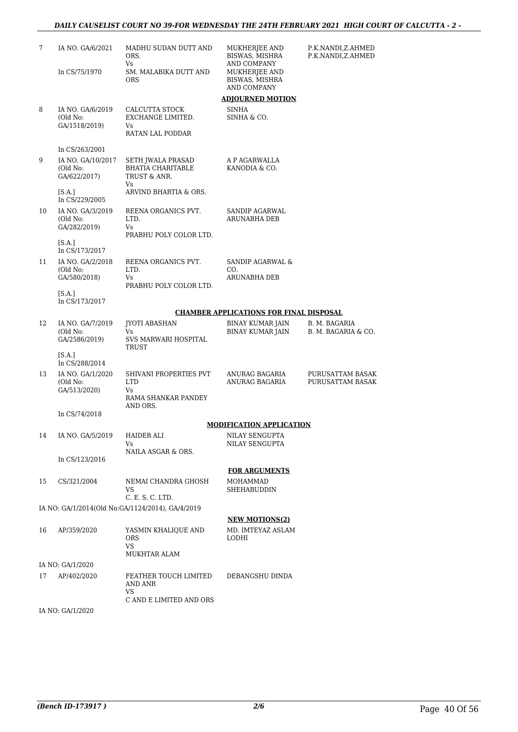#### *DAILY CAUSELIST COURT NO 39-FOR WEDNESDAY THE 24TH FEBRUARY 2021 HIGH COURT OF CALCUTTA - 2 -*

| 7  | IA NO. GA/6/2021              | MADHU SUDAN DUTT AND<br>ORS.<br>Vs               | MUKHERJEE AND<br>BISWAS, MISHRA<br>AND COMPANY | P.K.NANDI,Z.AHMED<br>P.K.NANDI,Z.AHMED |
|----|-------------------------------|--------------------------------------------------|------------------------------------------------|----------------------------------------|
|    | In CS/75/1970                 | SM. MALABIKA DUTT AND<br><b>ORS</b>              | MUKHERJEE AND<br>BISWAS, MISHRA                |                                        |
|    |                               |                                                  | AND COMPANY                                    |                                        |
|    |                               |                                                  | <b>ADJOURNED MOTION</b>                        |                                        |
| 8  | IA NO. GA/6/2019<br>(Old No:  | CALCUTTA STOCK<br>EXCHANGE LIMITED.              | SINHA<br>SINHA & CO.                           |                                        |
|    | GA/1518/2019)                 | Vs                                               |                                                |                                        |
|    |                               | RATAN LAL PODDAR                                 |                                                |                                        |
|    | In CS/263/2001                |                                                  |                                                |                                        |
| 9  | IA NO. GA/10/2017<br>(Old No: | SETH JWALA PRASAD<br><b>BHATIA CHARITABLE</b>    | A P AGARWALLA<br>KANODIA & CO.                 |                                        |
|    | GA/622/2017)                  | TRUST & ANR.<br>Vs                               |                                                |                                        |
|    | [S.A.]<br>In CS/229/2005      | ARVIND BHARTIA & ORS.                            |                                                |                                        |
| 10 | IA NO. GA/3/2019              | REENA ORGANICS PVT.                              | SANDIP AGARWAL                                 |                                        |
|    | (Old No:<br>GA/282/2019)      | LTD.<br>Vs                                       | ARUNABHA DEB                                   |                                        |
|    |                               | PRABHU POLY COLOR LTD.                           |                                                |                                        |
|    | [SA.]<br>In CS/173/2017       |                                                  |                                                |                                        |
| 11 | IA NO. GA/2/2018              | REENA ORGANICS PVT.                              | SANDIP AGARWAL &                               |                                        |
|    | (Old No:<br>GA/580/2018)      | LTD.<br>Vs                                       | CO.<br>ARUNABHA DEB                            |                                        |
|    |                               | PRABHU POLY COLOR LTD.                           |                                                |                                        |
|    | [SA.]<br>In CS/173/2017       |                                                  |                                                |                                        |
|    |                               |                                                  | <b>CHAMBER APPLICATIONS FOR FINAL DISPOSAL</b> |                                        |
| 12 | IA NO. GA/7/2019              | JYOTI ABASHAN                                    | BINAY KUMAR JAIN                               | B. M. BAGARIA                          |
|    | (Old No:<br>GA/2586/2019)     | Vs<br>SVS MARWARI HOSPITAL                       | BINAY KUMAR JAIN                               | B. M. BAGARIA & CO.                    |
|    |                               | TRUST                                            |                                                |                                        |
|    | [S.A.]<br>In CS/288/2014      |                                                  |                                                |                                        |
| 13 | IA NO. GA/1/2020              | SHIVANI PROPERTIES PVT                           | ANURAG BAGARIA                                 | PURUSATTAM BASAK                       |
|    | (Old No:<br>GA/513/2020)      | <b>LTD</b><br>Vs.                                | ANURAG BAGARIA                                 | PURUSATTAM BASAK                       |
|    |                               | RAMA SHANKAR PANDEY<br>AND ORS.                  |                                                |                                        |
|    | In CS/74/2018                 |                                                  |                                                |                                        |
|    |                               |                                                  | <b>MODIFICATION APPLICATION</b>                |                                        |
| 14 | IA NO. GA/5/2019              | <b>HAIDER ALI</b><br>Vs                          | NILAY SENGUPTA<br>NILAY SENGUPTA               |                                        |
|    |                               | NAILA ASGAR & ORS.                               |                                                |                                        |
|    | In CS/123/2016                |                                                  | <b>FOR ARGUMENTS</b>                           |                                        |
| 15 | CS/321/2004                   | NEMAI CHANDRA GHOSH                              | MOHAMMAD                                       |                                        |
|    |                               | VS                                               | SHEHABUDDIN                                    |                                        |
|    |                               | C. E. S. C. LTD.                                 |                                                |                                        |
|    |                               | IA NO: GA/1/2014(Old No:GA/1124/2014), GA/4/2019 | <b>NEW MOTIONS(2)</b>                          |                                        |
| 16 | AP/359/2020                   | YASMIN KHALIQUE AND                              | MD. IMTEYAZ ASLAM                              |                                        |
|    |                               | <b>ORS</b>                                       | LODHI                                          |                                        |
|    |                               | <b>VS</b><br>MUKHTAR ALAM                        |                                                |                                        |
|    | IA NO: GA/1/2020              |                                                  |                                                |                                        |
| 17 | AP/402/2020                   | FEATHER TOUCH LIMITED                            | DEBANGSHU DINDA                                |                                        |
|    |                               | AND ANR<br>VS                                    |                                                |                                        |
|    |                               | C AND E LIMITED AND ORS                          |                                                |                                        |
|    | IA NO: GA/1/2020              |                                                  |                                                |                                        |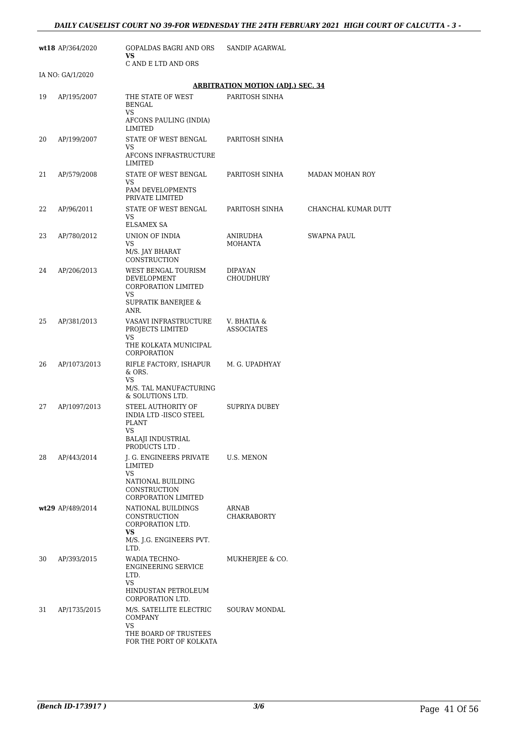|    | wt18 AP/364/2020 | GOPALDAS BAGRI AND ORS<br>VS                                                                        | <b>SANDIP AGARWAL</b>                                      |                     |
|----|------------------|-----------------------------------------------------------------------------------------------------|------------------------------------------------------------|---------------------|
|    |                  | C AND E LTD AND ORS                                                                                 |                                                            |                     |
|    | IA NO: GA/1/2020 |                                                                                                     |                                                            |                     |
| 19 | AP/195/2007      | THE STATE OF WEST<br><b>BENGAL</b><br>VS                                                            | <b>ARBITRATION MOTION (ADJ.) SEC. 34</b><br>PARITOSH SINHA |                     |
| 20 |                  | AFCONS PAULING (INDIA)<br>LIMITED<br>STATE OF WEST BENGAL                                           | PARITOSH SINHA                                             |                     |
|    | AP/199/2007      | <b>VS</b><br>AFCONS INFRASTRUCTURE                                                                  |                                                            |                     |
| 21 | AP/579/2008      | LIMITED<br>STATE OF WEST BENGAL<br>VS<br>PAM DEVELOPMENTS<br>PRIVATE LIMITED                        | PARITOSH SINHA                                             | MADAN MOHAN ROY     |
| 22 | AP/96/2011       | STATE OF WEST BENGAL<br>VS                                                                          | PARITOSH SINHA                                             | CHANCHAL KUMAR DUTT |
| 23 | AP/780/2012      | <b>ELSAMEX SA</b><br>UNION OF INDIA<br>VS<br>M/S. JAY BHARAT<br>CONSTRUCTION                        | ANIRUDHA<br><b>MOHANTA</b>                                 | SWAPNA PAUL         |
| 24 | AP/206/2013      | WEST BENGAL TOURISM<br>DEVELOPMENT<br>CORPORATION LIMITED<br>VS                                     | DIPAYAN<br><b>CHOUDHURY</b>                                |                     |
|    |                  | SUPRATIK BANERJEE &<br>ANR.                                                                         |                                                            |                     |
| 25 | AP/381/2013      | VASAVI INFRASTRUCTURE<br>PROJECTS LIMITED<br>VS                                                     | V. BHATIA &<br><b>ASSOCIATES</b>                           |                     |
|    |                  | THE KOLKATA MUNICIPAL<br>CORPORATION                                                                |                                                            |                     |
| 26 | AP/1073/2013     | RIFLE FACTORY, ISHAPUR<br>& ORS.<br>VS                                                              | M. G. UPADHYAY                                             |                     |
|    |                  | M/S. TAL MANUFACTURING<br>& SOLUTIONS LTD.                                                          |                                                            |                     |
| 27 | AP/1097/2013     | STEEL AUTHORITY OF<br>INDIA LTD -IISCO STEEL<br><b>PLANT</b><br>VS                                  | <b>SUPRIYA DUBEY</b>                                       |                     |
|    |                  | <b>BALAJI INDUSTRIAL</b><br>PRODUCTS LTD.                                                           |                                                            |                     |
| 28 | AP/443/2014      | J. G. ENGINEERS PRIVATE<br>LIMITED<br>VS<br>NATIONAL BUILDING<br>CONSTRUCTION                       | U.S. MENON                                                 |                     |
|    | wt29 AP/489/2014 | CORPORATION LIMITED<br>NATIONAL BUILDINGS<br><b>CONSTRUCTION</b><br>CORPORATION LTD.                | ARNAB<br><b>CHAKRABORTY</b>                                |                     |
|    |                  | VS.<br>M/S. J.G. ENGINEERS PVT.<br>LTD.                                                             |                                                            |                     |
| 30 | AP/393/2015      | WADIA TECHNO-<br><b>ENGINEERING SERVICE</b><br>LTD.<br><b>VS</b>                                    | MUKHERJEE & CO.                                            |                     |
|    |                  | HINDUSTAN PETROLEUM<br>CORPORATION LTD.                                                             |                                                            |                     |
| 31 | AP/1735/2015     | M/S. SATELLITE ELECTRIC<br><b>COMPANY</b><br>VS<br>THE BOARD OF TRUSTEES<br>FOR THE PORT OF KOLKATA | SOURAV MONDAL                                              |                     |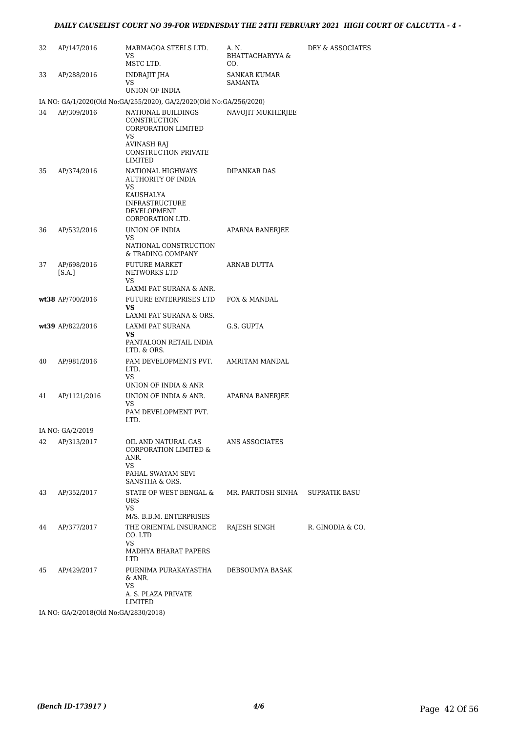### *DAILY CAUSELIST COURT NO 39-FOR WEDNESDAY THE 24TH FEBRUARY 2021 HIGH COURT OF CALCUTTA - 4 -*

| 32 | AP/147/2016                           | MARMAGOA STEELS LTD.<br>VS<br>MSTC LTD.                                                                         | A. N.<br><b>BHATTACHARYYA &amp;</b><br>CO. | DEY & ASSOCIATES |  |  |
|----|---------------------------------------|-----------------------------------------------------------------------------------------------------------------|--------------------------------------------|------------------|--|--|
| 33 | AP/288/2016                           | INDRAJIT JHA<br>VS                                                                                              | SANKAR KUMAR<br>SAMANTA                    |                  |  |  |
|    |                                       | UNION OF INDIA<br>IA NO: GA/1/2020(Old No:GA/255/2020), GA/2/2020(Old No:GA/256/2020)                           |                                            |                  |  |  |
| 34 | AP/309/2016                           | NATIONAL BUILDINGS<br>CONSTRUCTION<br>CORPORATION LIMITED<br>VS                                                 | NAVOJIT MUKHERJEE                          |                  |  |  |
|    |                                       | <b>AVINASH RAJ</b><br><b>CONSTRUCTION PRIVATE</b><br>LIMITED                                                    |                                            |                  |  |  |
| 35 | AP/374/2016                           | NATIONAL HIGHWAYS<br>AUTHORITY OF INDIA<br>VS<br>KAUSHALYA<br>INFRASTRUCTURE<br>DEVELOPMENT<br>CORPORATION LTD. | DIPANKAR DAS                               |                  |  |  |
| 36 | AP/532/2016                           | UNION OF INDIA<br>VS<br>NATIONAL CONSTRUCTION<br>& TRADING COMPANY                                              | APARNA BANERJEE                            |                  |  |  |
| 37 | AP/698/2016<br>[S.A.]                 | <b>FUTURE MARKET</b><br>NETWORKS LTD<br>VS                                                                      | ARNAB DUTTA                                |                  |  |  |
|    | wt38 AP/700/2016                      | LAXMI PAT SURANA & ANR.<br>FUTURE ENTERPRISES LTD<br>VS                                                         | FOX & MANDAL                               |                  |  |  |
|    | wt39 AP/822/2016                      | LAXMI PAT SURANA & ORS.<br>LAXMI PAT SURANA<br>VS<br>PANTALOON RETAIL INDIA                                     | G.S. GUPTA                                 |                  |  |  |
| 40 | AP/981/2016                           | LTD. & ORS.<br>PAM DEVELOPMENTS PVT.<br>LTD.<br>VS<br>UNION OF INDIA & ANR                                      | AMRITAM MANDAL                             |                  |  |  |
| 41 | AP/1121/2016                          | UNION OF INDIA & ANR.<br>VS<br>PAM DEVELOPMENT PVT.                                                             | APARNA BANERJEE                            |                  |  |  |
|    | IA NO: GA/2/2019                      | LTD.                                                                                                            |                                            |                  |  |  |
| 42 | AP/313/2017                           | OIL AND NATURAL GAS<br><b>CORPORATION LIMITED &amp;</b><br>ANR.<br>VS<br>PAHAL SWAYAM SEVI<br>SANSTHA & ORS.    | ANS ASSOCIATES                             |                  |  |  |
| 43 | AP/352/2017                           | STATE OF WEST BENGAL &<br><b>ORS</b><br>VS.                                                                     | MR. PARITOSH SINHA                         | SUPRATIK BASU    |  |  |
| 44 | AP/377/2017                           | M/S. B.B.M. ENTERPRISES<br>THE ORIENTAL INSURANCE<br>CO. LTD<br>VS                                              | RAJESH SINGH                               | R. GINODIA & CO. |  |  |
|    |                                       | MADHYA BHARAT PAPERS<br><b>LTD</b>                                                                              |                                            |                  |  |  |
| 45 | AP/429/2017                           | PURNIMA PURAKAYASTHA<br>& ANR.<br>VS<br>A. S. PLAZA PRIVATE<br>LIMITED                                          | DEBSOUMYA BASAK                            |                  |  |  |
|    | IA NO: GA/2/2018(Old No:GA/2830/2018) |                                                                                                                 |                                            |                  |  |  |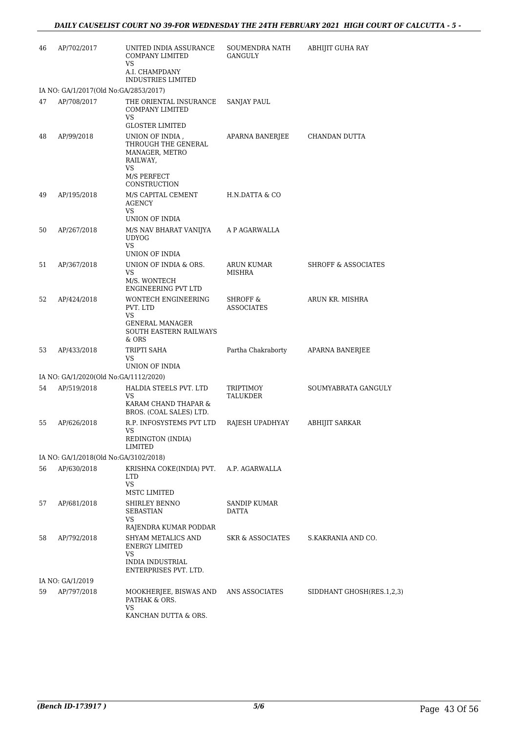| 46 | AP/702/2017                           | UNITED INDIA ASSURANCE<br><b>COMPANY LIMITED</b><br>VS                                                                                                                                                                                                                                            | SOUMENDRA NATH<br>GANGULY                | <b>ABHIJIT GUHA RAY</b>        |
|----|---------------------------------------|---------------------------------------------------------------------------------------------------------------------------------------------------------------------------------------------------------------------------------------------------------------------------------------------------|------------------------------------------|--------------------------------|
|    |                                       | A.I. CHAMPDANY<br><b>INDUSTRIES LIMITED</b>                                                                                                                                                                                                                                                       |                                          |                                |
|    | IA NO: GA/1/2017(Old No:GA/2853/2017) |                                                                                                                                                                                                                                                                                                   |                                          |                                |
| 47 | AP/708/2017                           | THE ORIENTAL INSURANCE<br>COMPANY LIMITED<br>VS<br><b>GLOSTER LIMITED</b>                                                                                                                                                                                                                         | SANJAY PAUL                              |                                |
| 48 | AP/99/2018                            | UNION OF INDIA,<br>THROUGH THE GENERAL<br>MANAGER, METRO<br>RAILWAY,<br>VS<br>M/S PERFECT                                                                                                                                                                                                         | APARNA BANERJEE                          | CHANDAN DUTTA                  |
|    |                                       | CONSTRUCTION                                                                                                                                                                                                                                                                                      |                                          |                                |
| 49 | AP/195/2018                           | M/S CAPITAL CEMENT<br>AGENCY<br>VS<br>UNION OF INDIA                                                                                                                                                                                                                                              | H.N.DATTA & CO                           |                                |
| 50 | AP/267/2018                           | M/S NAV BHARAT VANIJYA<br><b>UDYOG</b><br><b>VS</b>                                                                                                                                                                                                                                               | A P AGARWALLA                            |                                |
|    |                                       | UNION OF INDIA                                                                                                                                                                                                                                                                                    |                                          |                                |
| 51 | AP/367/2018                           | UNION OF INDIA & ORS.<br>VS<br>M/S. WONTECH<br>ENGINEERING PVT LTD                                                                                                                                                                                                                                | ARUN KUMAR<br><b>MISHRA</b>              | <b>SHROFF &amp; ASSOCIATES</b> |
| 52 | AP/424/2018                           | WONTECH ENGINEERING<br>PVT. LTD<br>VS<br>GENERAL MANAGER<br><b>SOUTH EASTERN RAILWAYS</b>                                                                                                                                                                                                         | <b>SHROFF &amp;</b><br><b>ASSOCIATES</b> | ARUN KR. MISHRA                |
|    |                                       | & ORS                                                                                                                                                                                                                                                                                             |                                          |                                |
| 53 | AP/433/2018                           | TRIPTI SAHA<br>VS<br>UNION OF INDIA                                                                                                                                                                                                                                                               | Partha Chakraborty                       | APARNA BANERJEE                |
|    | IA NO: GA/1/2020(Old No:GA/1112/2020) |                                                                                                                                                                                                                                                                                                   |                                          |                                |
| 54 | AP/519/2018                           | HALDIA STEELS PVT. LTD<br>VS<br>KARAM CHAND THAPAR &<br>BROS. (COAL SALES) LTD.                                                                                                                                                                                                                   | TRIPTIMOY<br>TALUKDER                    | SOUMYABRATA GANGULY            |
| 55 | AP/626/2018                           | R.P. INFOSYSTEMS PVT LTD<br>VS and the set of the set of the set of the set of the set of the set of the set of the set of the set of the set of the set of the set of the set of the set of the set of the set of the set of the set of the set of the se<br><b>REDINGTON (INDIA)</b><br>LIMITED | RAJESH UPADHYAY                          | <b>ABHIJIT SARKAR</b>          |
|    | IA NO: GA/1/2018(Old No:GA/3102/2018) |                                                                                                                                                                                                                                                                                                   |                                          |                                |
| 56 | AP/630/2018                           | KRISHNA COKE(INDIA) PVT.<br><b>LTD</b><br><b>VS</b>                                                                                                                                                                                                                                               | A.P. AGARWALLA                           |                                |
|    |                                       | MSTC LIMITED                                                                                                                                                                                                                                                                                      |                                          |                                |
| 57 | AP/681/2018                           | SHIRLEY BENNO<br><b>SEBASTIAN</b><br>VS                                                                                                                                                                                                                                                           | <b>SANDIP KUMAR</b><br>DATTA             |                                |
|    |                                       | RAJENDRA KUMAR PODDAR                                                                                                                                                                                                                                                                             |                                          |                                |
| 58 | AP/792/2018                           | SHYAM METALICS AND<br>ENERGY LIMITED<br>VS                                                                                                                                                                                                                                                        | SKR & ASSOCIATES                         | S.KAKRANIA AND CO.             |
|    |                                       | INDIA INDUSTRIAL<br>ENTERPRISES PVT. LTD.                                                                                                                                                                                                                                                         |                                          |                                |
|    | IA NO: GA/1/2019                      |                                                                                                                                                                                                                                                                                                   |                                          |                                |
| 59 | AP/797/2018                           | MOOKHERJEE, BISWAS AND<br>PATHAK & ORS.<br>VS                                                                                                                                                                                                                                                     | ANS ASSOCIATES                           | SIDDHANT GHOSH(RES.1,2,3)      |
|    |                                       | KANCHAN DUTTA & ORS.                                                                                                                                                                                                                                                                              |                                          |                                |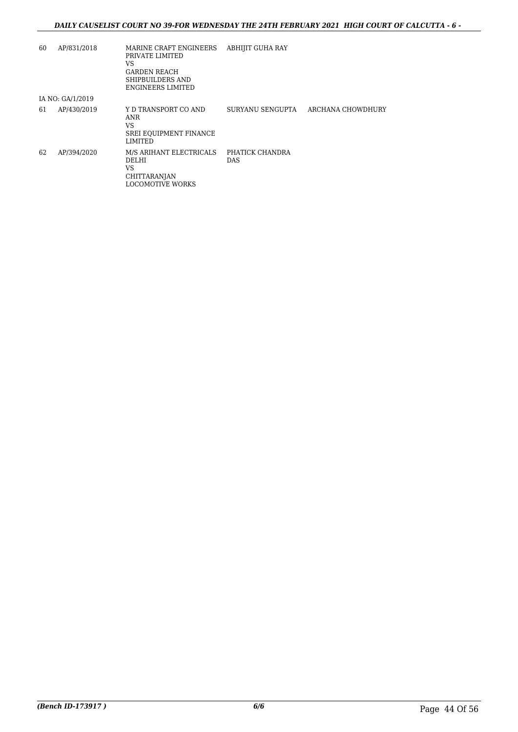| 60 | AP/831/2018      | MARINE CRAFT ENGINEERS<br>PRIVATE LIMITED<br>VS<br><b>GARDEN REACH</b><br>SHIPBUILDERS AND<br><b>ENGINEERS LIMITED</b> | <b>ABHIJIT GUHA RAY</b>       |                   |
|----|------------------|------------------------------------------------------------------------------------------------------------------------|-------------------------------|-------------------|
|    | IA NO: GA/1/2019 |                                                                                                                        |                               |                   |
| 61 | AP/430/2019      | Y D TRANSPORT CO AND<br>ANR<br>VS<br><b>SREI EQUIPMENT FINANCE</b><br>LIMITED                                          | SURYANU SENGUPTA              | ARCHANA CHOWDHURY |
| 62 | AP/394/2020      | M/S ARIHANT ELECTRICALS<br>DELHI<br>VS<br><b>CHITTARANJAN</b><br><b>LOCOMOTIVE WORKS</b>                               | PHATICK CHANDRA<br><b>DAS</b> |                   |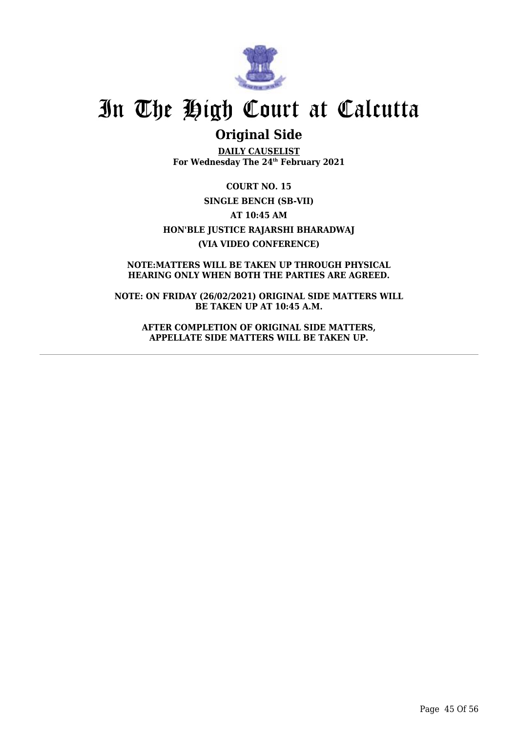![](_page_46_Picture_0.jpeg)

## **Original Side**

**DAILY CAUSELIST For Wednesday The 24th February 2021**

**COURT NO. 15 SINGLE BENCH (SB-VII) AT 10:45 AM HON'BLE JUSTICE RAJARSHI BHARADWAJ (VIA VIDEO CONFERENCE)**

**NOTE:MATTERS WILL BE TAKEN UP THROUGH PHYSICAL HEARING ONLY WHEN BOTH THE PARTIES ARE AGREED.**

**NOTE: ON FRIDAY (26/02/2021) ORIGINAL SIDE MATTERS WILL BE TAKEN UP AT 10:45 A.M.**

**AFTER COMPLETION OF ORIGINAL SIDE MATTERS, APPELLATE SIDE MATTERS WILL BE TAKEN UP.**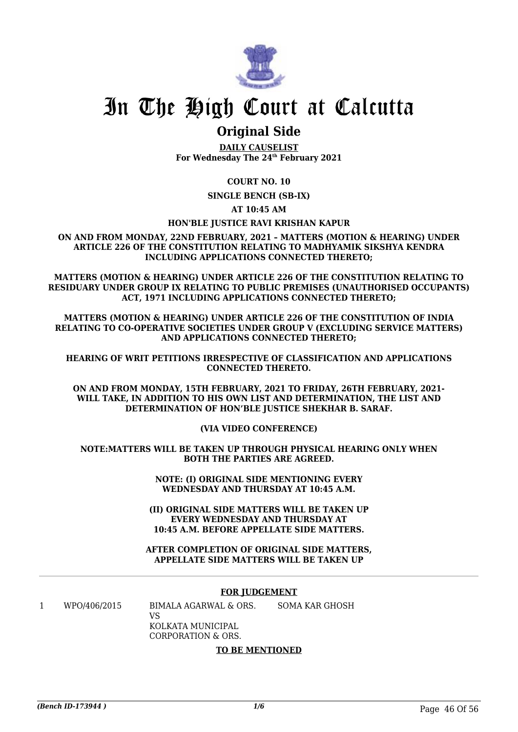![](_page_47_Picture_0.jpeg)

### **Original Side**

**DAILY CAUSELIST For Wednesday The 24th February 2021**

### **COURT NO. 10**

**SINGLE BENCH (SB-IX)**

**AT 10:45 AM**

#### **HON'BLE JUSTICE RAVI KRISHAN KAPUR**

**ON AND FROM MONDAY, 22ND FEBRUARY, 2021 – MATTERS (MOTION & HEARING) UNDER ARTICLE 226 OF THE CONSTITUTION RELATING TO MADHYAMIK SIKSHYA KENDRA INCLUDING APPLICATIONS CONNECTED THERETO;**

**MATTERS (MOTION & HEARING) UNDER ARTICLE 226 OF THE CONSTITUTION RELATING TO RESIDUARY UNDER GROUP IX RELATING TO PUBLIC PREMISES (UNAUTHORISED OCCUPANTS) ACT, 1971 INCLUDING APPLICATIONS CONNECTED THERETO;**

**MATTERS (MOTION & HEARING) UNDER ARTICLE 226 OF THE CONSTITUTION OF INDIA RELATING TO CO-OPERATIVE SOCIETIES UNDER GROUP V (EXCLUDING SERVICE MATTERS) AND APPLICATIONS CONNECTED THERETO;**

#### **HEARING OF WRIT PETITIONS IRRESPECTIVE OF CLASSIFICATION AND APPLICATIONS CONNECTED THERETO.**

**ON AND FROM MONDAY, 15TH FEBRUARY, 2021 TO FRIDAY, 26TH FEBRUARY, 2021- WILL TAKE, IN ADDITION TO HIS OWN LIST AND DETERMINATION, THE LIST AND DETERMINATION OF HON'BLE JUSTICE SHEKHAR B. SARAF.**

**(VIA VIDEO CONFERENCE)**

**NOTE:MATTERS WILL BE TAKEN UP THROUGH PHYSICAL HEARING ONLY WHEN BOTH THE PARTIES ARE AGREED.**

> **NOTE: (I) ORIGINAL SIDE MENTIONING EVERY WEDNESDAY AND THURSDAY AT 10:45 A.M.**

**(II) ORIGINAL SIDE MATTERS WILL BE TAKEN UP EVERY WEDNESDAY AND THURSDAY AT 10:45 A.M. BEFORE APPELLATE SIDE MATTERS.**

#### **AFTER COMPLETION OF ORIGINAL SIDE MATTERS, APPELLATE SIDE MATTERS WILL BE TAKEN UP**

#### **FOR JUDGEMENT**

1 WPO/406/2015 BIMALA AGARWAL & ORS. VS KOLKATA MUNICIPAL CORPORATION & ORS. SOMA KAR GHOSH

#### **TO BE MENTIONED**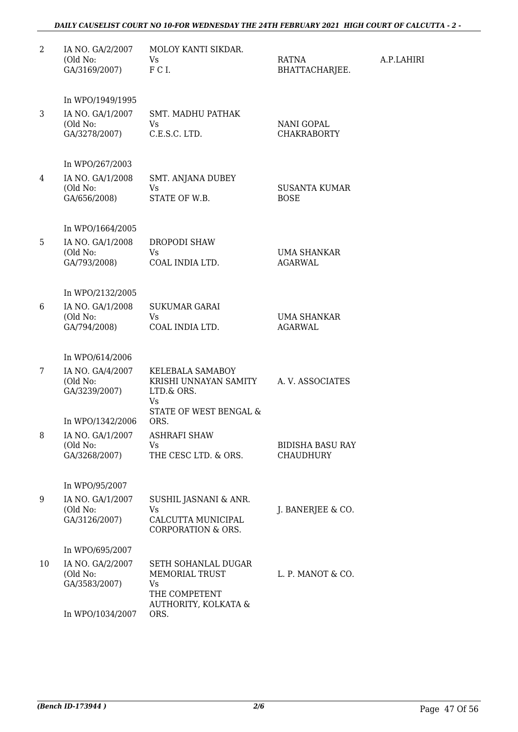### *DAILY CAUSELIST COURT NO 10-FOR WEDNESDAY THE 24TH FEBRUARY 2021 HIGH COURT OF CALCUTTA - 2 -*

| $\overline{2}$ | IA NO. GA/2/2007<br>(Old No:<br>GA/3169/2007) | MOLOY KANTI SIKDAR.<br><b>Vs</b><br>FCI.                                           | RATNA<br>BHATTACHARJEE.                 | A.P.LAHIRI |
|----------------|-----------------------------------------------|------------------------------------------------------------------------------------|-----------------------------------------|------------|
|                | In WPO/1949/1995                              |                                                                                    |                                         |            |
| 3              | IA NO. GA/1/2007<br>(Old No:<br>GA/3278/2007) | <b>SMT. MADHU PATHAK</b><br>Vs.<br>C.E.S.C. LTD.                                   | <b>NANI GOPAL</b><br><b>CHAKRABORTY</b> |            |
|                | In WPO/267/2003                               |                                                                                    |                                         |            |
| 4              | IA NO. GA/1/2008<br>(Old No:<br>GA/656/2008)  | SMT. ANJANA DUBEY<br>Vs<br>STATE OF W.B.                                           | <b>SUSANTA KUMAR</b><br><b>BOSE</b>     |            |
|                | In WPO/1664/2005                              |                                                                                    |                                         |            |
| 5              | IA NO. GA/1/2008                              | <b>DROPODI SHAW</b>                                                                |                                         |            |
|                | (Old No:<br>GA/793/2008)                      | <b>Vs</b><br>COAL INDIA LTD.                                                       | UMA SHANKAR<br><b>AGARWAL</b>           |            |
|                | In WPO/2132/2005                              |                                                                                    |                                         |            |
| 6              | IA NO. GA/1/2008<br>(Old No:<br>GA/794/2008)  | <b>SUKUMAR GARAI</b><br>Vs.<br>COAL INDIA LTD.                                     | UMA SHANKAR<br><b>AGARWAL</b>           |            |
|                | In WPO/614/2006                               |                                                                                    |                                         |            |
| 7              | IA NO. GA/4/2007<br>(Old No:<br>GA/3239/2007) | KELEBALA SAMABOY<br>KRISHI UNNAYAN SAMITY<br>LTD.& ORS.<br>Vs                      | A. V. ASSOCIATES                        |            |
|                | In WPO/1342/2006                              | STATE OF WEST BENGAL &<br>ORS.                                                     |                                         |            |
| 8              | IA NO. GA/1/2007<br>(Old No:<br>GA/3268/2007) | <b>ASHRAFI SHAW</b><br>Vs<br>THE CESC LTD. & ORS.                                  | BIDISHA BASU RAY<br><b>CHAUDHURY</b>    |            |
|                | In WPO/95/2007                                |                                                                                    |                                         |            |
| 9              | IA NO. GA/1/2007<br>(Old No:<br>GA/3126/2007) | SUSHIL JASNANI & ANR.<br>Vs<br>CALCUTTA MUNICIPAL<br><b>CORPORATION &amp; ORS.</b> | J. BANERJEE & CO.                       |            |
|                | In WPO/695/2007                               |                                                                                    |                                         |            |
| 10             | IA NO. GA/2/2007<br>(Old No:<br>GA/3583/2007) | SETH SOHANLAL DUGAR<br>MEMORIAL TRUST<br>Vs<br>THE COMPETENT                       | L. P. MANOT & CO.                       |            |
|                | In WPO/1034/2007                              | AUTHORITY, KOLKATA &<br>ORS.                                                       |                                         |            |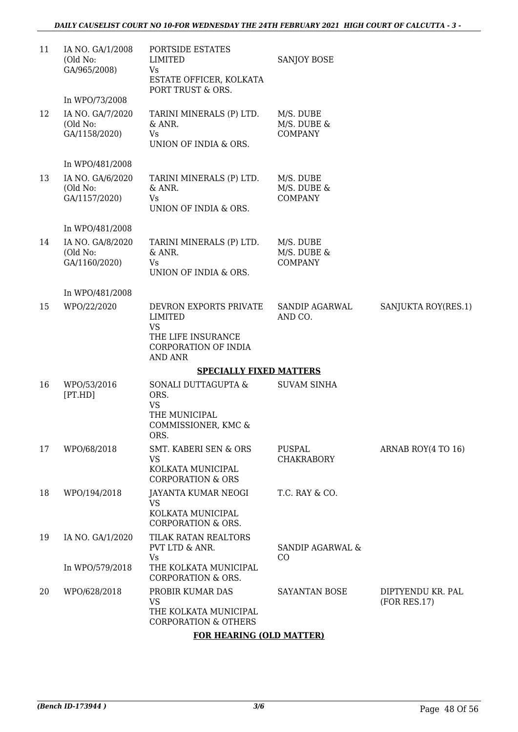| 11 | IA NO. GA/1/2008<br>(Old No:<br>GA/965/2008)  | PORTSIDE ESTATES<br><b>LIMITED</b><br>Vs<br>ESTATE OFFICER, KOLKATA<br>PORT TRUST & ORS.                       | SANJOY BOSE                                |                                   |
|----|-----------------------------------------------|----------------------------------------------------------------------------------------------------------------|--------------------------------------------|-----------------------------------|
|    | In WPO/73/2008                                |                                                                                                                |                                            |                                   |
| 12 | IA NO. GA/7/2020<br>(Old No:<br>GA/1158/2020) | TARINI MINERALS (P) LTD.<br>& ANR.<br>Vs.<br>UNION OF INDIA & ORS.                                             | M/S. DUBE<br>M/S. DUBE &<br><b>COMPANY</b> |                                   |
|    | In WPO/481/2008                               |                                                                                                                |                                            |                                   |
| 13 | IA NO. GA/6/2020<br>(Old No:<br>GA/1157/2020) | TARINI MINERALS (P) LTD.<br>& ANR.<br>Vs<br>UNION OF INDIA & ORS.                                              | M/S. DUBE<br>M/S. DUBE &<br><b>COMPANY</b> |                                   |
|    | In WPO/481/2008                               |                                                                                                                |                                            |                                   |
| 14 | IA NO. GA/8/2020<br>(Old No:<br>GA/1160/2020) | TARINI MINERALS (P) LTD.<br>& ANR.<br>Vs<br>UNION OF INDIA & ORS.                                              | M/S. DUBE<br>M/S. DUBE &<br><b>COMPANY</b> |                                   |
|    | In WPO/481/2008                               |                                                                                                                |                                            |                                   |
| 15 | WPO/22/2020                                   | DEVRON EXPORTS PRIVATE<br>LIMITED<br><b>VS</b><br>THE LIFE INSURANCE<br>CORPORATION OF INDIA<br><b>AND ANR</b> | SANDIP AGARWAL<br>AND CO.                  | SANJUKTA ROY(RES.1)               |
|    |                                               | <b>SPECIALLY FIXED MATTERS</b>                                                                                 |                                            |                                   |
| 16 | WPO/53/2016<br>[PT.HD]                        | SONALI DUTTAGUPTA &<br>ORS.<br><b>VS</b><br>THE MUNICIPAL<br>COMMISSIONER, KMC &<br>ORS.                       | <b>SUVAM SINHA</b>                         |                                   |
| 17 | WPO/68/2018                                   | SMT. KABERI SEN & ORS                                                                                          | PUSPAL                                     | ARNAB ROY(4 TO 16)                |
|    |                                               | <b>VS</b><br>KOLKATA MUNICIPAL<br><b>CORPORATION &amp; ORS</b>                                                 | <b>CHAKRABORY</b>                          |                                   |
| 18 | WPO/194/2018                                  | JAYANTA KUMAR NEOGI<br>VS                                                                                      | T.C. RAY & CO.                             |                                   |
|    |                                               | KOLKATA MUNICIPAL<br>CORPORATION & ORS.                                                                        |                                            |                                   |
| 19 | IA NO. GA/1/2020                              | TILAK RATAN REALTORS<br>PVT LTD & ANR.<br>Vs                                                                   | <b>SANDIP AGARWAL &amp;</b><br>CO          |                                   |
|    | In WPO/579/2018                               | THE KOLKATA MUNICIPAL<br><b>CORPORATION &amp; ORS.</b>                                                         |                                            |                                   |
| 20 | WPO/628/2018                                  | PROBIR KUMAR DAS<br><b>VS</b><br>THE KOLKATA MUNICIPAL<br><b>CORPORATION &amp; OTHERS</b>                      | <b>SAYANTAN BOSE</b>                       | DIPTYENDU KR. PAL<br>(FOR RES.17) |
|    |                                               | <b>FOR HEARING (OLD MATTER)</b>                                                                                |                                            |                                   |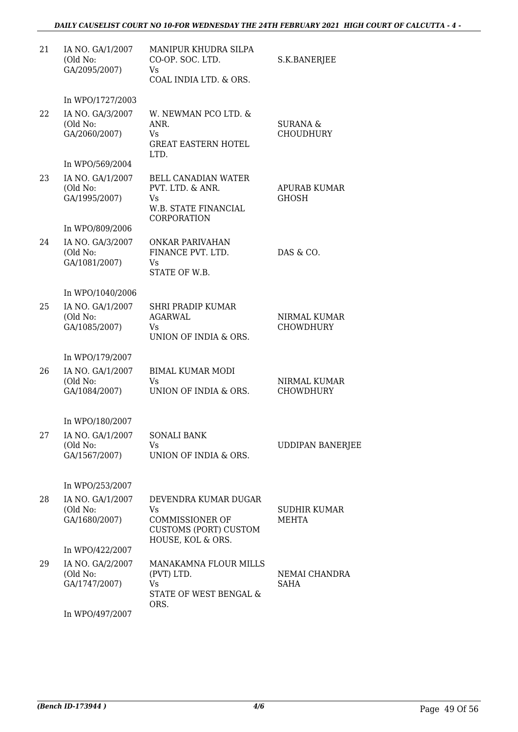### *DAILY CAUSELIST COURT NO 10-FOR WEDNESDAY THE 24TH FEBRUARY 2021 HIGH COURT OF CALCUTTA - 4 -*

| 21 | IA NO. GA/1/2007<br>(Old No:<br>GA/2095/2007) | MANIPUR KHUDRA SILPA<br>CO-OP. SOC. LTD.<br>Vs.<br>COAL INDIA LTD. & ORS.                                 | S.K.BANERJEE                        |
|----|-----------------------------------------------|-----------------------------------------------------------------------------------------------------------|-------------------------------------|
|    | In WPO/1727/2003                              |                                                                                                           |                                     |
| 22 | IA NO. GA/3/2007<br>(Old No:<br>GA/2060/2007) | W. NEWMAN PCO LTD. &<br>ANR.<br>Vs<br><b>GREAT EASTERN HOTEL</b><br>LTD.                                  | SURANA &<br><b>CHOUDHURY</b>        |
|    | In WPO/569/2004                               |                                                                                                           |                                     |
| 23 | IA NO. GA/1/2007<br>(Old No:<br>GA/1995/2007) | <b>BELL CANADIAN WATER</b><br>PVT. LTD. & ANR.<br>Vs<br>W.B. STATE FINANCIAL<br><b>CORPORATION</b>        | <b>APURAB KUMAR</b><br><b>GHOSH</b> |
|    | In WPO/809/2006                               |                                                                                                           |                                     |
| 24 | IA NO. GA/3/2007<br>(Old No:<br>GA/1081/2007) | <b>ONKAR PARIVAHAN</b><br>FINANCE PVT. LTD.<br>Vs<br>STATE OF W.B.                                        | DAS & CO.                           |
|    | In WPO/1040/2006                              |                                                                                                           |                                     |
| 25 | IA NO. GA/1/2007<br>(Old No:<br>GA/1085/2007) | <b>SHRI PRADIP KUMAR</b><br><b>AGARWAL</b><br>Vs.<br>UNION OF INDIA & ORS.                                | NIRMAL KUMAR<br><b>CHOWDHURY</b>    |
|    | In WPO/179/2007                               |                                                                                                           |                                     |
| 26 | IA NO. GA/1/2007<br>(Old No:<br>GA/1084/2007) | <b>BIMAL KUMAR MODI</b><br>Vs<br>UNION OF INDIA & ORS.                                                    | NIRMAL KUMAR<br><b>CHOWDHURY</b>    |
|    | In WPO/180/2007                               |                                                                                                           |                                     |
| 27 | IA NO. GA/1/2007<br>(Old No:<br>GA/1567/2007) | <b>SONALI BANK</b><br>Vs<br>UNION OF INDIA & ORS.                                                         | <b>UDDIPAN BANERJEE</b>             |
|    | In WPO/253/2007                               |                                                                                                           |                                     |
| 28 | IA NO. GA/1/2007<br>(Old No:<br>GA/1680/2007) | DEVENDRA KUMAR DUGAR<br>Vs<br><b>COMMISSIONER OF</b><br><b>CUSTOMS (PORT) CUSTOM</b><br>HOUSE, KOL & ORS. | SUDHIR KUMAR<br>MEHTA               |
|    | In WPO/422/2007                               |                                                                                                           |                                     |
| 29 | IA NO. GA/2/2007<br>(Old No:<br>GA/1747/2007) | MANAKAMNA FLOUR MILLS<br>(PVT) LTD.<br>Vs<br>STATE OF WEST BENGAL &<br>ORS.                               | NEMAI CHANDRA<br><b>SAHA</b>        |
|    | In WPO/497/2007                               |                                                                                                           |                                     |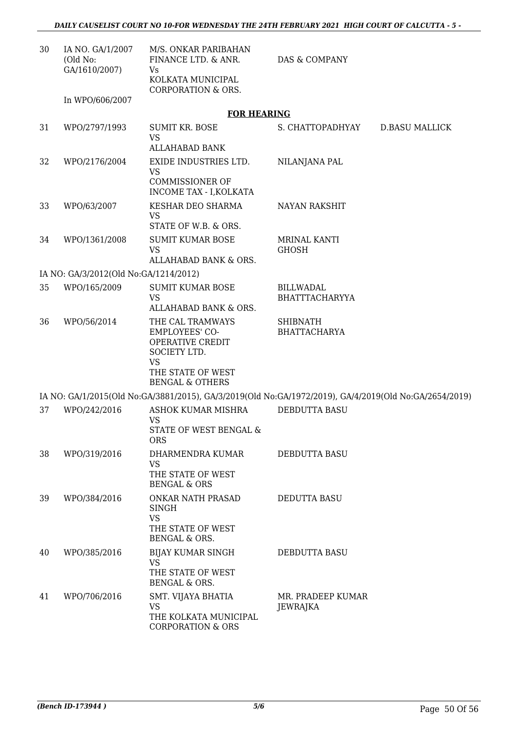| 30 | IA NO. GA/1/2007<br>(Old No:<br>GA/1610/2007) | M/S. ONKAR PARIBAHAN<br>FINANCE LTD. & ANR.<br>Vs<br>KOLKATA MUNICIPAL<br>CORPORATION & ORS.                                                  | DAS & COMPANY                          |                       |
|----|-----------------------------------------------|-----------------------------------------------------------------------------------------------------------------------------------------------|----------------------------------------|-----------------------|
|    | In WPO/606/2007                               | <b>FOR HEARING</b>                                                                                                                            |                                        |                       |
|    |                                               | <b>SUMIT KR. BOSE</b>                                                                                                                         |                                        |                       |
| 31 | WPO/2797/1993                                 | VS<br>ALLAHABAD BANK                                                                                                                          | S. CHATTOPADHYAY                       | <b>D.BASU MALLICK</b> |
| 32 | WPO/2176/2004                                 | EXIDE INDUSTRIES LTD.                                                                                                                         |                                        |                       |
|    |                                               | <b>VS</b><br><b>COMMISSIONER OF</b>                                                                                                           | NILANJANA PAL                          |                       |
|    |                                               | INCOME TAX - I, KOLKATA                                                                                                                       |                                        |                       |
| 33 | WPO/63/2007                                   | KESHAR DEO SHARMA<br><b>VS</b><br>STATE OF W.B. & ORS.                                                                                        | <b>NAYAN RAKSHIT</b>                   |                       |
| 34 | WPO/1361/2008                                 | <b>SUMIT KUMAR BOSE</b>                                                                                                                       | <b>MRINAL KANTI</b>                    |                       |
|    |                                               | <b>VS</b>                                                                                                                                     | <b>GHOSH</b>                           |                       |
|    |                                               | ALLAHABAD BANK & ORS.                                                                                                                         |                                        |                       |
|    | IA NO: GA/3/2012(Old No:GA/1214/2012)         |                                                                                                                                               |                                        |                       |
| 35 | WPO/165/2009                                  | <b>SUMIT KUMAR BOSE</b><br><b>VS</b>                                                                                                          | <b>BILLWADAL</b><br>BHATTTACHARYYA     |                       |
|    |                                               | ALLAHABAD BANK & ORS.                                                                                                                         |                                        |                       |
| 36 | WPO/56/2014                                   | THE CAL TRAMWAYS<br><b>EMPLOYEES' CO-</b><br>OPERATIVE CREDIT<br>SOCIETY LTD.<br><b>VS</b><br>THE STATE OF WEST<br><b>BENGAL &amp; OTHERS</b> | <b>SHIBNATH</b><br><b>BHATTACHARYA</b> |                       |
|    |                                               | IA NO: GA/1/2015(Old No:GA/3881/2015), GA/3/2019(Old No:GA/1972/2019), GA/4/2019(Old No:GA/2654/2019)                                         |                                        |                       |
| 37 | WPO/242/2016                                  | ASHOK KUMAR MISHRA                                                                                                                            | DEBDUTTA BASU                          |                       |
|    |                                               | <b>VS</b><br>STATE OF WEST BENGAL &<br><b>ORS</b>                                                                                             |                                        |                       |
| 38 | WPO/319/2016                                  | DHARMENDRA KUMAR                                                                                                                              | DEBDUTTA BASU                          |                       |
|    |                                               | <b>VS</b><br>THE STATE OF WEST<br><b>BENGAL &amp; ORS</b>                                                                                     |                                        |                       |
| 39 | WPO/384/2016                                  | ONKAR NATH PRASAD<br><b>SINGH</b><br>VS                                                                                                       | DEDUTTA BASU                           |                       |
|    |                                               | THE STATE OF WEST<br>BENGAL & ORS.                                                                                                            |                                        |                       |
| 40 | WPO/385/2016                                  | BIJAY KUMAR SINGH<br><b>VS</b><br>THE STATE OF WEST<br>BENGAL & ORS.                                                                          | DEBDUTTA BASU                          |                       |
| 41 | WPO/706/2016                                  | SMT. VIJAYA BHATIA<br><b>VS</b><br>THE KOLKATA MUNICIPAL<br><b>CORPORATION &amp; ORS</b>                                                      | MR. PRADEEP KUMAR<br>JEWRAJKA          |                       |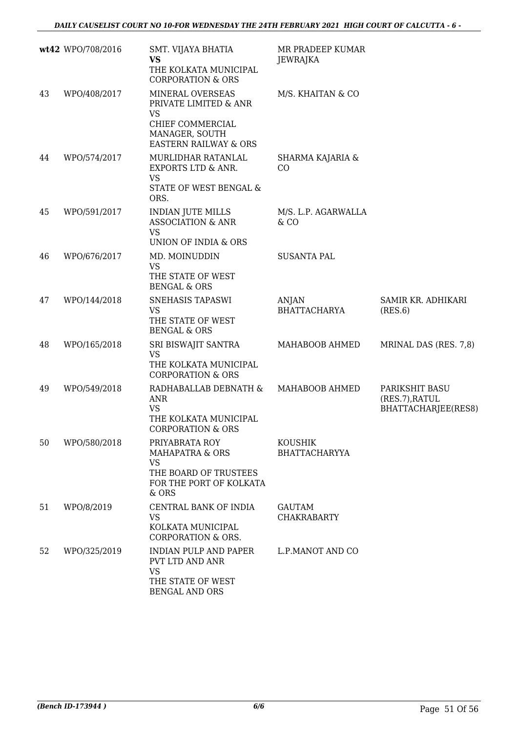|    | wt42 WPO/708/2016 | SMT. VIJAYA BHATIA<br><b>VS</b><br>THE KOLKATA MUNICIPAL<br><b>CORPORATION &amp; ORS</b>                                         | MR PRADEEP KUMAR<br>JEWRAJKA           |                                                         |
|----|-------------------|----------------------------------------------------------------------------------------------------------------------------------|----------------------------------------|---------------------------------------------------------|
| 43 | WPO/408/2017      | MINERAL OVERSEAS<br>PRIVATE LIMITED & ANR<br><b>VS</b><br>CHIEF COMMERCIAL<br>MANAGER, SOUTH<br><b>EASTERN RAILWAY &amp; ORS</b> | M/S. KHAITAN & CO                      |                                                         |
| 44 | WPO/574/2017      | <b>MURLIDHAR RATANLAL</b><br>EXPORTS LTD & ANR.<br><b>VS</b><br>STATE OF WEST BENGAL &<br>ORS.                                   | SHARMA KAJARIA &<br>CO                 |                                                         |
| 45 | WPO/591/2017      | <b>INDIAN JUTE MILLS</b><br><b>ASSOCIATION &amp; ANR</b><br><b>VS</b><br>UNION OF INDIA & ORS                                    | M/S. L.P. AGARWALLA<br>$&$ CO          |                                                         |
| 46 | WPO/676/2017      | MD. MOINUDDIN<br><b>VS</b><br>THE STATE OF WEST<br><b>BENGAL &amp; ORS</b>                                                       | <b>SUSANTA PAL</b>                     |                                                         |
| 47 | WPO/144/2018      | SNEHASIS TAPASWI<br><b>VS</b><br>THE STATE OF WEST<br><b>BENGAL &amp; ORS</b>                                                    | <b>ANJAN</b><br><b>BHATTACHARYA</b>    | SAMIR KR. ADHIKARI<br>(RES.6)                           |
| 48 | WPO/165/2018      | SRI BISWAJIT SANTRA<br><b>VS</b><br>THE KOLKATA MUNICIPAL<br><b>CORPORATION &amp; ORS</b>                                        | MAHABOOB AHMED                         | MRINAL DAS (RES. 7,8)                                   |
| 49 | WPO/549/2018      | RADHABALLAB DEBNATH &<br><b>ANR</b><br><b>VS</b><br>THE KOLKATA MUNICIPAL<br><b>CORPORATION &amp; ORS</b>                        | MAHABOOB AHMED                         | PARIKSHIT BASU<br>(RES.7), RATUL<br>BHATTACHARJEE(RES8) |
| 50 | WPO/580/2018      | PRIYABRATA ROY<br><b>MAHAPATRA &amp; ORS</b><br><b>VS</b><br>THE BOARD OF TRUSTEES<br>FOR THE PORT OF KOLKATA<br>$&$ ORS         | <b>KOUSHIK</b><br><b>BHATTACHARYYA</b> |                                                         |
| 51 | WPO/8/2019        | CENTRAL BANK OF INDIA<br><b>VS</b><br>KOLKATA MUNICIPAL<br><b>CORPORATION &amp; ORS.</b>                                         | <b>GAUTAM</b><br><b>CHAKRABARTY</b>    |                                                         |
| 52 | WPO/325/2019      | <b>INDIAN PULP AND PAPER</b><br>PVT LTD AND ANR<br><b>VS</b><br>THE STATE OF WEST<br><b>BENGAL AND ORS</b>                       | L.P.MANOT AND CO                       |                                                         |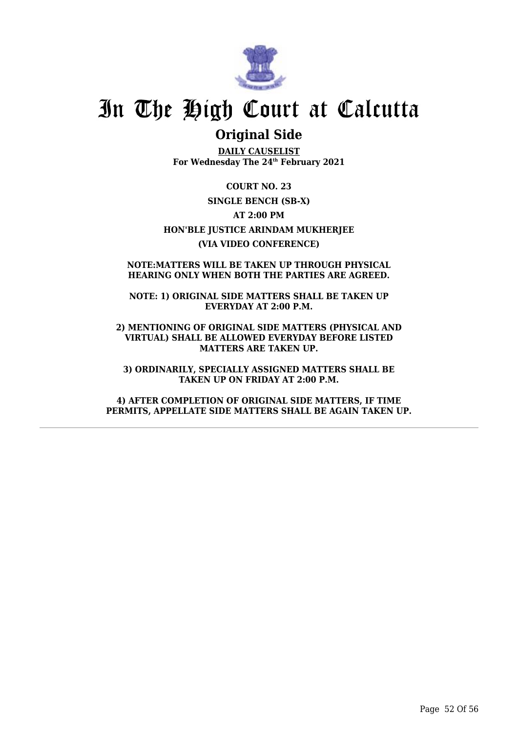![](_page_53_Picture_0.jpeg)

## **Original Side**

**DAILY CAUSELIST For Wednesday The 24th February 2021**

**COURT NO. 23 SINGLE BENCH (SB-X) AT 2:00 PM HON'BLE JUSTICE ARINDAM MUKHERJEE (VIA VIDEO CONFERENCE)**

#### **NOTE:MATTERS WILL BE TAKEN UP THROUGH PHYSICAL HEARING ONLY WHEN BOTH THE PARTIES ARE AGREED.**

**NOTE: 1) ORIGINAL SIDE MATTERS SHALL BE TAKEN UP EVERYDAY AT 2:00 P.M.**

**2) MENTIONING OF ORIGINAL SIDE MATTERS (PHYSICAL AND VIRTUAL) SHALL BE ALLOWED EVERYDAY BEFORE LISTED MATTERS ARE TAKEN UP.**

**3) ORDINARILY, SPECIALLY ASSIGNED MATTERS SHALL BE TAKEN UP ON FRIDAY AT 2:00 P.M.**

**4) AFTER COMPLETION OF ORIGINAL SIDE MATTERS, IF TIME PERMITS, APPELLATE SIDE MATTERS SHALL BE AGAIN TAKEN UP.**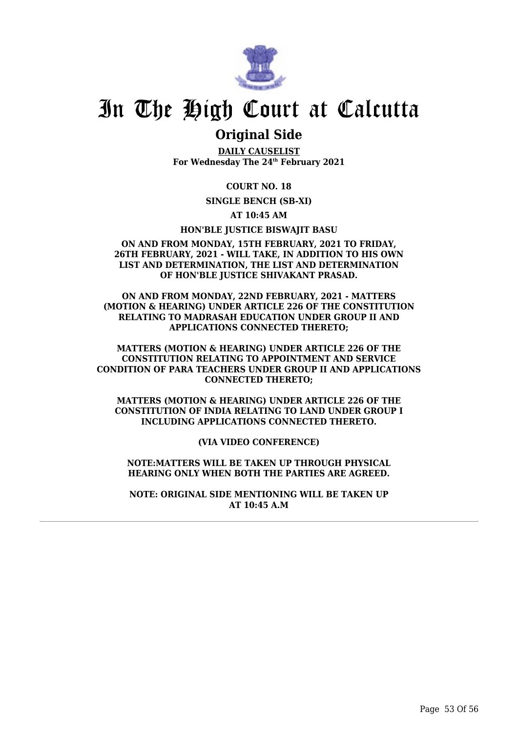![](_page_54_Picture_0.jpeg)

### **Original Side**

**DAILY CAUSELIST For Wednesday The 24th February 2021**

**COURT NO. 18**

**SINGLE BENCH (SB-XI)**

**AT 10:45 AM**

**HON'BLE JUSTICE BISWAJIT BASU**

#### **ON AND FROM MONDAY, 15TH FEBRUARY, 2021 TO FRIDAY, 26TH FEBRUARY, 2021 - WILL TAKE, IN ADDITION TO HIS OWN LIST AND DETERMINATION, THE LIST AND DETERMINATION OF HON'BLE JUSTICE SHIVAKANT PRASAD.**

**ON AND FROM MONDAY, 22ND FEBRUARY, 2021 - MATTERS (MOTION & HEARING) UNDER ARTICLE 226 OF THE CONSTITUTION RELATING TO MADRASAH EDUCATION UNDER GROUP II AND APPLICATIONS CONNECTED THERETO;**

**MATTERS (MOTION & HEARING) UNDER ARTICLE 226 OF THE CONSTITUTION RELATING TO APPOINTMENT AND SERVICE CONDITION OF PARA TEACHERS UNDER GROUP II AND APPLICATIONS CONNECTED THERETO;**

**MATTERS (MOTION & HEARING) UNDER ARTICLE 226 OF THE CONSTITUTION OF INDIA RELATING TO LAND UNDER GROUP I INCLUDING APPLICATIONS CONNECTED THERETO.**

**(VIA VIDEO CONFERENCE)**

**NOTE:MATTERS WILL BE TAKEN UP THROUGH PHYSICAL HEARING ONLY WHEN BOTH THE PARTIES ARE AGREED.**

**NOTE: ORIGINAL SIDE MENTIONING WILL BE TAKEN UP AT 10:45 A.M**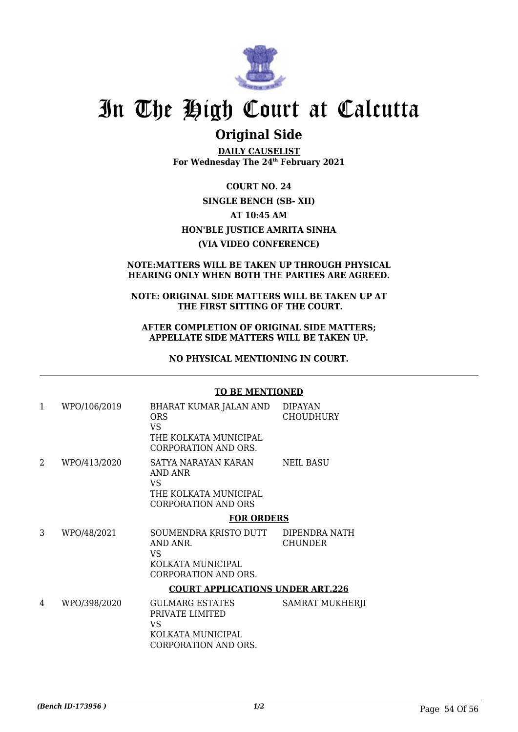![](_page_55_Picture_0.jpeg)

## **Original Side**

**DAILY CAUSELIST For Wednesday The 24th February 2021**

**COURT NO. 24 SINGLE BENCH (SB- XII) AT 10:45 AM HON'BLE JUSTICE AMRITA SINHA (VIA VIDEO CONFERENCE)**

#### **NOTE:MATTERS WILL BE TAKEN UP THROUGH PHYSICAL HEARING ONLY WHEN BOTH THE PARTIES ARE AGREED.**

#### **NOTE: ORIGINAL SIDE MATTERS WILL BE TAKEN UP AT THE FIRST SITTING OF THE COURT.**

#### **AFTER COMPLETION OF ORIGINAL SIDE MATTERS; APPELLATE SIDE MATTERS WILL BE TAKEN UP.**

**NO PHYSICAL MENTIONING IN COURT.**

#### **TO BE MENTIONED**

| 1 | WPO/106/2019 | BHARAT KUMAR JALAN AND<br><b>ORS</b><br>VS.<br>THE KOLKATA MUNICIPAL                                                | <b>DIPAYAN</b><br>CHOUDHURY     |  |
|---|--------------|---------------------------------------------------------------------------------------------------------------------|---------------------------------|--|
| 2 | WPO/413/2020 | <b>CORPORATION AND ORS.</b><br>SATYA NARAYAN KARAN<br>AND ANR<br>VS<br>THE KOLKATA MUNICIPAL<br>CORPORATION AND ORS | <b>NEIL BASU</b>                |  |
|   |              | <b>FOR ORDERS</b>                                                                                                   |                                 |  |
| 3 | WPO/48/2021  | SOUMENDRA KRISTO DUTT<br>AND ANR.<br>VS<br>KOLKATA MUNICIPAL<br>CORPORATION AND ORS.                                | DIPENDRA NATH<br><b>CHUNDER</b> |  |
|   |              | <b>COURT APPLICATIONS UNDER ART.226</b>                                                                             |                                 |  |
| 4 | WPO/398/2020 | <b>GULMARG ESTATES</b><br>PRIVATE LIMITED<br>VS.<br>KOLKATA MUNICIPAL<br>CORPORATION AND ORS.                       | <b>SAMRAT MUKHERJI</b>          |  |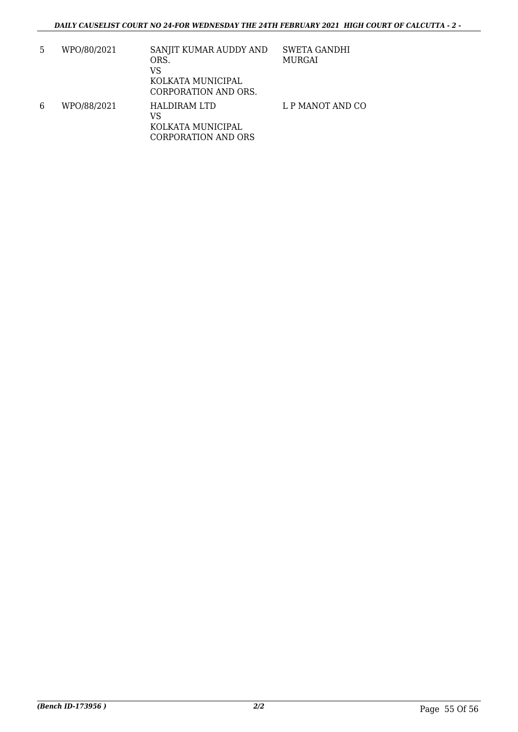| 5 | WPO/80/2021 | SANJIT KUMAR AUDDY AND<br>ORS.<br>VS<br>KOLKATA MUNICIPAL<br>CORPORATION AND ORS. | <b>SWETA GANDHI</b><br>MURGAI |
|---|-------------|-----------------------------------------------------------------------------------|-------------------------------|
| 6 | WPO/88/2021 | <b>HALDIRAM LTD</b><br>VS<br>KOLKATA MUNICIPAL<br><b>CORPORATION AND ORS</b>      | L P MANOT AND CO              |